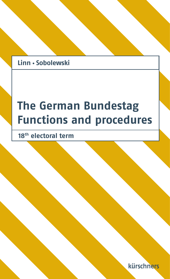## Linn · Sobolewski

# **The German Bundestag Functions and procedures**

**18th electoral term**

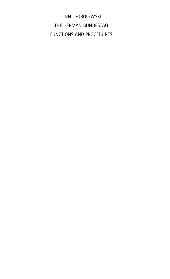LINN · SOBOLEWSKI THE GERMAN BUNDESTAG – FUNCTIONS AND PROCEDURES –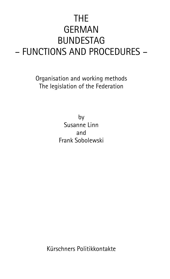## THE GERMAN BUNDESTAG – FUNCTIONS AND PROCEDURES –

Organisation and working methods The legislation of the Federation

> by Susanne Linn and Frank Sobolewski

Kürschners Politikkontakte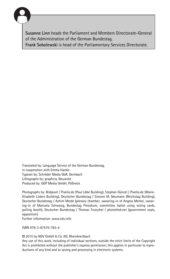

Susanne Linn heads the Parliament and Members Directorate-General of the Administration of the German Bundestag.

Frank Sobolewski is head of the Parliamentary Services Directorate.

Translated by: Language Service of the German Bundestag, in cooperation with Emma Hardie Typeset by: Schröder Media GbR, Dernbach Lithographs by: graphica, Neuwied Produced by: GGP Media GmbH, Pößneck

Photographs by: Bildpixel / Pixelio.de (Paul Löbe Building), Stephan Günzel / Pixelio.de (Marie-Elisabeth Lüders Building), Deutscher Bundestag / Simone M. Neumann (Reichstag Building), Deutscher Bundestag / Achim Melde (plenary chamber, swearing-in of Angela Merkel, swearing-in of Manuela Schwesig, Bundestag Presidium, committee, ballot using voting cards, polling booth), Deutscher Bundestag / Thomas Trutschel / photothek.net (government seats, opposition)

Further information: www.ndv.info

ISBN 978-3-87576-783-4

© 2015 by NDV GmbH & Co. KG, Rheinbreitbach

Any use of this work, including of individual sections, outside the strict limits of the Copyright Act is prohibited without the publisher's express permission; this applies in particular to reproductions of any kind and to saving and processing in electronic systems.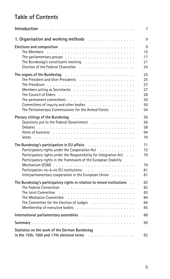## Table of Contents

|                                                                                                                                                                                                                                                                                                                                          | 7                                            |
|------------------------------------------------------------------------------------------------------------------------------------------------------------------------------------------------------------------------------------------------------------------------------------------------------------------------------------------|----------------------------------------------|
| 1. Organisation and working methods                                                                                                                                                                                                                                                                                                      | 9                                            |
| Elections and composition resources and composition resources and composition resources and composition<br>The parliamentary groups $\ldots \ldots \ldots \ldots \ldots \ldots \ldots \ldots$<br>The Bundestag's constituent meeting $\ldots \ldots \ldots \ldots \ldots$                                                                | 9<br>10<br>17<br>21<br>24                    |
| Committees of inquiry and other bodies<br>The Parliamentary Commissioner for the Armed Forces                                                                                                                                                                                                                                            | 25<br>25<br>27<br>27<br>28<br>30<br>50<br>54 |
| Plenary sittings of the Bundestag<br>Questions put to the Federal Government<br>Votes                                                                                                                                                                                                                                                    | 55<br>56<br>58<br>64<br>70                   |
| The Bundestag's participation in EU affairs<br>Participatory rights under the Cooperation Act<br>Participatory rights under the Responsibility for Integration Act<br>Participatory rights in the framework of the European Stability<br>Participation vis-à-vis EU institutions<br>Interparliamentary cooperation in the European Union | 71<br>72<br>76<br>79<br>81<br>81             |
| The Bundestag's participatory rights in relation to mixed institutions<br>The Committee for the Election of Judges                                                                                                                                                                                                                       | 82<br>82<br>83<br>84<br>84<br>85             |
|                                                                                                                                                                                                                                                                                                                                          | 88                                           |
|                                                                                                                                                                                                                                                                                                                                          | 90                                           |
| Statistics on the work of the German Bundestag<br>in the 15th. 16th and 17th electoral terms<br>.                                                                                                                                                                                                                                        | 92                                           |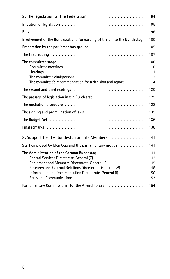|                                                                                                                                                                                                                                                              | 94                                     |
|--------------------------------------------------------------------------------------------------------------------------------------------------------------------------------------------------------------------------------------------------------------|----------------------------------------|
|                                                                                                                                                                                                                                                              | 95                                     |
|                                                                                                                                                                                                                                                              | 96                                     |
| Involvement of the Bundesrat and forwarding of the bill to the Bundestag                                                                                                                                                                                     | 100                                    |
|                                                                                                                                                                                                                                                              | 105                                    |
| The first reading $\ldots \ldots \ldots \ldots \ldots \ldots \ldots \ldots \ldots \ldots$                                                                                                                                                                    | 107                                    |
| The committee stage $\ldots \ldots \ldots \ldots \ldots \ldots \ldots \ldots \ldots \ldots$<br>The committee's recommendation for a decision and report $\dots$ .                                                                                            | 108<br>110<br>111<br>112<br>114        |
|                                                                                                                                                                                                                                                              | 120                                    |
| The passage of legislation in the Bundesrat                                                                                                                                                                                                                  | 125                                    |
|                                                                                                                                                                                                                                                              | 128                                    |
| The signing and promulgation of laws $\ldots \ldots \ldots \ldots \ldots \ldots$                                                                                                                                                                             | 135                                    |
|                                                                                                                                                                                                                                                              | 136                                    |
|                                                                                                                                                                                                                                                              | 138                                    |
| 3. Support for the Bundestag and its Members Fig. All Algebra 2. Algebra 3. Support for the Bundestag and its Members                                                                                                                                        | 141                                    |
| Staff employed by Members and the parliamentary groups                                                                                                                                                                                                       | 141                                    |
| The Administration of the German Bundestag<br>Central Services Directorate-General (Z)<br>Parliament and Members Directorate-General (P)<br>Research and External Relations Directorate-General (W)<br>Information and Documentation Directorate-General (I) | 141<br>142<br>145<br>148<br>150<br>153 |
| Parliamentary Commissioner for the Armed Forces                                                                                                                                                                                                              | 154                                    |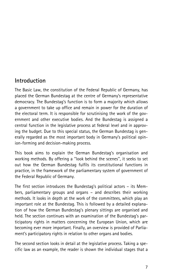### Introduction

The Basic Law, the constitution of the Federal Republic of Germany, has placed the German Bundestag at the centre of Germany's representative democracy. The Bundestag's function is to form a majority which allows a government to take up office and remain in power for the duration of the electoral term. It is responsible for scrutinising the work of the government and other executive bodies. And the Bundestag is assigned a central function in the legislative process at federal level and in approving the budget. Due to this special status, the German Bundestag is generally regarded as the most important body in Germany's political opinion-forming and decision-making process.

This book aims to explain the German Bundestag's organisation and working methods. By offering a ''look behind the scenes'', it seeks to set out how the German Bundestag fulfils its constitutional functions in practice, in the framework of the parliamentary system of government of the Federal Republic of Germany.

The first section introduces the Bundestag's political actors – its Members, parliamentary groups and organs – and describes their working methods. It looks in depth at the work of the committees, which play an important role at the Bundestag. This is followed by a detailed explanation of how the German Bundestag's plenary sittings are organised and held. The section continues with an examination of the Bundestag's participatory rights in matters concerning the European Union, which are becoming ever more important. Finally, an overview is provided of Parliament's participatory rights in relation to other organs and bodies.

The second section looks in detail at the legislative process. Taking a specific law as an example, the reader is shown the individual stages that a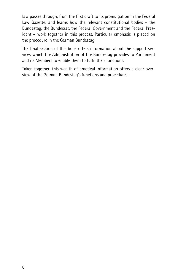law passes through, from the first draft to its promulgation in the Federal Law Gazette, and learns how the relevant constitutional bodies – the Bundestag, the Bundesrat, the Federal Government and the Federal President – work together in this process. Particular emphasis is placed on the procedure in the German Bundestag.

The final section of this book offers information about the support services which the Administration of the Bundestag provides to Parliament and its Members to enable them to fulfil their functions.

Taken together, this wealth of practical information offers a clear overview of the German Bundestag's functions and procedures.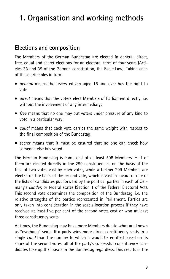## 1. Organisation and working methods

### Elections and composition

The Members of the German Bundestag are elected in general, direct, free, equal and secret elections for an electoral term of four years (Articles 38 and 39 of the German constitution, the Basic Law). Taking each of these principles in turn:

- *general* means that every citizen aged 18 and over has the right to vote;
- . direct means that the voters elect Members of Parliament directly, i.e. without the involvement of any intermediary;
- free means that no one may put voters under pressure of any kind to vote in a particular way;
- . equal means that each vote carries the same weight with respect to the final composition of the Bundestag;
- . secret means that it must be ensured that no one can check how someone else has voted.

The German Bundestag is composed of at least 598 Members. Half of them are elected directly in the 299 constituencies on the basis of the first of two votes cast by each voter, while a further 299 Members are elected on the basis of the second vote, which is cast in favour of one of the lists of candidates put forward by the political parties in each of Germany's Länder, or federal states (Section 1 of the Federal Electoral Act). This second vote determines the composition of the Bundestag, i.e. the relative strengths of the parties represented in Parliament. Parties are only taken into consideration in the seat allocation process if they have received at least five per cent of the second votes cast or won at least three constituency seats.

At times, the Bundestag may have more Members due to what are known as ''overhang'' seats. If a party wins more direct constituency seats in a single Land than the number to which it would be entitled based on its share of the second votes, all of the party's successful constituency candidates take up their seats in the Bundestag regardless. This results in the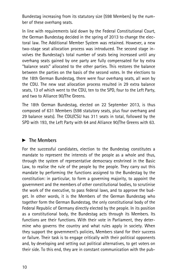Bundestag increasing from its statutory size (598 Members) by the number of these overhang seats.

In line with requirements laid down by the Federal Constitutional Court, the German Bundestag decided in the spring of 2013 to change the electoral law. The Additional Member System was retained. However, a new two-stage seat allocation process was introduced. The second stage involves the Bundestag's total number of seats being increased until any overhang seats gained by one party are fully compensated for by extra ''balance seats'' allocated to the other parties. This restores the balance between the parties on the basis of the second votes. In the elections to the 18th German Bundestag, there were four overhang seats, all won by the CDU. The new seat allocation process resulted in 29 extra balance seats, 13 of which went to the CDU, ten to the SPD, four to the Left Party, and two to Alliance 90/The Greens.

The 18th German Bundestag, elected on 22 September 2013, is thus composed of 631 Members (598 statutory seats, plus four overhang and 29 balance seats). The CDU/CSU has 311 seats in total, followed by the SPD with 193, the Left Party with 64 and Alliance 90/The Greens with 63.

#### $\blacktriangleright$  The Members

For the successful candidates, election to the Bundestag constitutes a mandate to represent the interests of the people as a whole and thus, through the system of representative democracy enshrined in the Basic Law, to realise the rule of the people by the people. They carry out this mandate by performing the functions assigned to the Bundestag by the constitution: in particular, to form a governing majority, to appoint the government and the members of other constitutional bodies, to scrutinise the work of the executive, to pass federal laws, and to approve the budget. In other words, it is the Members of the German Bundestag who together form the German Bundestag, the only constitutional body of the Federal Republic of Germany directly elected by the people. In its position as a constitutional body, the Bundestag acts through its Members. Its functions are their functions. With their vote in Parliament, they determine who governs the country and what rules apply in society. When they support the government's policies, Members stand for their success or failure. Their task is to engage critically with their political opponents and, by developing and setting out political alternatives, to get voters on their side. To this end, they are in constant communication with the pub-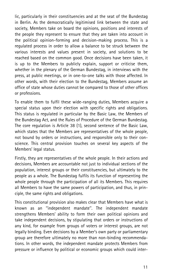lic, particularly in their constituencies and at the seat of the Bundestag in Berlin. As the democratically legitimised link between the state and society, Members take on board the opinions, positions and interests of the people they represent to ensure that they are taken into account in the political opinion-forming and decision-making process. This is a regulated process in order to allow a balance to be struck between the various interests and values present in society, and solutions to be reached based on the common good. Once decisions have been taken, it is up to the Members to publicly explain, support or criticise them, whether in the plenary of the German Bundestag, in interviews with the press, at public meetings, or in one-to-one talks with those affected. In other words, with their election to the Bundestag, Members assume an office of state whose duties cannot be compared to those of other offices or professions.

To enable them to fulfil these wide-ranging duties, Members acquire a special status upon their election with specific rights and obligations. This status is regulated in particular by the Basic Law, the Members of the Bundestag Act, and the Rules of Procedure of the German Bundestag. The core regulation is Article 38 (1), second sentence of the Basic Law, which states that the Members are representatives of the whole people, not bound by orders or instructions, and responsible only to their conscience. This central provision touches on several key aspects of the Members' legal status.

Firstly, they are representatives of the whole people. In their actions and decisions, Members are accountable not just to individual sections of the population, interest groups or their constituencies, but ultimately to the people as a whole. The Bundestag fulfils its function of representing the whole people through the participation of all its Members. This requires all Members to have the same powers of participation, and thus, in principle, the same rights and obligations.

This constitutional provision also makes clear that Members have what is known as an ''independent mandate''. The independent mandate strengthens Members' ability to form their own political opinions and take independent decisions, by stipulating that orders or instructions of any kind, for example from groups of voters or interest groups, are not legally binding. Even decisions by a Member's own party or parliamentary group are therefore ultimately no more than non-binding recommendations. In other words, the independent mandate protects Members from pressure or influence by political or economic groups which could inter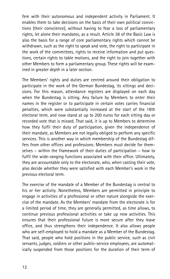fere with their autonomous and independent activity in Parliament. It enables them to take decisions on the basis of their own political convictions (their conscience), without having to fear a loss of parliamentary rights, let alone their mandates, as a result. Article 38 of the Basic Law is also the basis for a range of core parliamentary rights which cannot be withdrawn, such as the right to speak and vote, the right to participate in the work of the committees, rights to receive information and put questions, certain rights to table motions, and the right to join together with other Members to form a parliamentary group. These rights will be examined in greater depth in a later section.

The Members' rights and duties are centred around their obligation to participate in the work of the German Bundestag, its sittings and decisions. For this reason, attendance registers are displayed on each day when the Bundestag is sitting. Any failure by Members to enter their names in the register or to participate in certain votes carries financial penalties, which were substantially increased at the start of the 18th electoral term, and now stand at up to 200 euros for each sitting day or recorded vote that is missed. That said, it is up to Members to determine how they fulfil their duty of participation, given the independence of their mandate, as Members are not legally obliged to perform any specific services. This is another way in which membership of the Bundestag differs from other offices and professions: Members must decide for themselves – within the framework of their duties of participation – how to fulfil the wide-ranging functions associated with their office. Ultimately, they are accountable only to the electorate, who, when casting their vote, also decide whether they were satisfied with each Member's work in the previous electoral term.

The exercise of the mandate of a Member of the Bundestag is central to his or her activity. Nonetheless, Members are permitted in principle to engage in activities of a professional or other nature alongside the exercise of the mandate. As the Members' mandate from the electorate is for a limited period of time, they are generally permitted, as time allows, to continue previous professional activities or take up new activities. This ensures that their professional future is more secure after they leave office, and thus strengthens their independence. It also allows people who are self-employed to hold a mandate as a Member of the Bundestag. That said, people who hold positions in the public service, such as civil servants, judges, soldiers or other public-service employees, are automatically suspended from those positions for the duration of their term of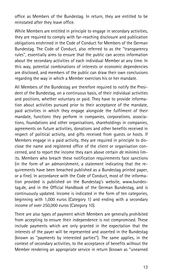office as Members of the Bundestag. In return, they are entitled to be reinstated after they leave office.

While Members are entitled in principle to engage in secondary activities, they are required to comply with far-reaching disclosure and publication obligations enshrined in the Code of Conduct for Members of the German Bundestag. The Code of Conduct, also referred to as the ''transparency rules'', essentially aims to ensure that the public can access information about the secondary activities of each individual Member at any time. In this way, potential combinations of interests or economic dependencies are disclosed, and members of the public can draw their own conclusions regarding the way in which a Member exercises his or her mandate.

All Members of the Bundestag are therefore required to notify the President of the Bundestag, on a continuous basis, of their individual activities and positions, whether voluntary or paid. They have to provide information about activities pursued prior to their acceptance of the mandate, paid activities in which they engage alongside the fulfilment of their mandate, functions they perform in companies, corporations, associations, foundations and other organisations, shareholdings in companies, agreements on future activities, donations and other benefits received in respect of political activity, and gifts received from guests or hosts. If Members engage in a paid activity, they are required in principle to disclose the name and registered office of the client or organisation concerned, and to report the income they earn above certain de minimis limits. Members who breach these notification requirements face sanctions (in the form of an admonishment, a statement indicating that the requirements have been breached published as a Bundestag printed paper, or a fine). In accordance with the Code of Conduct, most of the information provided is published on the Bundestag's website, www.bundestag.de, and in the Official Handbook of the German Bundestag, and is continuously updated. Income is indicated in the form of ten categories, beginning with 1,000 euros (Category 1) and ending with a secondary income of over 250,000 euros (Category 10).

There are also types of payment which Members are generally prohibited from accepting to ensure their independence is not compromised. These include payments which are only granted in the expectation that the interests of the payer will be represented and asserted in the Bundestag (known as ''payments by interested parties''). The same applies, in the context of secondary activities, to the acceptance of benefits without the Member rendering an appropriate service in return (known as ''unearned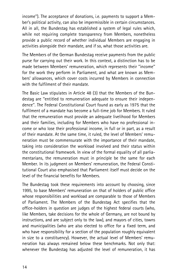income''). The acceptance of donations, i.e. payments to support a Member's political activity, can also be impermissible in certain circumstances. All in all, the Bundestag has established a system of legal rules which, while not requiring complete transparency from Members, nonetheless provide a public record of whether individual Members are engaging in activities alongside their mandate, and if so, what those activities are.

The Members of the German Bundestag receive payments from the public purse for carrying out their work. In this context, a distinction has to be made between Members' remuneration, which represents their ''income'' for the work they perform in Parliament, and what are known as Members' allowances, which cover costs incurred by Members in connection with the fulfilment of their mandate.

The Basic Law stipulates in Article 48 (3) that the Members of the Bundestag are ''entitled to remuneration adequate to ensure their independence''. The Federal Constitutional Court found as early as 1975 that the fulfilment of a mandate has become a full-time job for Members. It ruled that the remuneration must provide an adequate livelihood for Members and their families, including for Members who have no professional income or who lose their professional income, in full or in part, as a result of their mandate. At the same time, it ruled, the level of Members' remuneration must be commensurate with the importance of their mandate, taking into consideration the workload involved and their status within the constitutional framework. In view of the formal equality of all parliamentarians, the remuneration must in principle be the same for each Member. In its judgment on Members' remuneration, the Federal Constitutional Court also emphasised that Parliament itself must decide on the level of the financial benefits for Members.

The Bundestag took these requirements into account by choosing, since 1995, to base Members' remuneration on that of holders of public office whose responsibilities and workload are comparable to those of Members of Parliament. The Members of the Bundestag Act specifies that the office-holders in question are judges of the highest federal courts (who, like Members, take decisions for the whole of Germany, are not bound by instructions, and are subject only to the law), and mayors of cities, towns and municipalities (who are also elected to office for a fixed term, and who have responsibility for a section of the population roughly equivalent in size to a constituency). However, the actual level of Members' remuneration has always remained below these benchmarks. Not only that: whenever the Bundestag has adjusted the level of remuneration, it has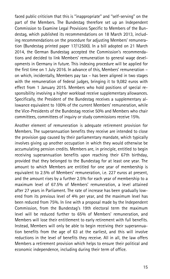faced public criticism that this is ''inappropriate'' and ''self-serving'' on the part of the Members. The Bundestag therefore set up an Independent Commission to Examine Legal Provisions Specific to Members of the Bundestag, which published its recommendations on 18 March 2013, including recommendations on the procedure for adjusting Members' remuneration (Bundestag printed paper 17/12500). In a bill adopted on 21 March 2014, the German Bundestag accepted the Commission's recommendations and decided to link Members' remuneration to general wage developments in Germany in future. This indexing procedure will be applied for the first time on 1 July 2016. In advance of this, Members' remuneration – on which, incidentally, Members pay tax – has been aligned in two stages with the remuneration of federal judges, bringing it to 9,082 euros with effect from 1 January 2015. Members who hold positions of special responsibility involving a higher workload receive supplementary allowances. Specifically, the President of the Bundestag receives a supplementary allowance equivalent to 100% of the current Members' remuneration, while the Vice-Presidents of the Bundestag receive 50% and Members who chair committees, committees of inquiry or study commissions receive 15%.

Another element of remuneration is adequate retirement provision for Members. The superannuation benefits they receive are intended to close the provision gap caused by their parliamentary mandate, which typically involves giving up another occupation in which they would otherwise be accumulating pension credits. Members are, in principle, entitled to begin receiving superannuation benefits upon reaching their 67th birthday, provided that they belonged to the Bundestag for at least one year. The amount to which Members are entitled for one year of membership is equivalent to 2.5% of Members' remuneration, i.e. 227 euros at present, and the amount rises by a further 2.5% for each year of membership to a maximum level of 67.5% of Members' remuneration, a level attained after 27 years in Parliament. The rate of increase has been gradually lowered from its previous level of 4% per year, and the maximum level has been reduced from 75%. In line with a proposal made by the Independent Commission, from the Bundestag's 19th electoral term the maximum level will be reduced further to 65% of Members' remuneration, and Members will lose their entitlement to early retirement with full benefits. Instead, Members will only be able to begin receiving their superannuation benefits from the age of 63 at the earliest, and this will involve reductions in the level of benefits they receive. All in all, the law offers Members a retirement provision which helps to ensure their political and economic independence, including during their term of office.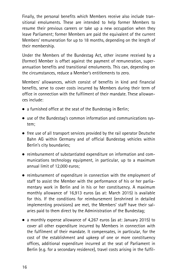Finally, the personal benefits which Members receive also include transitional emoluments. These are intended to help former Members to resume their previous careers or take up a new occupation when they leave Parliament; former Members are paid the equivalent of the current Members' remuneration for up to 18 months, depending on the length of their membership.

Under the Members of the Bundestag Act, other income received by a (former) Member is offset against the payment of remuneration, superannuation benefits and transitional emoluments. This can, depending on the circumstances, reduce a Member's entitlements to zero.

Members' allowances, which consist of benefits in kind and financial benefits, serve to cover costs incurred by Members during their term of office in connection with the fulfilment of their mandate. These allowances include:

- . a furnished office at the seat of the Bundestag in Berlin;
- . use of the Bundestag's common information and communications system;
- . free use of all transport services provided by the rail operator Deutsche Bahn AG within Germany and of official Bundestag vehicles within Berlin's city boundaries;
- . reimbursement of substantiated expenditure on information and communications technology equipment, in particular, up to a maximum annual limit of 12,000 euros;
- . reimbursement of expenditure in connection with the employment of staff to assist the Member with the performance of his or her parliamentary work in Berlin and in his or her constituency. A maximum monthly allowance of 16,913 euros (as at: March 2015) is available for this. If the conditions for reimbursement (enshrined in detailed implementing provisions) are met, the Members' staff have their salaries paid to them direct by the Administration of the Bundestag;
- . a monthly expense allowance of 4,267 euros (as at: January 2015) to cover all other expenditure incurred by Members in connection with the fulfilment of their mandate. It compensates, in particular, for the cost of the establishment and upkeep of one or more constituency offices, additional expenditure incurred at the seat of Parliament in Berlin (e.g. for a secondary residence), travel costs arising in the fulfil-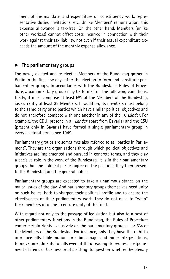ment of the mandate, and expenditure on constituency work, representative duties, invitations, etc. Unlike Members' remuneration, this expense allowance is tax-free. On the other hand, Members (unlike other workers) cannot offset costs incurred in connection with their work against their tax liability, not even if their actual expenditure exceeds the amount of the monthly expense allowance.

#### $\blacktriangleright$  The parliamentary groups

The newly elected and re-elected Members of the Bundestag gather in Berlin in the first few days after the election to form and constitute parliamentary groups. In accordance with the Bundestag's Rules of Procedure, a parliamentary group may be formed on the following conditions: firstly, it must comprise at least 5% of the Members of the Bundestag, i.e. currently at least 32 Members. In addition, its members must belong to the same party or to parties which have similar political objectives and do not, therefore, compete with one another in any of the 16 Länder. For example, the CDU (present in all Länder apart from Bavaria) and the CSU (present only in Bavaria) have formed a single parliamentary group in every electoral term since 1949.

Parliamentary groups are sometimes also referred to as ''parties in Parliament''. They are the organisations through which political objectives and initiatives are implemented and pursued in concrete terms, and they play a decisive role in the work of the Bundestag. It is in their parliamentary groups that the political parties agree on the positions they then present to the Bundestag and the general public.

Parliamentary groups are expected to take a unanimous stance on the major issues of the day. And parliamentary groups themselves need unity on such issues, both to sharpen their political profile and to ensure the effectiveness of their parliamentary work. They do not need to ''whip'' their members into line to ensure unity of this kind.

With regard not only to the passage of legislation but also to a host of other parliamentary functions in the Bundestag, the Rules of Procedure confer certain rights exclusively on the parliamentary groups – or 5% of the Members of the Bundestag. For instance, only they have the right to introduce bills, table motions or submit major and minor interpellations; to move amendments to bills even at third reading; to request postponement of items of business or of a sitting; to question whether the plenary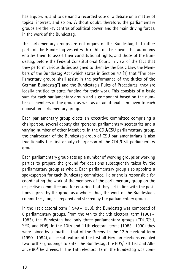has a quorum; and to demand a recorded vote or a debate on a matter of topical interest, and so on. Without doubt, therefore, the parliamentary groups are the key centres of political power, and the main driving forces, in the work of the Bundestag.

The parliamentary groups are not organs of the Bundestag, but rather parts of the Bundestag vested with rights of their own. This autonomy entitles them to assert their constitutional rights, and those of the Bundestag, before the Federal Constitutional Court. In view of the fact that they perform various duties assigned to them by the Basic Law, the Members of the Bundestag Act (which states in Section 47 (1) that ''The parliamentary groups shall assist in the performance of the duties of the German Bundestag'') and the Bundestag's Rules of Procedures, they are legally entitled to state funding for their work. This consists of a basic sum for each parliamentary group and a component based on the number of members in the group, as well as an additional sum given to each opposition parliamentary group.

Each parliamentary group elects an executive committee comprising a chairperson, several deputy chairpersons, parliamentary secretaries and a varying number of other Members. In the CDU/CSU parliamentary group, the chairperson of the Bundestag group of CSU parliamentarians is also traditionally the first deputy chairperson of the CDU/CSU parliamentary group.

Each parliamentary group sets up a number of working groups or working parties to prepare the ground for decisions subsequently taken by the parliamentary group as whole. Each parliamentary group also appoints a spokesperson for each Bundestag committee. He or she is responsible for coordinating the work of the members of the parliamentary group on the respective committee and for ensuring that they act in line with the positions agreed by the group as a whole. Thus, the work of the Bundestag's committees, too, is prepared and steered by the parliamentary groups.

In the 1st electoral term (1949 – 1953), the Bundestag was composed of 8 parliamentary groups. From the 4th to the 9th electoral term (1961 – 1983), the Bundestag had only three parliamentary groups (CDU/CSU, SPD, and FDP). In the 10th and 11th electoral terms (1983 – 1990) they were joined by a fourth – that of the Greens. In the 12th electoral term (1990 – 1994), a special feature of the first all-German elections enabled two further groupings to enter the Bundestag: the PDS/Left List and Alliance 90/The Greens. In the 15th electoral term, the Bundestag was com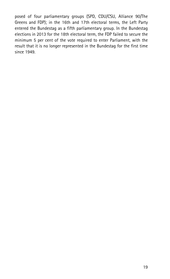posed of four parliamentary groups (SPD, CDU/CSU, Alliance 90/The Greens and FDP); in the 16th and 17th electoral terms, the Left Party entered the Bundestag as a fifth parliamentary group. In the Bundestag elections in 2013 for the 18th electoral term, the FDP failed to secure the minimum 5 per cent of the vote required to enter Parliament, with the result that it is no longer represented in the Bundestag for the first time since 1949.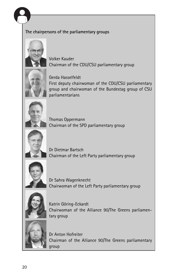

#### The chairpersons of the parliamentary groups



Volker Kauder Chairman of the CDU/CSU parliamentary group



Gerda Hasselfeldt First deputy chairwoman of the CDU/CSU parliamentary group and chairwoman of the Bundestag group of CSU parliamentarians



Thomas Oppermann Chairman of the SPD parliamentary group



Dr Dietmar Bartsch Chairman of the Left Party parliamentary group



Dr Sahra Wagenknecht Chairwoman of the Left Party parliamentary group



Katrin Göring-Eckardt Chairwoman of the Alliance 90/The Greens parliamentary group



Dr Anton Hofreiter Chairman of the Alliance 90/The Greens parliamentary group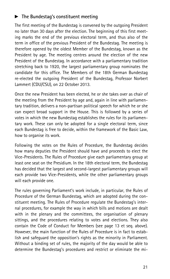#### $\blacktriangleright$  The Bundestag's constituent meeting

The first meeting of the Bundestag is convened by the outgoing President no later than 30 days after the election. The beginning of this first meeting marks the end of the previous electoral term, and thus also of the term in office of the previous President of the Bundestag. The meeting is therefore opened by the oldest Member of the Bundestag, known as the President by age. The meeting centres around the election of the new President of the Bundestag. In accordance with a parliamentary tradition stretching back to 1920, the largest parliamentary group nominates the candidate for this office. The Members of the 18th German Bundestag re-elected the outgoing President of the Bundestag, Professor Norbert Lammert (CDU/CSU), on 22 October 2013.

Once the new President has been elected, he or she takes over as chair of the meeting from the President by age and, again in line with parliamentary tradition, delivers a non-partisan political speech for which he or she can expect broad support in the House. This is followed by a series of votes in which the new Bundestag establishes the rules for its parliamentary work. These can only be adopted for a single electoral term, since each Bundestag is free to decide, within the framework of the Basic Law, how to organise its work.

Following the votes on the Rules of Procedure, the Bundestag decides how many deputies the President should have and proceeds to elect the Vice-Presidents. The Rules of Procedure give each parliamentary group at least one seat on the Presidium. In the 18th electoral term, the Bundestag has decided that the largest and second-largest parliamentary groups will each provide two Vice-Presidents, while the other parliamentary groups will each provide one.

The rules governing Parliament's work include, in particular, the Rules of Procedure of the German Bundestag, which are adopted during the constituent meeting. The Rules of Procedure regulate the Bundestag's internal procedures, for example the way in which bills and motions are dealt with in the plenary and the committees, the organisation of plenary sittings, and the procedures relating to votes and elections. They also contain the Code of Conduct for Members (see page 13 et seq. above). However, the main function of the Rules of Procedure is in fact to establish and safeguard the opposition's rights as the minority in Parliament. Without a binding set of rules, the majority of the day would be able to determine the Bundestag's procedures and restrict or eliminate the mi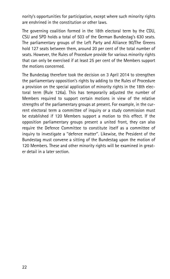nority's opportunities for participation, except where such minority rights are enshrined in the constitution or other laws.

The governing coalition formed in the 18th electoral term by the CDU, CSU and SPD holds a total of 503 of the German Bundestag's 630 seats. The parliamentary groups of the Left Party and Alliance 90/The Greens hold 127 seats between them, around 20 per cent of the total number of seats. However, the Rules of Procedure provide for various minority rights that can only be exercised if at least 25 per cent of the Members support the motions concerned.

The Bundestag therefore took the decision on 3 April 2014 to strengthen the parliamentary opposition's rights by adding to the Rules of Procedure a provision on the special application of minority rights in the 18th electoral term (Rule 126a). This has temporarily adjusted the number of Members required to support certain motions in view of the relative strengths of the parliamentary groups at present. For example, in the current electoral term a committee of inquiry or a study commission must be established if 120 Members support a motion to this effect. If the opposition parliamentary groups present a united front, they can also require the Defence Committee to constitute itself as a committee of inquiry to investigate a ''defence matter''. Likewise, the President of the Bundestag must convene a sitting of the Bundestag upon the motion of 120 Members. These and other minority rights will be examined in greater detail in a later section.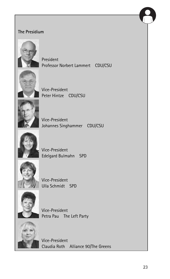

#### The Presidium



President Professor Norbert Lammert CDU/CSU



Vice-President Peter Hintze CDU/CSU



Vice-President Johannes Singhammer CDU/CSU



Vice-President Edelgard Bulmahn SPD



Vice-President Ulla Schmidt SPD



Vice-President Petra Pau The Left Party



Vice-President Claudia Roth Alliance 90/The Greens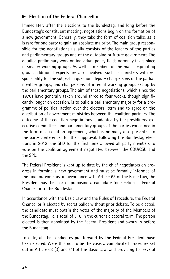#### Election of the Federal Chancellor

Immediately after the elections to the Bundestag, and long before the Bundestag's constituent meeting, negotiations begin on the formation of a new government. Generally, they take the form of coalition talks, as it is rare for one party to gain an absolute majority. The main group responsible for the negotiations usually consists of the leaders of the parties and parliamentary groups and of the outgoing or future government. The detailed preliminary work on individual policy fields normally takes place in smaller working groups. As well as members of the main negotiating group, additional experts are also involved, such as ministers with responsibility for the subject in question, deputy chairpersons of the parliamentary groups, and chairpersons of internal working groups set up by the parliamentary groups. The aim of these negotiations, which since the 1970s have generally taken around three to four weeks, though significantly longer on occasion, is to build a parliamentary majority for a programme of political action over the electoral term and to agree on the distribution of government ministries between the coalition partners. The outcome of the coalition negotiations is adopted by the presidiums, executive committees and parliamentary groups of the parties concerned in the form of a coalition agreement, which is normally also presented to the party conferences for their approval. Following the Bundestag elections in 2013, the SPD for the first time allowed all party members to vote on the coalition agreement negotiated between the CDU/CSU and the SPD.

The Federal President is kept up to date by the chief negotiators on progress in forming a new government and must be formally informed of the final outcome as, in accordance with Article 63 of the Basic Law, the President has the task of proposing a candidate for election as Federal Chancellor to the Bundestag.

In accordance with the Basic Law and the Rules of Procedure, the Federal Chancellor is elected by secret ballot without prior debate. To be elected, the candidate must obtain the votes of the majority of the Members of the Bundestag, i.e. a total of 316 in the current electoral term. The person elected is then appointed by the Federal President and sworn in before the Bundestag.

To date, all the candidates put forward by the Federal President have been elected. Were this not to be the case, a complicated procedure set out in Article 63 (3) and (4) of the Basic Law, and providing for several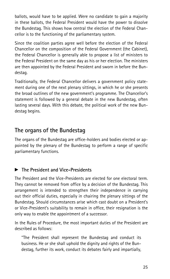ballots, would have to be applied. Were no candidate to gain a majority in these ballots, the Federal President would have the power to dissolve the Bundestag. This shows how central the election of the Federal Chancellor is to the functioning of the parliamentary system.

Since the coalition parties agree well before the election of the Federal Chancellor on the composition of the Federal Government (the Cabinet), the Federal Chancellor is generally able to propose a list of ministers to the Federal President on the same day as his or her election. The ministers are then appointed by the Federal President and sworn in before the Bundestag.

Traditionally, the Federal Chancellor delivers a government policy statement during one of the next plenary sittings, in which he or she presents the broad outlines of the new government's programme. The Chancellor's statement is followed by a general debate in the new Bundestag, often lasting several days. With this debate, the political work of the new Bundestag begins.

#### The organs of the Bundestag

The organs of the Bundestag are office-holders and bodies elected or appointed by the plenary of the Bundestag to perform a range of specific parliamentary functions.

#### $\blacktriangleright$  The President and Vice-Presidents

The President and the Vice-Presidents are elected for one electoral term. They cannot be removed from office by a decision of the Bundestag. This arrangement is intended to strengthen their independence in carrying out their official duties, especially in chairing the plenary sittings of the Bundestag. Should circumstances arise which cast doubt on a President's or Vice-President's suitability to remain in office, their resignation is the only way to enable the appointment of a successor.

In the Rules of Procedure, the most important duties of the President are described as follows:

''The President shall represent the Bundestag and conduct its business. He or she shall uphold the dignity and rights of the Bundestag, further its work, conduct its debates fairly and impartially,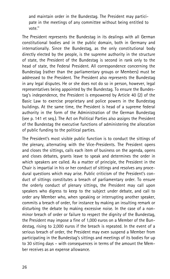and maintain order in the Bundestag. The President may participate in the meetings of any committee without being entitled to vote.''

The President represents the Bundestag in its dealings with all German constitutional bodies and in the public domain, both in Germany and internationally. Since the Bundestag, as the only constitutional body directly elected by the people, is the supreme authority in the structure of state, the President of the Bundestag is second in rank only to the head of state, the Federal President. All correspondence concerning the Bundestag (rather than the parliamentary groups or Members) must be addressed to the President. The President also represents the Bundestag in any legal disputes. He or she does not do so in person, however, legal representatives being appointed by the Bundestag. To ensure the Bundestag's independence, the President is empowered by Article 40 (2) of the Basic Law to exercise proprietary and police powers in the Bundestag buildings. At the same time, the President is head of a supreme federal authority in the form of the Administration of the German Bundestag (see p. 141 et seq.). The Act on Political Parties also assigns the President of the Bundestag the executive functions of administering the allocation of public funding to the political parties.

The President's most visible public function is to conduct the sittings of the plenary, alternating with the Vice-Presidents. The President opens and closes the sittings, calls each item of business on the agenda, opens and closes debates, grants leave to speak and determines the order in which speakers are called. As a matter of principle, the President in the Chair is impartial in his or her conduct of sittings and resolves any procedural questions which may arise. Public criticism of the President's conduct of sittings constitutes a breach of parliamentary order. To ensure the orderly conduct of plenary sittings, the President may call upon speakers who digress to keep to the subject under debate, and call to order any Member who, when speaking or interrupting another speaker, commits a breach of order, for instance by making an insulting remark or disturbing the debate by making excessive noise. In the case of a nonminor breach of order or failure to respect the dignity of the Bundestag, the President may impose a fine of 1,000 euros on a Member of the Bundestag, rising to 2,000 euros if the breach is repeated. In the event of a serious breach of order, the President may even suspend a Member from participating in the Bundestag's sittings and meetings of its bodies for up to 30 sitting days – with consequences in terms of the amount the Member receives as an expense allowance.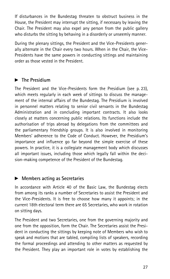If disturbances in the Bundestag threaten to obstruct business in the House, the President may interrupt the sitting, if necessary by leaving the Chair. The President may also expel any person from the public gallery who disturbs the sitting by behaving in a disorderly or unseemly manner.

During the plenary sittings, the President and the Vice-Presidents generally alternate in the Chair every two hours. When in the Chair, the Vice-Presidents have the same powers in conducting sittings and maintaining order as those vested in the President.

#### $\blacktriangleright$  The Presidium

The President and the Vice-Presidents form the Presidium (see p. 23), which meets regularly in each week of sittings to discuss the management of the internal affairs of the Bundestag. The Presidium is involved in personnel matters relating to senior civil servants in the Bundestag Administration and in concluding important contracts. It also looks closely at matters concerning public relations. Its functions include the authorisation of trips abroad by delegations from the committees and the parliamentary friendship groups. It is also involved in monitoring Members' adherence to the Code of Conduct. However, the Presidium's importance and influence go far beyond the simple exercise of these powers. In practice, it is a collegiate management body which discusses all important issues, including those which legally fall within the decision-making competence of the President of the Bundestag.

#### $\blacktriangleright$  Members acting as Secretaries

In accordance with Article 40 of the Basic Law, the Bundestag elects from among its ranks a number of Secretaries to assist the President and the Vice-Presidents. It is free to choose how many it appoints; in the current 18th electoral term there are 65 Secretaries, who work in rotation on sitting days.

The President and two Secretaries, one from the governing majority and one from the opposition, form the Chair. The Secretaries assist the President in conducting the sittings by keeping note of Members who wish to speak and motions that are tabled, compiling lists of speakers, recording the formal proceedings and attending to other matters as requested by the President. They play an important role in votes by establishing the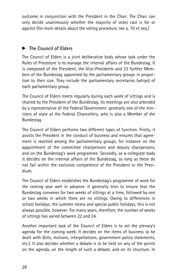outcome in conjunction with the President in the Chair. The Chair can only decide unanimously whether the majority of votes cast is for or against (for more details about the voting procedure, see p. 70 et seq.)

#### The Council of Elders

The Council of Elders is a joint deliberative body whose task under the Rules of Procedure is to manage the internal affairs of the Bundestag. It is composed of the President, the Vice-Presidents and 23 further Members of the Bundestag appointed by the parliamentary groups in proportion to their size. They include the parliamentary secretaries (whips) of each parliamentary group.

The Council of Elders meets regularly during each week of sittings and is chaired by the President of the Bundestag. Its meetings are also attended by a representative of the Federal Government: generally one of the ministers of state at the Federal Chancellery, who is also a Member of the Bundestag.

The Council of Elders performs two different types of function. Firstly, it assists the President in the conduct of business and ensures that agreement is reached among the parliamentary groups, for instance on the appointment of the committee chairpersons and deputy chairpersons, and on the Bundestag's work programme. Secondly, as a collegiate body it decides on the internal affairs of the Bundestag, so long as these do not fall within the exclusive competence of the President or the Presidium.

The Council of Elders establishes the Bundestag's programme of work for the coming year well in advance. It generally tries to ensure that the Bundestag convenes for two weeks of sittings at a time, followed by one or two weeks in which there are no sittings. Owing to differences in school holidays, the summer recess and special public holidays, this is not always possible, however. For many years, therefore, the number of weeks of sittings has varied between 22 and 24.

Another important task of the Council of Elders is to set the plenary's agenda for the coming week. It decides on the items of business to be dealt with (bills, motions, interpellations, government policy statements, etc.). It also decides whether a debate is to be held on any of the points on the agenda, on the length of such a debate, and on its structure. In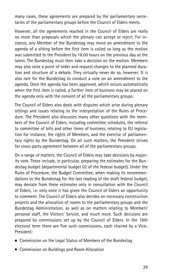many cases, these agreements are prepared by the parliamentary secretaries of the parliamentary groups before the Council of Elders meets.

However, all the agreements reached in the Council of Elders are really no more than proposals which the plenary can accept or reject. For instance, any Member of the Bundestag may move an amendment to the agenda of a sitting before the first item is called so long as the motion was submitted to the President by 18.00 hours on the previous day at the latest. The Bundestag must then take a decision on the motion. Members may also raise a point of order and request changes to the planned duration and structure of a debate. They virtually never do so, however. It is also rare for the Bundestag to conduct a vote on an amendment to the agenda. Once the agenda has been approved, which occurs automatically when the first item is called, a further item of business may be placed on the agenda only with the consent of all the parliamentary groups.

The Council of Elders also deals with disputes which arise during plenary sittings and issues relating to the interpretation of the Rules of Procedure. The President also discusses many other questions with the members of the Council of Elders, including committee schedules, the referral to committee of bills and other items of business, relating to EU legislation for instance, the rights of Members, and the exercise of parliamentary rights by the Bundestag. On all such matters, the President strives for cross-party agreement between all of the parliamentary groups.

On a range of matters, the Council of Elders may take decisions by majority vote. These include, in particular, preparing the estimates for the Bundestag budget (departmental budget 02 of the federal budget). Under the Rules of Procedure, the Budget Committee, when making its recommendations to the Bundestag for the last reading of the draft federal budget, may deviate from these estimates only in consultation with the Council of Elders, i.e. only once it has given the Council of Elders an opportunity to comment. The Council of Elders also decides on necessary construction projects and the allocation of rooms to the parliamentary groups and the Bundestag Administration, as well as on matters relating to Members' personal staff, the Visitors' Service, and much more. Such decisions are prepared by commissions set up by the Council of Elders. In the 18th electoral term there are five such commissions, each chaired by a Vice-President:

- . Commission on the Legal Status of Members of the Bundestag
- . Commission on Buildings and Room Allocation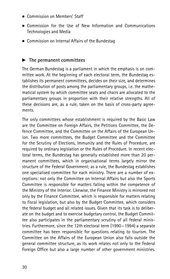- **.** Commission on Members' Staff
- . Commission for the Use of New Information and Communications Technologies and Media
- . Commission on Internal Affairs of the Bundestag

#### $\blacktriangleright$  The permanent committees

The German Bundestag is a parliament in which the emphasis is on committee work. At the beginning of each electoral term, the Bundestag establishes its permanent committees, decides on their size, and determines the distribution of posts among the parliamentary groups, i.e. the mathematical system by which committee seats and chairs are allocated to the parliamentary groups in proportion with their relative strengths. All of these decisions are, as a rule, taken on the basis of cross-party agreements.

The only committees whose establishment is required by the Basic Law are the Committee on Foreign Affairs, the Petitions Committee, the Defence Committee, and the Committee on the Affairs of the European Union. Two more committees, the Budget Committee and the Committee for the Scrutiny of Elections, Immunity and the Rules of Procedure, are required by ordinary legislation or the Rules of Procedure. In recent electoral terms, the Bundestag has generally established more than 20 permanent committees, which in organisational terms largely mirror the structure of the Federal Government; as a rule, the Bundestag establishes one specialised committee for each ministry. There are a number of exceptions: not only the Committee on Internal Affairs but also the Sports Committee is responsible for matters falling within the competence of the Ministry of the Interior. Likewise, the Finance Ministry is mirrored not only by the Finance Committee, which is responsible for matters relating to fiscal legislation, but also by the Budget Committee, which considers the federal budget and all related issues. Given that its task is to deliberate on the budget and to exercise budgetary control, the Budget Committee also participates in the parliamentary scrutiny of all federal ministries. Furthermore, since the 12th electoral term (1990 – 1994) a separate committee has been responsible for questions relating to tourism. The Committee on the Affairs of the European Union also falls outside the general committee structure, as its work relates not only to the Federal Foreign Office but also a large number of other government ministries.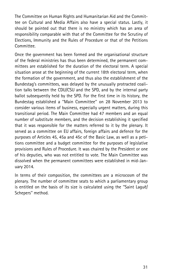The Committee on Human Rights and Humanitarian Aid and the Committee on Cultural and Media Affairs also have a special status. Lastly, it should be pointed out that there is no ministry which has an area of responsibility comparable with that of the Committee for the Scrutiny of Elections, Immunity and the Rules of Procedure or that of the Petitions Committee.

Once the government has been formed and the organisational structure of the federal ministries has thus been determined, the permanent committees are established for the duration of the electoral term. A special situation arose at the beginning of the current 18th electoral term, when the formation of the government, and thus also the establishment of the Bundestag's committees, was delayed by the unusually protracted coalition talks between the CDU/CSU and the SPD, and by the internal party ballot subsequently held by the SPD. For the first time in its history, the Bundestag established a ''Main Committee'' on 28 November 2013 to consider various items of business, especially urgent matters, during this transitional period. The Main Committee had 47 members and an equal number of substitute members, and the decision establishing it specified that it was responsible for the matters referred to it by the plenary. It served as a committee on EU affairs, foreign affairs and defence for the purposes of Articles 45, 45a and 45c of the Basic Law, as well as a petitions committee and a budget committee for the purposes of legislative provisions and Rules of Procedure. It was chaired by the President or one of his deputies, who was not entitled to vote. The Main Committee was dissolved when the permanent committees were established in mid-January 2014.

In terms of their composition, the committees are a microcosm of the plenary. The number of committee seats to which a parliamentary group is entitled on the basis of its size is calculated using the "Saint Laguë/ Schepers'' method.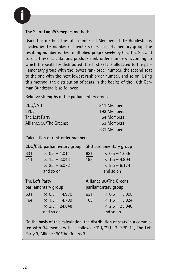

#### The Saint Laquë/Schepers method:

Using this method, the total number of Members of the Bundestag is divided by the number of members of each parliamentary group; the resulting number is then multiplied progressively by 0.5, 1.5, 2.5 and so on. These calculations produce rank order numbers according to which the seats are distributed: the first seat is allocated to the parliamentary group with the lowest rank order number, the second seat to the one with the next lowest rank order number, and so on. Using this method, the distribution of seats in the bodies of the 18th German Bundestag is as follows:

Relative strengths of the parliamentary groups

| CDU/CSU:                | 311 Members |
|-------------------------|-------------|
| SPD:                    | 193 Members |
| The Left Party:         | 64 Members  |
| Alliance 90/The Greens: | 63 Members  |
|                         | 631 Members |

Calculation of rank order numbers:

|                | CDU/CSU parliamentary group                                                         | SPD parliamentary group                                                                          |  |
|----------------|-------------------------------------------------------------------------------------|--------------------------------------------------------------------------------------------------|--|
| 631<br>311     | $\times$ 0.5 = 1.014<br>$\times$ 1.5 = 3.043<br>$\times$ 2.5 = 5.072<br>and so on   | 631<br>$\times$ 0.5 = 1.635<br>193<br>$\times$ 1.5 = 4.904<br>$\times$ 2.5 = 8.174<br>and so on  |  |
| The Left Party |                                                                                     | Alliance 90/The Greens                                                                           |  |
|                | parliamentary group                                                                 | parliamentary group                                                                              |  |
| 631<br>64      | $\times$ 0.5 = 4.930<br>$\times$ 1.5 = 14.789<br>$\times$ 2.5 = 24.648<br>and so on | 631<br>$\times$ 0.5 = 5.008<br>63<br>$\times$ 1.5 = 15.024<br>$\times$ 2.5 = 25.040<br>and so on |  |

On the basis of this calculation, the distribution of seats in a committee with 34 members is as follows: CDU/CSU 17, SPD 11, The Left Party 3, Alliance 90/The Greens 3.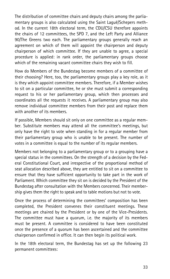The distribution of committee chairs and deputy chairs among the parliamentary groups is also calculated using the Saint Laguë/Schepers method. In the current 18th electoral term, the CDU/CSU therefore appoints the chairs of 12 committees, the SPD 7, and the Left Party and Alliance 90/The Greens two each. The parliamentary groups generally reach an agreement on which of them will appoint the chairperson and deputy chairperson of which committee. If they are unable to agree, a special procedure is applied: in rank order, the parliamentary groups choose which of the remaining vacant committee chairs they wish to fill.

How do Members of the Bundestag become members of a committee of their choosing? Here, too, the parliamentary groups play a key role, as it is they which appoint committee members. Therefore, if a Member wishes to sit on a particular committee, he or she must submit a corresponding request to his or her parliamentary group, which then processes and coordinates all the requests it receives. A parliamentary group may also remove individual committee members from their post and replace them with another of its members.

If possible, Members should sit only on one committee as a regular member. Substitute members may attend all the committee's meetings, but only have the right to vote when standing in for a regular member from their parliamentary group who is unable to be present. The number of votes in a committee is equal to the number of its regular members.

Members not belonging to a parliamentary group or to a grouping have a special status in the committees. On the strength of a decision by the Federal Constitutional Court, and irrespective of the proportional method of seat allocation described above, they are entitled to sit on a committee to ensure that they have sufficient opportunity to take part in the work of Parliament. Which committee they sit on is decided by the President of the Bundestag after consultation with the Members concerned. Their membership gives them the right to speak and to table motions but not to vote.

Once the process of determining the committees' composition has been completed, the President convenes their constituent meetings. These meetings are chaired by the President or by one of the Vice-Presidents. The committee must have a quorum, i.e. the majority of its members must be present. A committee is considered to have been constituted once the presence of a quorum has been ascertained and the committee chairperson confirmed in office. It can then begin its political work.

In the 18th electoral term, the Bundestag has set up the following 23 permanent committees: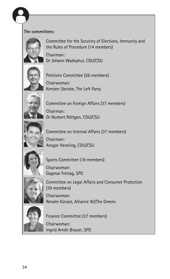

#### The committees:



Committee for the Scrutiny of Elections, Immunity and the Rules of Procedure (14 members)

Chairman: Dr Johann Wadephul, CDU/CSU



Petitions Committee (26 members) Chairwoman: Kersten Steinke, The Left Party



Committee on Foreign Affairs (37 members) Chairman: Dr Norbert Röttgen, CDU/CSU



Committee on Internal Affairs (37 members)



Chairman: Ansgar Heveling, CDU/CSU



Sports Committee (18 members) Chairwoman:

Dagmar Freitag, SPD



Committee on Legal Affairs and Consumer Protection (39 members)

Chairwoman: Renate Künast, Alliance 90/The Greens



Finance Committee (37 members)

Chairwoman: Ingrid Arndt-Brauer, SPD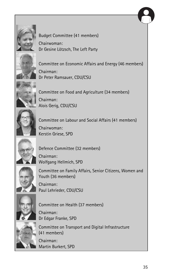



Budget Committee (41 members) Chairwoman: Dr Gesine Lötzsch, The Left Party



Committee on Economic Affairs and Energy (46 members) Chairman: Dr Peter Ramsauer, CDU/CSU



Committee on Food and Agriculture (34 members) Chairman: Alois Gerig, CDU/CSU



Committee on Labour and Social Affairs (41 members) Chairwoman: Kerstin Griese, SPD



Defence Committee (32 members)

Chairman: Wolfgang Hellmich, SPD



Committee on Family Affairs, Senior Citizens, Women and Youth (36 members) Chairman: Paul Lehrieder, CDU/CSU



Committee on Health (37 members)

Chairman: Dr Edgar Franke, SPD



Committee on Transport and Digital Infrastructure (41 members)

Chairman: Martin Burkert, SPD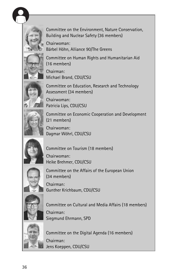



Committee on the Environment, Nature Conservation, Building and Nuclear Safety (36 members)

Chairwoman: Bärbel Höhn, Alliance 90/The Greens



Committee on Human Rights and Humanitarian Aid (16 members)

Chairman: Michael Brand, CDU/CSU



Committee on Education, Research and Technology Assessment (34 members)



Chairwoman: Patricia Lips, CDU/CSU

Committee on Economic Cooperation and Development (21 members)



Chairwoman: Dagmar Wöhrl, CDU/CSU



Committee on Tourism (18 members)

Chairwoman: Heike Brehmer, CDU/CSU



Committee on the Affairs of the European Union (34 members)



Chairman: Gunther Krichbaum, CDU/CSU



Committee on Cultural and Media Affairs (18 members) Chairman:

Siegmund Ehrmann, SPD



Committee on the Digital Agenda (16 members) Chairman: Jens Koeppen, CDU/CSU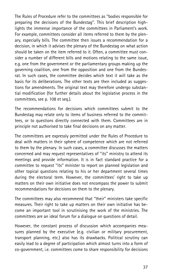The Rules of Procedure refer to the committees as ''bodies responsible for preparing the decisions of the Bundestag''. This brief description highlights the immense importance of the committees in Parliament's work. For example, committees consider all items referred to them by the plenary, especially bills. The committee then issues a recommendation for a decision, in which it advises the plenary of the Bundestag on what action should be taken on the item referred to it. Often, a committee must consider a number of different bills and motions relating to the same issue, e.g. one from the government or the parliamentary groups making up the governing coalition, one from the opposition and one from the Bundesrat. In such cases, the committee decides which text it will take as the basis for its deliberations. The other texts are then included as suggestions for amendments. The original text may therefore undergo substantial modification (for further details about the legislative process in the committees, see p. 108 et seq.).

The recommendations for decisions which committees submit to the Bundestag may relate only to items of business referred to the committees, or to questions directly connected with them. Committees are in principle not authorised to take final decisions on any matter.

The committees are expressly permitted under the Rules of Procedure to deal with matters in their sphere of competence which are not referred to them by the plenary. In such cases, a committee discusses the matters concerned and may request representatives of ''its'' ministry to attend its meetings and provide information. It is in fact standard practice for a committee to request ''its'' minister to report on planned legislation and other topical questions relating to his or her department several times during the electoral term. However, the committees' right to take up matters on their own initiative does not encompass the power to submit recommendations for decisions on them to the plenary.

The committees may also recommend that ''their'' ministers take specific measures. Their right to take up matters on their own initiative has become an important tool in scrutinising the work of the ministries. The committees are an ideal forum for a dialogue on questions of detail.

However, the constant process of discussion which accompanies measures planned by the executive (e.g. civilian or military procurement, transport planning, etc.) also has its drawbacks. Political scrutiny can easily lead to a degree of participation which almost turns into a form of co-government, i.e. committees come to share responsibility for decisions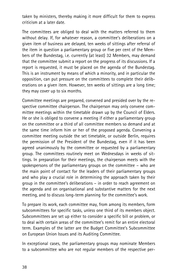taken by ministers, thereby making it more difficult for them to express criticism at a later date.

The committees are obliged to deal with the matters referred to them without delay. If, for whatever reason, a committee's deliberations on a given item of business are delayed, ten weeks of sittings after referral of the item in question a parliamentary group or five per cent of the Members of the Bundestag, i.e. currently (at least) 32 Members, may demand that the committee submit a report on the progress of its discussions. If a report is requested, it must be placed on the agenda of the Bundestag. This is an instrument by means of which a minority, and in particular the opposition, can put pressure on the committees to complete their deliberations on a given item. However, ten weeks of sittings are a long time; they may cover up to six months.

Committee meetings are prepared, convened and presided over by the respective committee chairperson. The chairperson may only convene committee meetings within the timetable drawn up by the Council of Elders. He or she is obliged to convene a meeting if either a parliamentary group on the committee or a third of all committee members so demand and at the same time inform him or her of the proposed agenda. Convening a committee meeting outside the set timetable, or outside Berlin, requires the permission of the President of the Bundestag, even if it has been agreed unanimously by the committee or requested by a parliamentary group. The committees routinely meet on Wednesdays in weeks of sittings. In preparation for their meetings, the chairperson meets with the spokespersons of the parliamentary groups on the committee – who are the main point of contact for the leaders of their parliamentary groups and who play a crucial role in determining the approach taken by their group in the committee's deliberations – in order to reach agreement on the agenda and on organisational and substantive matters for the next meeting, and to discuss long-term planning for the committee's work.

To prepare its work, each committee may, from among its members, form subcommittees for specific tasks, unless one third of its members object. Subcommittees are set up either to consider a specific bill or problem, or to deal with certain areas of the committee's remit for an entire electoral term. Examples of the latter are the Budget Committee's Subcommittee on European Union Issues and its Auditing Committee.

In exceptional cases, the parliamentary groups may nominate Members to a subcommittee who are not regular members of the respective per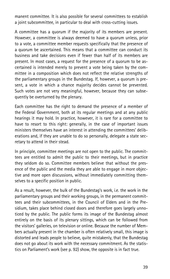manent committee. It is also possible for several committees to establish a joint subcommittee, in particular to deal with cross-cutting issues.

A committee has a quorum if the majority of its members are present. However, a committee is always deemed to have a quorum unless, prior to a vote, a committee member requests specifically that the presence of a quorum be ascertained. This means that a committee can conduct its business and take decisions even if fewer than half of its members are present. In most cases, a request for the presence of a quorum to be ascertained is intended merely to prevent a vote being taken by the committee in a composition which does not reflect the relative strengths of the parliamentary groups in the Bundestag. If, however, a quorum is present, a vote in which a chance majority decides cannot be prevented. Such votes are not very meaningful, however, because they can subsequently be overturned by the plenary.

Each committee has the right to demand the presence of a member of the Federal Government, both at its regular meetings and at any public hearings it may hold. In practice, however, it is rare for a committee to have to resort to this right: generally, in the case of important issues ministers themselves have an interest in attending the committees' deliberations and, if they are unable to do so personally, delegate a state secretary to attend in their stead.

In principle, committee meetings are not open to the public. The committees are entitled to admit the public to their meetings, but in practice they seldom do so. Committee members believe that without the presence of the public and the media they are able to engage in more objective and more open discussions, without immediately committing themselves to a specific position in public.

As a result, however, the bulk of the Bundestag's work, i.e. the work in the parliamentary groups and their working groups, in the permanent committees and their subcommittees, in the Council of Elders and in the Presidium, takes place behind closed doors and therefore goes largely unnoticed by the public. The public forms its image of the Bundestag almost entirely on the basis of its plenary sittings, which can be followed from the visitors' galleries, on television or online. Because the number of Members actually present in the chamber is often relatively small, this image is distorted and leads people to believe, quite mistakenly, that the Bundestag does not go about its work with the necessary commitment. As the statistics on Parliament's work (see p. 92) show, the opposite is in fact true.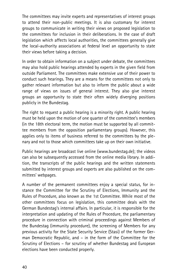The committees may invite experts and representatives of interest groups to attend their non-public meetings. It is also customary for interest groups to communicate in writing their views on proposed legislation to the committees for inclusion in their deliberations. In the case of draft legislation which affects local authorities, the committees generally give the local-authority associations at federal level an opportunity to state their views before taking a decision.

In order to obtain information on a subject under debate, the committees may also hold public hearings attended by experts in the given field from outside Parliament. The committees make extensive use of their power to conduct such hearings. They are a means for the committees not only to gather relevant information but also to inform the public about a wide range of views on issues of general interest. They also give interest groups an opportunity to state their often widely diverging positions publicly in the Bundestag.

The right to request a public hearing is a minority right. A public hearing must be held upon the motion of one quarter of the committee's members (in the 18th electoral term, the motion must be supported by all committee members from the opposition parliamentary groups). However, this applies only to items of business referred to the committees by the plenary and not to those which committees take up on their own initiative.

Public hearings are broadcast live online (www.bundestag.de); the videos can also be subsequently accessed from the online media library. In addition, the transcripts of the public hearings and the written statements submitted by interest groups and experts are also published on the committees' webpages.

A number of the permanent committees enjoy a special status, for instance the Committee for the Scrutiny of Elections, Immunity and the Rules of Procedure, also known as the 1st Committee. While most of the other committees focus on legislation, this committee deals with the German Bundestag's internal affairs. In particular, it is responsible for the interpretation and updating of the Rules of Procedure, the parliamentary procedure in connection with criminal proceedings against Members of the Bundestag (immunity procedure), the screening of Members for any previous activity for the State Security Service (Stasi) of the former German Democratic Republic, and – in the form of the Committee for the Scrutiny of Elections – for scrutiny of whether Bundestag and European elections have been conducted properly.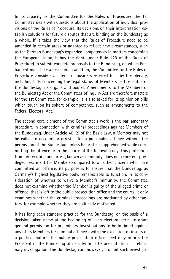In its capacity as the Committee for the Rules of Procedure, the 1st Committee deals with questions about the application of individual provisions of the Rules of Procedure. Its decisions on their interpretation establish solutions for future disputes that are binding on the Bundestag as a whole. If it takes the view that the Rules of Procedure need to be amended in certain areas or adapted to reflect new circumstances, such as the German Bundestag's expanded competences in matters concerning the European Union, it has the right (under Rule 128 of the Rules of Procedure) to submit concrete proposals to the Bundestag, on which Parliament must take a decision. In addition, the Committee for the Rules of Procedure considers all items of business referred to it by the plenary, including bills concerning the legal status of Members or the status of the Bundestag, its organs and bodies. Amendments to the Members of the Bundestag Act or the Committees of Inquiry Act are therefore matters for the 1st Committee, for example. It is also asked for its opinion on bills which touch on its sphere of competence, such as amendments to the Federal Electoral Act.

The second core element of the Committee's work is the parliamentary procedure in connection with criminal proceedings against Members of the Bundestag. Under Article 46 (2) of the Basic Law, a Member may not be called to account or arrested for a punishable offence without the permission of the Bundestag, unless he or she is apprehended while committing the offence or in the course of the following day. This protection from prosecution and arrest, known as immunity, does not represent privileged treatment for Members compared to all other citizens who have committed an offence; its purpose is to ensure that the Bundestag, as Germany's highest legislative body, remains able to function. In its consideration of whether to waive a Member's immunity, the Committee does not examine whether the Member is guilty of the alleged crime or offence; that is left to the public prosecution office and the courts. It only examines whether the criminal proceedings are motivated by other factors, for example whether they are politically motivated.

It has long been standard practice for the Bundestag, on the basis of a decision taken anew at the beginning of each electoral term, to grant general permission for preliminary investigations to be initiated against any of its Members for criminal offences, with the exception of insults of a political nature. The public prosecution office need only inform the President of the Bundestag of its intentions before initiating a preliminary investigation. The Bundestag can, however, prohibit such investiga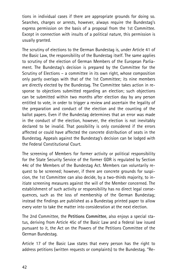tions in individual cases if there are appropriate grounds for doing so. Searches, charges or arrests, however, always require the Bundestag's express permission on the basis of a proposal from the 1st Committee. Except in connection with insults of a political nature, this permission is usually granted.

The scrutiny of elections to the German Bundestag is, under Article 41 of the Basic Law, the responsibility of the Bundestag itself. The same applies to scrutiny of the election of German Members of the European Parliament. The Bundestag's decision is prepared by the Committee for the Scrutiny of Elections – a committee in its own right, whose composition only partly overlaps with that of the 1st Committee; its nine members are directly elected by the Bundestag. The Committee takes action in response to objections submitted regarding an election; such objections can be submitted within two months after election day by any person entitled to vote, in order to trigger a review and ascertain the legality of the preparation and conduct of the election and the counting of the ballot papers. Even if the Bundestag determines that an error was made in the conduct of the election, however, the election is not inevitably declared to be invalid. That possibility is only considered if the errors affected or could have affected the concrete distribution of seats in the Bundestag. Appeals against the Bundestag's decision can be lodged with the Federal Constitutional Court.

The screening of Members for former activity or political responsibility for the State Security Service of the former GDR is regulated by Section 44c of the Members of the Bundestag Act. Members can voluntarily request to be screened; however, if there are concrete grounds for suspicion, the 1st Committee can also decide, by a two-thirds majority, to initiate screening measures against the will of the Member concerned. The establishment of such activity or responsibility has no direct legal consequences, such as the loss of membership of the German Bundestag; instead the findings are published as a Bundestag printed paper to allow every voter to take the matter into consideration at the next election.

The 2nd Committee, the Petitions Committee, also enjoys a special status, deriving from Article 45c of the Basic Law and a federal law issued pursuant to it, the Act on the Powers of the Petitions Committee of the German Bundestag.

Article 17 of the Basic Law states that every person has the right to address petitions (written requests or complaints) to the Bundestag. ''Re-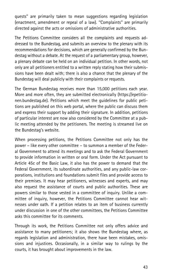quests'' are primarily taken to mean suggestions regarding legislation (enactment, amendment or repeal of a law). ''Complaints'' are primarily directed against the acts or omissions of administrative authorities.

The Petitions Committee considers all the complaints and requests addressed to the Bundestag, and submits an overview to the plenary with its recommendations for decisions, which are generally confirmed by the Bundestag without a debate. At the request of a parliamentary group, however, a plenary debate can be held on an individual petition. In other words, not only are all petitioners entitled to a written reply stating how their submissions have been dealt with; there is also a chance that the plenary of the Bundestag will deal publicly with their complaints or requests.

The German Bundestag receives more than 15,000 petitions each year. More and more often, they are submitted electronically (https://epetitionen.bundestag.de). Petitions which meet the guidelines for public petitions are published on this web portal, where the public can discuss them and express their support by adding their signature. In addition, petitions of particular interest are now also considered by the Committee at a public meeting attended by the petitioners. The meeting is streamed live on the Bundestag's website.

When processing petitions, the Petitions Committee not only has the power – like every other committee – to summon a member of the Federal Government to attend its meetings and to ask the Federal Government to provide information in written or oral form. Under the Act pursuant to Article 45c of the Basic Law, it also has the power to demand that the Federal Government, its subordinate authorities, and any public-law corporations, institutions and foundations submit files and provide access to their premises. It may hear petitioners, witnesses and experts, and may also request the assistance of courts and public authorities. These are powers similar to those vested in a committee of inquiry. Unlike a committee of inquiry, however, the Petitions Committee cannot hear witnesses under oath. If a petition relates to an item of business currently under discussion in one of the other committees, the Petitions Committee asks this committee for its comments.

Through its work, the Petitions Committee not only offers advice and assistance to many petitioners; it also shows the Bundestag where, as regards legislation and administration, there have been mistakes, omissions and injustices. Occasionally, in a similar way to rulings by the courts, it has brought about improvements in the law.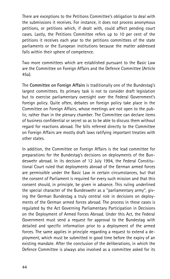There are exceptions to the Petitions Committee's obligation to deal with the submissions it receives. For instance, it does not process anonymous petitions, or petitions which, if dealt with, could affect pending court cases. Lastly, the Petitions Committee refers up to 10 per cent of the petitions it receives each year to the petitions committees of the state parliaments or the European institutions because the matter addressed falls within their sphere of competence.

Two more committees which are established pursuant to the Basic Law are the Committee on Foreign Affairs and the Defence Committee (Article 45a).

The Committee on Foreign Affairs is traditionally one of the Bundestag's largest committees. Its primary task is not to consider draft legislation but to exercise parliamentary oversight over the Federal Government's foreign policy. Quite often, debates on foreign policy take place in the Committee on Foreign Affairs, whose meetings are not open to the public, rather than in the plenary chamber. The Committee can declare items of business confidential or secret so as to be able to discuss them without regard for reactions abroad. The bills referred directly to the Committee on Foreign Affairs are mostly draft laws ratifying important treaties with other states.

In addition, the Committee on Foreign Affairs is the lead committee for preparations for the Bundestag's decisions on deployments of the Bundeswehr abroad. In its decision of 12 July 1994, the Federal Constitutional Court ruled that deployments abroad of the German armed forces are permissible under the Basic Law in certain circumstances, but that the consent of Parliament is required for every such mission and that this consent should, in principle, be given in advance. This ruling underlined the special character of the Bundeswehr as a ''parliamentary army'', giving the German Bundestag a truly central role in decisions on deployments of the German armed forces abroad. The process in these cases is regulated by the Act Governing Parliamentary Participation in Decisions on the Deployment of Armed Forces Abroad. Under this Act, the Federal Government must send a request for approval to the Bundestag with detailed and specific information prior to a deployment of the armed forces. The same applies in principle regarding a request to extend a deployment, which must be submitted in good time before the expiry of an existing mandate. After the conclusion of the deliberations, in which the Defence Committee is always also involved as a committee asked for its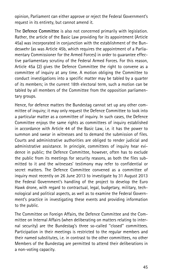opinion, Parliament can either approve or reject the Federal Government's request in its entirety, but cannot amend it.

The Defence Committee is also not concerned primarily with legislation. Rather, the article of the Basic Law providing for its appointment (Article 45a) was incorporated in conjunction with the establishment of the Bundeswehr (as was Article 45b, which requires the appointment of a Parliamentary Commissioner for the Armed Forces) in order to guarantee effective parliamentary scrutiny of the Federal Armed Forces. For this reason, Article 45a (2) gives the Defence Committee the right to convene as a committee of inquiry at any time. A motion obliging the Committee to conduct investigations into a specific matter may be tabled by a quarter of its members; in the current 18th electoral term, such a motion can be tabled by all members of the Committee from the opposition parliamentary groups.

Hence, for defence matters the Bundestag cannot set up any other committee of inquiry; it may only request the Defence Committee to look into a particular matter as a committee of inquiry. In such cases, the Defence Committee enjoys the same rights as committees of inquiry established in accordance with Article 44 of the Basic Law, i.e. it has the power to summon and swear in witnesses and to demand the submission of files. Courts and administrative authorities are obliged to render judicial and administrative assistance. In principle, committees of inquiry hear evidence in public; the Defence Committee, however, often has to exclude the public from its meetings for security reasons, as both the files submitted to it and the witnesses' testimony may refer to confidential or secret matters. The Defence Committee convened as a committee of inquiry most recently on 26 June 2013 to investigate by 31 August 2013 the Federal Government's handling of the project to develop the Euro Hawk drone, with regard to contractual, legal, budgetary, military, technological and political aspects, as well as to examine the Federal Government's practice in investigating these events and providing information to the public.

The Committee on Foreign Affairs, the Defence Committee and the Committee on Internal Affairs (when deliberating on matters relating to internal security) are the Bundestag's three so-called ''closed'' committees. Participation in their meetings is restricted to the regular members and their named substitutes, i.e. in contrast to the other committees, no other Members of the Bundestag are permitted to attend their deliberations in a non-voting capacity.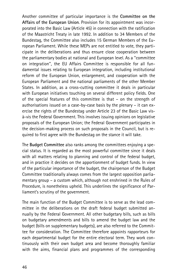Another committee of particular importance is the Committee on the Affairs of the European Union. Provision for its appointment was incorporated into the Basic Law (Article 45) in connection with the ratification of the Maastricht Treaty in late 1992. In addition to 34 Members of the Bundestag, the Committee also includes 15 German Members of the European Parliament. While these MEPs are not entitled to vote, they participate in the deliberations and thus ensure close cooperation between the parliamentary bodies at national and European level. As a ''committee on integration'', the EU Affairs Committee is responsible for all fundamental issues relating to European integration, including institutional reform of the European Union, enlargement, and cooperation with the European Parliament and the national parliaments of the other Member States. In addition, as a cross-cutting committee it deals in particular with European initiatives touching on several different policy fields. One of the special features of this committee is that – on the strength of authorisations issued on a case-by-case basis by the plenary – it can exercise the rights of the Bundestag under Article 23 of the Basic Law visà-vis the Federal Government. This involves issuing opinions on legislative proposals of the European Union; the Federal Government participates in the decision-making process on such proposals in the Council, but is required to first agree with the Bundestag on the stance it will take.

The Budget Committee also ranks among the committees enjoying a special status. It is regarded as the most powerful committee since it deals with all matters relating to planning and control of the federal budget, and in practice it decides on the apportionment of budget funds. In view of the particular importance of the budget, the chairperson of the Budget Committee traditionally always comes from the largest opposition parliamentary group – a custom which, although not enshrined in the Rules of Procedure, is nonetheless upheld. This underlines the significance of Parliament's scrutiny of the government.

The main function of the Budget Committee is to serve as the lead committee in the deliberations on the draft federal budget submitted annually by the Federal Government. All other budgetary bills, such as bills on budgetary amendments and bills to amend the budget law and the budget (bills on supplementary budgets), are also referred to the Committee for consideration. The Committee therefore appoints rapporteurs for each departmental budget for the entire electoral term. They work continuously with their own budget area and become thoroughly familiar with the aims, financial plans and programmes of the corresponding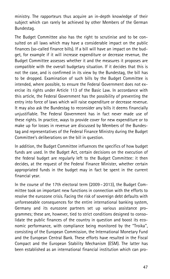ministry. The rapporteurs thus acquire an in-depth knowledge of their subject which can rarely be achieved by other Members of the German Bundestag.

The Budget Committee also has the right to scrutinise and to be consulted on all laws which may have a considerable impact on the public finances (so-called finance bills). If a bill will have an impact on the budget, for example if it will increase expenditure or decrease revenue, the Budget Committee assesses whether it and the measures it proposes are compatible with the overall budgetary situation. If it decides that this is not the case, and is confirmed in its view by the Bundestag, the bill has to be dropped. Examination of such bills by the Budget Committee is intended, where possible, to ensure the Federal Government does not exercise its rights under Article 113 of the Basic Law. In accordance with this article, the Federal Government has the possibility of preventing the entry into force of laws which will raise expenditure or decrease revenue. It may also ask the Bundestag to reconsider any bills it deems financially unjustifiable. The Federal Government has in fact never made use of these rights. In practice, ways to provide cover for new expenditure or to make up for losses in revenue are discussed by Members of the Bundestag and representatives of the Federal Finance Ministry during the Budget Committee's deliberations on the bill in question.

In addition, the Budget Committee influences the specifics of how budget funds are used. In the Budget Act, certain decisions on the execution of the federal budget are regularly left to the Budget Committee: it then decides, at the request of the Federal Finance Minister, whether certain appropriated funds in the budget may in fact be spent in the current financial year.

In the course of the 17th electoral term (2009 – 2013), the Budget Committee took on important new functions in connection with the efforts to resolve the eurozone crisis. Facing the risk of sovereign debt defaults with unforeseeable consequences for the entire international banking system, Germany and its eurozone partners set up various assistance programmes; these are, however, tied to strict conditions designed to consolidate the public finances of the country in question and boost its economic performance, with compliance being monitored by the ''Troika'', consisting of the European Commission, the International Monetary Fund and the European Central Bank. These efforts have resulted in the Fiscal Compact and the European Stability Mechanism (ESM). The latter has been established as an international financial institution which can pro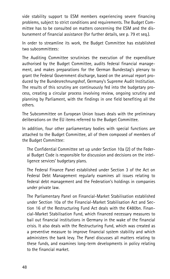vide stability support to ESM members experiencing severe financing problems, subject to strict conditions and requirements. The Budget Committee has to be consulted on matters concerning the ESM and the disbursement of financial assistance (for further details, see p. 79 et seq.).

In order to streamline its work, the Budget Committee has established two subcommittees:

The Auditing Committee scrutinises the execution of the expenditure authorised by the Budget Committee, audits federal financial management, and makes preparations for the German Bundestag's plenary to grant the Federal Government discharge, based on the annual report produced by the Bundesrechnungshof, Germany's Supreme Audit Institution. The results of this scrutiny are continuously fed into the budgetary process, creating a circular process involving review, ongoing scrutiny and planning by Parliament, with the findings in one field benefiting all the others.

The Subcommittee on European Union Issues deals with the preliminary deliberations on the EU items referred to the Budget Committee.

In addition, four other parliamentary bodies with special functions are attached to the Budget Committee, all of them composed of members of the Budget Committee:

The Confidential Committee set up under Section 10a (2) of the Federal Budget Code is responsible for discussion and decisions on the intelligence services' budgetary plans.

The Federal Finance Panel established under Section 3 of the Act on Federal Debt Management regularly examines all issues relating to federal debt management and the Federation's holdings in companies under private law.

The Parliamentary Panel on Financial-Market Stabilisation established under Section 10a of the Financial-Market Stabilisation Act and Section 16 of the Restructuring Fund Act deals with the  $€480$ bn. Financial-Market Stabilisation Fund, which financed necessary measures to bail out financial institutions in Germany in the wake of the financial crisis. It also deals with the Restructuring Fund, which was created as a preventive measure to improve financial system stability and which administers the bank levy. The Panel discusses all matters relating to these funds, and examines long-term developments in policy relating to the financial market.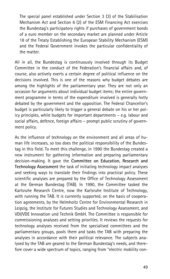The special panel established under Section 3 (3) of the Stabilisation Mechanism Act and Section 6 (2) of the ESM Financing Act exercises the Bundestag's participatory rights if purchases of government bonds of a euro member on the secondary market are planned under Article 18 of the Treaty Establishing the European Stability Mechanism (ESM) and the Federal Government invokes the particular confidentiality of the matter.

All in all, the Bundestag is continuously involved through its Budget Committee in the conduct of the Federation's financial affairs and, of course, also actively exerts a certain degree of political influence on the decisions involved. This is one of the reasons why budget debates are among the highlights of the parliamentary year. They are not only an occasion for arguments about individual budget items; the entire government programme in terms of the expenditure involved is generally hotly debated by the government and the opposition. The Federal Chancellor's budget is particularly likely to trigger a general debate on his or her policy principles, while budgets for important departments – e.g. labour and social affairs, defence, foreign affairs – prompt public scrutiny of government policy.

As the influence of technology on the environment and all areas of human life increases, so too does the political responsibility of the Bundestag in this field. To meet this challenge, in 1990 the Bundestag created a new instrument for gathering information and preparing parliamentary decision-making. It gave the Committee on Education, Research and Technology Assessment the task of initiating technology impact analyses and seeking ways to translate their findings into practical policy. These scientific analyses are prepared by the Office of Technology Assessment at the German Bundestag (TAB). In 1990, the Committee tasked the Karlsruhe Research Centre, now the Karlsruhe Institute of Technology, with running the TAB. It is currently supported, on the basis of cooperation agreements, by the Helmholtz Centre for Environmental Research in Leipzig, the Institute for Futures Studies and Technology Assessment, and VDI/VDE Innovation und Technik GmbH. The Committee is responsible for commissioning analyses and setting priorities. It reviews the requests for technology analyses received from the specialised committees and the parliamentary groups, pools them and tasks the TAB with preparing the analyses in accordance with their political relevance. The subjects analysed by the TAB are geared to the German Bundestag's needs, and therefore cover a wide spectrum of topics, ranging from ''electric mobility con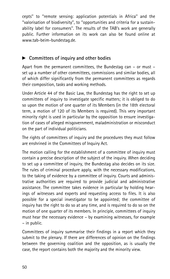cepts'' to ''remote sensing: application potentials in Africa'' and the ''valorisation of biodiversity'', to ''opportunities and criteria for a sustainability label for consumers''. The results of the TAB's work are generally public. Further information on its work can also be found online at www.tab-beim-bundestag.de.

# $\triangleright$  Committees of inquiry and other bodies

Apart from the permanent committees, the Bundestag can – or must – set up a number of other committees, commissions and similar bodies, all of which differ significantly from the permanent committees as regards their composition, tasks and working methods.

Under Article 44 of the Basic Law, the Bundestag has the right to set up committees of inquiry to investigate specific matters; it is obliged to do so upon the motion of one quarter of its Members (in the 18th electoral term, a motion of 120 of its Members is required). This very important minority right is used in particular by the opposition to ensure investigation of cases of alleged misgovernment, maladministration or misconduct on the part of individual politicians.

The rights of committees of inquiry and the procedures they must follow are enshrined in the Committees of Inquiry Act.

The motion calling for the establishment of a committee of inquiry must contain a precise description of the subject of the inquiry. When deciding to set up a committee of inquiry, the Bundestag also decides on its size. The rules of criminal procedure apply, with the necessary modifications, to the taking of evidence by a committee of inquiry. Courts and administrative authorities are required to provide judicial and administrative assistance. The committee takes evidence in particular by holding hearings of witnesses and experts and requesting access to files. It is also possible for a special investigator to be appointed; the committee of inquiry has the right to do so at any time, and is required to do so on the motion of one quarter of its members. In principle, committees of inquiry must hear the necessary evidence – by examining witnesses, for example – in public.

Committees of inquiry summarise their findings in a report which they submit to the plenary. If there are differences of opinion on the findings between the governing coalition and the opposition, as is usually the case, the report contains both the majority and the minority view.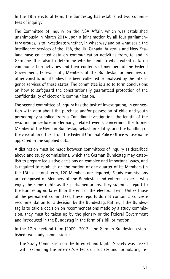In the 18th electoral term, the Bundestag has established two committees of inquiry:

The Committee of Inquiry on the NSA Affair, which was established unanimously in March 2014 upon a joint motion by all four parliamentary groups, is to investigate whether, in what way and on what scale the intelligence services of the USA, the UK, Canada, Australia and New Zealand have collected data on communication activities from, to and in Germany. It is also to determine whether and to what extent data on communication activities and their contents of members of the Federal Government, federal staff, Members of the Bundestag or members of other constitutional bodies has been collected or analysed by the intelligence services of these states. The committee is also to form conclusions on how to safeguard the constitutionally guaranteed protection of the confidentiality of electronic communication.

The second committee of inquiry has the task of investigating, in connection with data about the purchase and/or possession of child and youth pornography supplied from a Canadian investigation, the length of the resulting procedure in Germany, related events concerning the former Member of the German Bundestag Sebastian Edathy, and the handling of the case of an officer from the Federal Criminal Police Office whose name appeared in the supplied data.

A distinction must be made between committees of inquiry as described above and study commissions, which the German Bundestag may establish to prepare legislative decisions on complex and important issues, and is required to establish on the motion of one quarter of its Members (in the 18th electoral term, 120 Members are required). Study commissions are composed of Members of the Bundestag and external experts, who enjoy the same rights as the parliamentarians. They submit a report to the Bundestag no later than the end of the electoral term. Unlike those of the permanent committees, these reports do not contain a concrete recommendation for a decision by the Bundestag. Rather, if the Bundestag is to take a decision on recommendations made by a study commission, they must be taken up by the plenary or the Federal Government and introduced in the Bundestag in the form of a bill or motion.

In the 17th electoral term (2009 – 2013), the German Bundestag established two study commissions:

The Study Commission on the Internet and Digital Society was tasked with examining the internet's effects on society and formulating re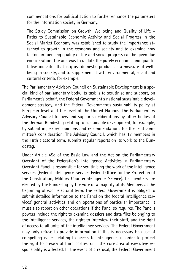commendations for political action to further enhance the parameters for the information society in Germany.

The Study Commission on Growth, Wellbeing and Quality of Life – Paths to Sustainable Economic Activity and Social Progress in the Social Market Economy was established to study the importance attached to growth in the economy and society and to examine how factors influencing quality of life and social progress can be given due consideration. The aim was to update the purely economic and quantitative indicator that is gross domestic product as a measure of wellbeing in society, and to supplement it with environmental, social and cultural criteria, for example.

The Parliamentary Advisory Council on Sustainable Development is a special kind of parliamentary body. Its task is to scrutinise and support, on Parliament's behalf, the Federal Government's national sustainable development strategy, and the Federal Government's sustainability policy at European level and the level of the United Nations. The Parliamentary Advisory Council follows and supports deliberations by other bodies of the German Bundestag relating to sustainable development, for example, by submitting expert opinions and recommendations for the lead committee's consideration. The Advisory Council, which has 17 members in the 18th electoral term, submits regular reports on its work to the Bundestag.

Under Article 45d of the Basic Law and the Act on the Parliamentary Oversight of the Federation's Intelligence Activities, a Parliamentary Oversight Panel is responsible for scrutinising the work of the intelligence services (Federal Intelligence Service, Federal Office for the Protection of the Constitution, Military Counterintelligence Service). Its members are elected by the Bundestag by the vote of a majority of its Members at the beginning of each electoral term. The Federal Government is obliged to submit detailed information to the Panel on the federal intelligence services' general activities and on operations of particular importance. It must also report on other operations if the Panel so requires. The Panel's powers include the right to examine dossiers and data files belonging to the intelligence services, the right to interview their staff, and the right of access to all units of the intelligence services. The Federal Government may only refuse to provide information if this is necessary because of compelling issues relating to access to intelligence, in order to protect the right to privacy of third parties, or if the core area of executive responsibility is affected. In the event of a refusal, the Federal Government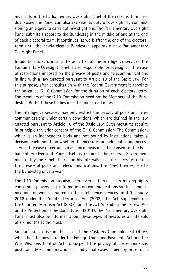must inform the Parliamentary Oversight Panel of the reasons. In individual cases, the Panel can also exercise its duty of oversight by commissioning an expert to carry out investigations. The Parliamentary Oversight Panel submits a report to the Bundestag in the middle of and at the end of each electoral term. It continues its work after the end of the electoral term until the newly elected Bundestag appoints a new Parliamentary Oversight Panel.

In addition to scrutinising the activities of the intelligence services, the Parliamentary Oversight Panel is also responsible for oversight in the case of restrictions imposed on the privacy of posts and telecommunications in line with a law enacted pursuant to Article 10 of the Basic Law. For this purpose, after consultation with the Federal Government it appoints the so-called G 10 Commission for the duration of each electoral term. The members of the G 10 Commission need not be Members of the Bundestag. Both of these bodies meet behind closed doors.

The intelligence services may only restrict the privacy of posts and telecommunications under certain conditions, which are defined in the law enacted pursuant to Article 10 of the Basic Law. Such measures require in principle the prior consent of the G 10 Commission. The Commission, which is an independent body and not bound by instructions, takes a decision each month on whether the measures are admissible and necessary. In the case of certain surveillance measures, the consent of the Parliamentary Oversight Panel itself is required. The Federal Government must notify the Panel at six-monthly intervals of all measures restricting the privacy of posts and telecommunications. The Panel then reports to the Bundestag once a year.

The G 10 Commission has also been given certain decision-making rights concerning powers (e.g. information on communications via telecommunications networks) granted to the intelligence services until 9 January 2016 under the Counter-Terrorism Act (2002), the Act Supplementing the Counter-Terrorism Act (2007), and the Act Amending the Federal Act on the Protection of the Constitution (2011). The Parliamentary Oversight Panel must also be informed about these types of measures at intervals of six months at the most.

Similar issues arise in the case of the Customs Criminological Office, which has the power, under the Foreign Trade and Payments Act and the War Weapons Control Act, to suspend the privacy of correspondence, posts and telecommunications in individual cases, albeit by order of a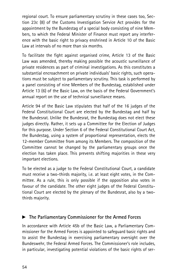regional court. To ensure parliamentary scrutiny in these cases too, Section 23c (8) of the Customs Investigation Service Act provides for the appointment by the Bundestag of a special body consisting of nine Members, to which the Federal Minister of Finance must report any interference with the basic right to privacy enshrined in Article 10 of the Basic Law at intervals of no more than six months.

To facilitate the fight against organised crime, Article 13 of the Basic Law was amended, thereby making possible the acoustic surveillance of private residences as part of criminal investigations. As this constitutes a substantial encroachment on private individuals' basic rights, such operations must be subject to parliamentary scrutiny. This task is performed by a panel consisting of nine Members of the Bundestag, established under Article 13 (6) of the Basic Law, on the basis of the Federal Government's annual report on the use of technical surveillance means.

Article 94 of the Basic Law stipulates that half of the 16 judges of the Federal Constitutional Court are elected by the Bundestag and half by the Bundesrat. Unlike the Bundesrat, the Bundestag does not elect these judges directly. Rather, it sets up a Committee for the Election of Judges for this purpose. Under Section 6 of the Federal Constitutional Court Act, the Bundestag, using a system of proportional representation, elects the 12-member Committee from among its Members. The composition of the Committee cannot be changed by the parliamentary groups once the election has taken place. This prevents shifting majorities in these very important elections.

To be elected as a judge to the Federal Constitutional Court, a candidate must receive a two-thirds majority, i.e. at least eight votes, in the Committee. As a rule, this is only possible if the opposition also votes in favour of the candidate. The other eight judges of the Federal Constitutional Court are elected by the plenary of the Bundesrat, also by a twothirds majority.

## $\blacktriangleright$  The Parliamentary Commissioner for the Armed Forces

In accordance with Article 45b of the Basic Law, a Parliamentary Commissioner for the Armed Forces is appointed to safeguard basic rights and to assist the Bundestag in exercising parliamentary oversight over the Bundeswehr, the Federal Armed Forces. The Commissioner's role includes, in particular, investigating potential violations of the basic rights of ser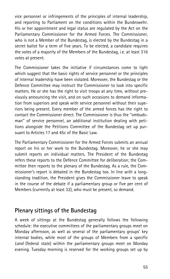vice personnel or infringements of the principles of internal leadership, and reporting to Parliament on the conditions within the Bundeswehr. His or her appointment and legal status are regulated by the Act on the Parliamentary Commissioner for the Armed Forces. The Commissioner, who is not a Member of the Bundestag, is elected by the Bundestag in a secret ballot for a term of five years. To be elected, a candidate requires the votes of a majority of the Members of the Bundestag, i.e. at least 316 votes at present.

The Commissioner takes the initiative if circumstances come to light which suggest that the basic rights of service personnel or the principles of internal leadership have been violated. Moreover, the Bundestag or the Defence Committee may instruct the Commissioner to look into specific matters. He or she has the right to visit troops at any time, without previously announcing the visit, and on such occasions to demand information from superiors and speak with service personnel without their superiors being present. Every member of the armed forces has the right to contact the Commissioner direct. The Commissioner is thus the ''ombudsman'' of service personnel, an additional institution dealing with petitions alongside the Petitions Committee of the Bundestag set up pursuant to Articles 17 and 45c of the Basic Law.

The Parliamentary Commissioner for the Armed Forces submits an annual report on his or her work to the Bundestag. Moreover, he or she may submit reports on individual matters. The President of the Bundestag refers these reports to the Defence Committee for deliberation; the Committee then reports to the plenary of the Bundestag. As a rule, the Commissioner's report is debated in the Bundestag too. In line with a longstanding tradition, the President gives the Commissioner leave to speak in the course of the debate if a parliamentary group or five per cent of Members (currently at least 32), who must be present, so demand.

# Plenary sittings of the Bundestag

A week of sittings at the Bundestag generally follows the following schedule: the executive committees of the parliamentary groups meet on Monday afternoon, as well as several of the parliamentary groups' key internal bodies, while most of the groups of Members from a specific Land (federal state) within the parliamentary groups meet on Monday evening. Tuesday morning is reserved for the working groups set up by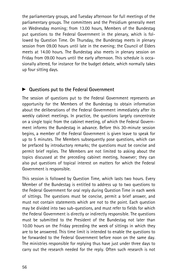the parliamentary groups, and Tuesday afternoon for full meetings of the parliamentary groups. The committees and the Presidium generally meet on Wednesday morning; from 13.00 hours, Members of the Bundestag put questions to the Federal Government in the plenary, which is followed by Question Time. On Thursday, the Bundestag meets in plenary session from 09.00 hours until late in the evening; the Council of Elders meets at 14.00 hours. The Bundestag also meets in plenary session on Friday from 09.00 hours until the early afternoon. This schedule is occasionally altered, for instance for the budget debate, which normally takes up four sitting days.

#### $\triangleright$  Questions put to the Federal Government

The session of questions put to the Federal Government represents an opportunity for the Members of the Bundestag to obtain information about the deliberations of the Federal Government immediately after its weekly cabinet meetings. In practice, the questions largely concentrate on a single topic from the cabinet meeting, of which the Federal Government informs the Bundestag in advance. Before this 30-minute session begins, a member of the Federal Government is given leave to speak for up to 5 minutes. The Members subsequently pose questions, which can be prefaced by introductory remarks; the questions must be concise and permit brief replies. The Members are not limited to asking about the topics discussed at the preceding cabinet meeting, however; they can also put questions of topical interest on matters for which the Federal Government is responsible.

This session is followed by Question Time, which lasts two hours. Every Member of the Bundestag is entitled to address up to two questions to the Federal Government for oral reply during Question Time in each week of sittings. The questions must be concise, permit a brief answer, and must not contain statements which are not to the point. Each question may be divided into two sub-questions, and must refer to fields for which the Federal Government is directly or indirectly responsible. The questions must be submitted to the President of the Bundestag not later than 10.00 hours on the Friday preceding the week of sittings in which they are to be answered. This time limit is intended to enable the questions to be forwarded to the Federal Government before noon on the same day. The ministries responsible for replying thus have just under three days to carry out the research needed for the reply. Often such research is not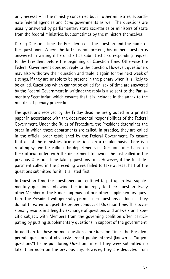only necessary in the ministry concerned but in other ministries, subordinate federal agencies and *Land* governments as well. The questions are usually answered by parliamentary state secretaries or ministers of state from the federal ministries, but sometimes by the ministers themselves.

During Question Time the President calls the question and the name of the questioner. Where the latter is not present, his or her question is answered in writing if he or she has submitted a corresponding request to the President before the beginning of Question Time. Otherwise the Federal Government does not reply to the question. However, questioners may also withdraw their question and table it again for the next week of sittings, if they are unable to be present in the plenary when it is likely to be called. Questions which cannot be called for lack of time are answered by the Federal Government in writing; the reply is also sent to the Parliamentary Secretariat, which ensures that it is included in the annex to the minutes of plenary proceedings.

The questions received by the Friday deadline are grouped in a printed paper in accordance with the departmental responsibilities of the Federal Government. Under the Rules of Procedure, the President determines the order in which these departments are called. In practice, they are called in the official order established by the Federal Government. To ensure that all of the ministries take questions on a regular basis, there is a rotating system for calling the departments in Question Time, based on their official order, with the department following the last called in the previous Question Time taking questions first. However, if the final department called in the preceding week failed to take at least half of the questions submitted for it, it is listed first.

In Question Time the questioners are entitled to put up to two supplementary questions following the initial reply to their question. Every other Member of the Bundestag may put one other supplementary question. The President will generally permit such questions as long as they do not threaten to upset the proper conduct of Question Time. This occasionally results in a lengthy exchange of questions and answers on a specific subject, with Members from the governing coalition often participating by putting supplementary questions in support of the government.

In addition to these normal questions for Question Time, the President permits questions of obviously urgent public interest (known as ''urgent questions'') to be put during Question Time if they were submitted no later than noon on the previous day. However, they are deducted from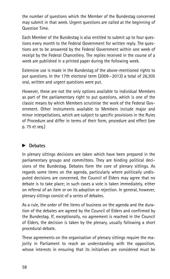the number of questions which the Member of the Bundestag concerned may submit in that week. Urgent questions are called at the beginning of Question Time.

Each Member of the Bundestag is also entitled to submit up to four questions every month to the Federal Government for written reply. The questions are to be answered by the Federal Government within one week of receipt by the Federal Chancellery. The replies received in the course of a week are published in a printed paper during the following week.

Extensive use is made in the Bundestag of the above-mentioned rights to put questions. In the 17th electoral term (2009 – 2013) a total of 26,305 oral, written and urgent questions were put.

However, these are not the only options available to individual Members as part of the parliamentary right to put questions, which is one of the classic means by which Members scrutinise the work of the Federal Government. Other instruments available to Members include major and minor interpellations, which are subject to specific provisions in the Rules of Procedure and differ in terms of their form, procedure and effect (see p. 75 et seq.)

## $\blacktriangleright$  Debates

In plenary sittings decisions are taken which have been prepared in the parliamentary groups and committees. They are binding political decisions of the Bundestag. Debates form the core of plenary sittings. As regards some items on the agenda, particularly where politically undisputed decisions are concerned, the Council of Elders may agree that no debate is to take place; in such cases a vote is taken immediately, either on referral of an item or on its adoption or rejection. In general, however, plenary sittings consist of a series of debates.

As a rule, the order of the items of business on the agenda and the duration of the debates are agreed by the Council of Elders and confirmed by the Bundestag. If, exceptionally, no agreement is reached in the Council of Elders, the decision is taken by the plenary, usually following a short procedural debate.

These agreements on the organisation of plenary sittings require the majority in Parliament to reach an understanding with the opposition, whose interests in ensuring that its initiatives are considered must be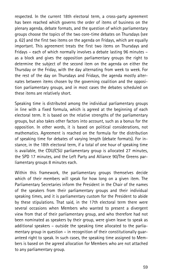respected. In the current 18th electoral term, a cross-party agreement has been reached which governs the order of items of business on the plenary agenda, debate formats, and the question of which parliamentary groups choose the topics of the two core-time debates on Thursdays (see p. 62) and the first two items on the agenda on Fridays, which are equally important. This agreement treats the first two items on Thursdays and Fridays – each of which normally involves a debate lasting 96 minutes – as a block and gives the opposition parliamentary groups the right to determine the subject of the second item on the agenda on either the Thursday or the Friday, with the day alternating from week to week. For the rest of the day on Thursdays and Fridays, the agenda mostly alternates between items chosen by the governing coalition and the opposition parliamentary groups, and in most cases the debates scheduled on these items are relatively short.

Speaking time is distributed among the individual parliamentary groups in line with a fixed formula, which is agreed at the beginning of each electoral term. It is based on the relative strengths of the parliamentary groups, but also takes other factors into account, such as a bonus for the opposition. In other words, it is based on political considerations, not mathematics. Agreement is reached on the formula for the distribution of speaking time for debates of varying length (debate formats). For instance, in the 18th electoral term, if a total of one hour of speaking time is available, the CDU/CSU parliamentary group is allocated 27 minutes, the SPD 17 minutes, and the Left Party and Alliance 90/The Greens parliamentary groups 8 minutes each.

Within this framework, the parliamentary groups themselves decide which of their members will speak for how long on a given item. The Parliamentary Secretaries inform the President in the Chair of the names of the speakers from their parliamentary groups and their individual speaking times, and it is parliamentary custom for the President to abide by these stipulations. That said, in the 17th electoral term there were several occasions when Members who wanted to present a divergent view from that of their parliamentary group, and who therefore had not been nominated as speakers by their group, were given leave to speak as additional speakers – outside the speaking time allocated to the parliamentary group in question – in recognition of their constitutionally guaranteed right to speak. In such cases, the speaking time assigned to Members is based on the agreed allocation for Members who are not attached to any parliamentary group.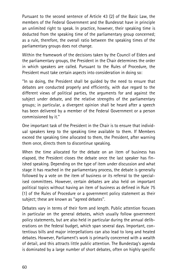Pursuant to the second sentence of Article 43 (2) of the Basic Law, the members of the Federal Government and the Bundesrat have in principle an unlimited right to speak. In practice, however, their speaking time is deducted from the speaking time of the parliamentary group concerned; as a rule, therefore, the overall ratio between the speaking times of the parliamentary groups does not change.

Within the framework of the decisions taken by the Council of Elders and the parliamentary groups, the President in the Chair determines the order in which speakers are called. Pursuant to the Rules of Procedure, the President must take certain aspects into consideration in doing so:

''In so doing, the President shall be guided by the need to ensure that debates are conducted properly and efficiently, with due regard to the different views of political parties, the arguments for and against the subject under debate, and the relative strengths of the parliamentary groups; in particular, a divergent opinion shall be heard after a speech has been delivered by a member of the Federal Government or a person commissioned by it.''

One important task of the President in the Chair is to ensure that individual speakers keep to the speaking time available to them. If Members exceed the speaking time allocated to them, the President, after warning them once, directs them to discontinue speaking.

When the time allocated for the debate on an item of business has elapsed, the President closes the debate once the last speaker has finished speaking. Depending on the type of item under discussion and what stage it has reached in the parliamentary process, the debate is generally followed by a vote on the item of business or its referral to the specialised committees. However, certain debates are also held on important political topics without having an item of business as defined in Rule 75 (1) of the Rules of Procedure or a government policy statement as their subject; these are known as ''agreed debates''.

Debates vary in terms of their form and length. Public attention focuses in particular on the general debates, which usually follow government policy statements, but are also held in particular during the annual deliberations on the federal budget, which span several days. Important, contentious bills and major interpellations can also lead to long and heated debates. However, Parliament's work is primarily concerned with a wealth of detail, and this attracts little public attention. The Bundestag's agenda is dominated by a large number of short debates, often on highly specific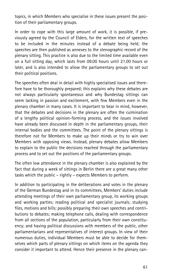topics, in which Members who specialise in these issues present the position of their parliamentary groups.

In order to cope with this large amount of work, it is possible, if previously agreed by the Council of Elders, for the written text of speeches to be included in the minutes instead of a debate being held; the speeches are then published as annexes to the stenographic record of the plenary sitting. This practice is also due to the limited time available even on a full sitting day, which lasts from 09.00 hours until 21.00 hours or later, and is also intended to allow the parliamentary groups to set out their political positions.

The speeches often deal in detail with highly specialised issues and therefore have to be thoroughly prepared; this explains why these debates are not always particularly spontaneous and why Bundestag sittings can seem lacking in passion and excitement, with few Members even in the plenary chamber in many cases. It is important to bear in mind, however, that the debates and decisions in the plenary are often the culmination of a lengthy political opinion-forming process, and the issues involved have already been discussed in depth in the parliamentary groups, their internal bodies and the committees. The point of the plenary sittings is therefore not for Members to make up their minds or try to win over Members with opposing views. Instead, plenary debates allow Members to explain to the public the decisions reached through the parliamentary process and to set out the positions of the parliamentary groups.

The often low attendance in the plenary chamber is also explained by the fact that during a week of sittings in Berlin there are a great many other tasks which the public – rightly – expects Members to perform.

In addition to participating in the deliberations and votes in the plenary of the German Bundestag and in its committees, Members' duties include attending meetings of their own parliamentary group, its working groups and working parties; reading political and specialist journals; studying files, motions and bills; possibly preparing their own speeches and contributions to debates; making telephone calls, dealing with correspondence from all sections of the population, particularly from their own constituency; and having political discussions with members of the public, other parliamentarians and representatives of interest groups. In view of their numerous duties, individual Members must be able to decide for themselves which parts of plenary sittings on which items on the agenda they consider it important to attend. Hence their presence in the plenary can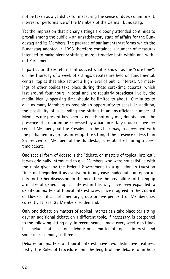not be taken as a yardstick for measuring the sense of duty, commitment, interest or performance of the Members of the German Bundestag.

Yet the impression that plenary sittings are poorly attended continues to prevail among the public – an unsatisfactory state of affairs for the Bundestag and its Members. The package of parliamentary reforms which the Bundestag adopted in 1995 therefore contained a number of measures intended to make plenary sittings more attractive both within and without Parliament.

In particular, these reforms introduced what is known as the ''core time'': on the Thursday of a week of sittings, debates are held on fundamental, central topics that also attract a high level of public interest. No meetings of other bodies take place during these core-time debates, which last around four hours in total and are regularly broadcast live by the media. Ideally, speaking time should be limited to about 10 minutes to give as many Members as possible an opportunity to speak. In addition, the possibility of suspending the sitting if an insufficient number of Members are present has been extended: not only may doubts about the presence of a quorum be expressed by a parliamentary group or five per cent of Members, but the President in the Chair may, in agreement with the parliamentary groups, interrupt the sitting if the presence of less than 25 per cent of Members of the Bundestag is established during a coretime debate.

One special form of debate is the ''debate on matters of topical interest''. It was originally introduced to give Members who were not satisfied with the reply given by the Federal Government to a question in Question Time, and regarded it as evasive or in any case inadequate, an opportunity for further discussion. In the meantime the possibilities of taking up a matter of general topical interest in this way have been expanded: a debate on matters of topical interest takes place if agreed in the Council of Elders or if a parliamentary group or five per cent of Members, i.e. currently at least 32 Members, so demand.

Only one debate on matters of topical interest can take place per sitting day; an additional debate on a different topic, if necessary, is postponed to the following sitting day. In recent years, almost every week of sittings has included at least one debate on a matter of topical interest, and sometimes as many as three.

Debates on matters of topical interest have two distinctive features: firstly, the Rules of Procedure limit the length of the debate to an hour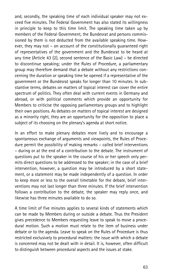and, secondly, the speaking time of each individual speaker may not exceed five minutes. The Federal Government has also stated its willingness in principle to keep to this time limit. The speaking time taken up by members of the Federal Government, the Bundesrat and persons commissioned by them is not deducted from the available speaking time. However, they may not – on account of the constitutionally guaranteed right of representatives of the government and the Bundesrat to be heard at any time (Article 43 (2), second sentence of the Basic Law) – be directed to discontinue speaking; under the Rules of Procedure, a parliamentary group may therefore demand that a debate without any restrictions concerning the duration or speaking time be opened if a representative of the government or the Bundesrat speaks for longer than 10 minutes. In substantive terms, debates on matters of topical interest can cover the entire spectrum of politics. They often deal with current events in Germany and abroad, or with political comments which provide an opportunity for Members to criticise the opposing parliamentary groups and to highlight their own positions. As debates on matters of topical interest are designed as a minority right, they are an opportunity for the opposition to place a subject of its choosing on the plenary's agenda at short notice.

In an effort to make plenary debates more lively and to encourage a spontaneous exchange of arguments and viewpoints, the Rules of Procedure permit the possibility of making remarks – called brief interventions – during or at the end of a contribution to the debate. The instrument of questions put to the speaker in the course of his or her speech only permits direct questions to be addressed to the speaker; in the case of a brief intervention, however, a question may be introduced by a short statement, or a statement may be made independently of a question. In order to keep more or less to the overall timetable for the debate, brief interventions may not last longer than three minutes. If the brief intervention follows a contribution to the debate, the speaker may reply once, and likewise has three minutes available to do so.

A time limit of five minutes applies to several kinds of statements which can be made by Members during or outside a debate. Thus the President gives precedence to Members requesting leave to speak to move a procedural motion. Such a motion must relate to the item of business under debate or to the agenda. Leave to speak on the Rules of Procedure is thus restricted exclusively to procedural matters: the issue with which a debate is concerned may not be dealt with in detail. It is, however, often difficult to distinguish between procedural aspects and the issues at stake.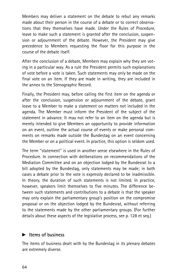Members may deliver a statement on the debate to rebut any remarks made about their person in the course of a debate or to correct observations that they themselves have made. Under the Rules of Procedure, leave to make such a statement is granted after the conclusion, suspension or adjournment of the debate. However, the President may give precedence to Members requesting the floor for this purpose in the course of the debate itself.

After the conclusion of a debate, Members may explain why they are voting in a particular way. As a rule the President permits such explanations of vote before a vote is taken. Such statements may only be made on the final vote on an item. If they are made in writing, they are included in the annex to the Stenographic Record.

Finally, the President may, before calling the first item on the agenda or after the conclusion, suspension or adjournment of the debate, grant leave to a Member to make a statement on matters not included in the agenda. The Member must inform the President of the subject of the statement in advance. It may not refer to an item on the agenda but is merely intended to give Members an opportunity to provide information on an event, outline the actual course of events or make personal comments on remarks made outside the Bundestag on an event concerning the Member or on a political event. In practice, this option is seldom used.

The term ''statement'' is used in another sense elsewhere in the Rules of Procedure. In connection with deliberations on recommendations of the Mediation Committee and on an objection lodged by the Bundesrat to a bill adopted by the Bundestag, only statements may be made; in both cases a debate prior to the vote is expressly declared to be inadmissible. In theory, the duration of such statements is not limited. In practice, however, speakers limit themselves to five minutes. The difference between such statements and contributions to a debate is that the speaker may only explain the parliamentary group's position on the compromise proposal or on the objection lodged by the Bundesrat, without referring to the statements made by the other parliamentary groups. (For further details about these aspects of the legislative process, see p. 128 et seq.)

#### $\blacktriangleright$  Items of business

The items of business dealt with by the Bundestag in its plenary debates are extremely diverse.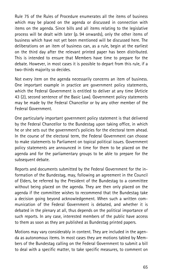Rule 75 of the Rules of Procedure enumerates all the items of business which may be placed on the agenda or discussed in connection with items on the agenda. Since bills and all items relating to the legislative process will be dealt with later (p. 94 onwards), only the other items of business which have not yet been mentioned will be discussed here. The deliberations on an item of business can, as a rule, begin at the earliest on the third day after the relevant printed paper has been distributed. This is intended to ensure that Members have time to prepare for the debate. However, in most cases it is possible to depart from this rule, if a two-thirds majority so decides.

Not every item on the agenda necessarily concerns an item of business. One important example in practice are government policy statements, which the Federal Government is entitled to deliver at any time (Article 43 (2), second sentence of the Basic Law). Government policy statements may be made by the Federal Chancellor or by any other member of the Federal Government.

One particularly important government policy statement is that delivered by the Federal Chancellor to the Bundestag upon taking office, in which he or she sets out the government's policies for the electoral term ahead. In the course of the electoral term, the Federal Government can choose to make statements to Parliament on topical political issues. Government policy statements are announced in time for them to be placed on the agenda and for the parliamentary groups to be able to prepare for the subsequent debate.

Reports and documents submitted by the Federal Government for the information of the Bundestag, may, following an agreement in the Council of Elders, be referred by the President of the Bundestag to a committee without being placed on the agenda. They are then only placed on the agenda if the committee wishes to recommend that the Bundestag take a decision going beyond acknowledgement. When such a written communication of the Federal Government is debated, and whether it is debated in the plenary at all, thus depends on the political importance of such reports. In any case, interested members of the public have access to them as soon as they are published as Bundestag printed papers.

Motions may vary considerably in content. They are included in the agenda as autonomous items. In most cases they are motions tabled by Members of the Bundestag calling on the Federal Government to submit a bill to deal with a specific matter, to take specific measures, to comment on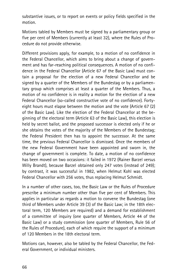substantive issues, or to report on events or policy fields specified in the motion.

Motions tabled by Members must be signed by a parliamentary group or five per cent of Members (currently at least 32), where the Rules of Procedure do not provide otherwise.

Different provisions apply, for example, to a motion of no confidence in the Federal Chancellor, which aims to bring about a change of government and has far-reaching political consequences. A motion of no confidence in the Federal Chancellor (Article 67 of the Basic Law) must contain a proposal for the election of a new Federal Chancellor and be signed by a quarter of the Members of the Bundestag or by a parliamentary group which comprises at least a quarter of the Members. Thus, a motion of no confidence is in reality a motion for the election of a new Federal Chancellor (so-called constructive vote of no confidence). Fortyeight hours must elapse between the motion and the vote (Article 67 (2) of the Basic Law). Like the election of the Federal Chancellor at the beginning of the electoral term (Article 63 of the Basic Law), this election is held by secret ballot, and the proposed successor is elected only if he or she obtains the votes of the majority of the Members of the Bundestag; the Federal President then has to appoint the successor. At the same time, the previous Federal Chancellor is dismissed. Once the members of the new Federal Government have been appointed and sworn in, the change of government is complete. To date, a motion of no confidence has been moved on two occasions: it failed in 1972 (Rainer Barzel versus Willy Brandt), because Barzel obtained only 247 votes (instead of 249); by contrast, it was successful in 1982, when Helmut Kohl was elected Federal Chancellor with 256 votes, thus replacing Helmut Schmidt.

In a number of other cases, too, the Basic Law or the Rules of Procedure prescribe a minimum number other than five per cent of Members. This applies in particular as regards a motion to convene the Bundestag (one third of Members under Article 39 (3) of the Basic Law; in the 18th electoral term, 120 Members are required) and a demand for establishment of a committee of inquiry (one quarter of Members, Article 44 of the Basic Law) or a study commission (one quarter of Members, Rule 56 of the Rules of Procedure), each of which require the support of a minimum of 120 Members in the 18th electoral term.

Motions can, however, also be tabled by the Federal Chancellor, the Federal Government, or individual ministers.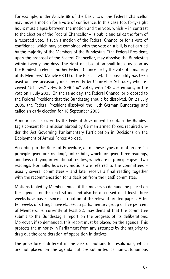For example, under Article 68 of the Basic Law, the Federal Chancellor may move a motion for a vote of confidence. In this case too, forty-eight hours must elapse between the motion and the vote, which – in contrast to the election of the Federal Chancellor – is public and takes the form of a recorded vote. If such a motion of the Federal Chancellor for a vote of confidence, which may be combined with the vote on a bill, is not carried by the majority of the Members of the Bundestag, ''the Federal President, upon the proposal of the Federal Chancellor, may dissolve the Bundestag within twenty-one days. The right of dissolution shall lapse as soon as the Bundestag elects another Federal Chancellor by the vote of a majority of its Members'' (Article 68 (1) of the Basic Law). This possibility has been used on five occasions, most recently by Chancellor Schröder, who received 151 ''yes'' votes to 296 ''no'' votes, with 148 abstentions, in the vote on 1 July 2005. On the same day, the Federal Chancellor proposed to the Federal President that the Bundestag should be dissolved. On 21 July 2005, the Federal President dissolved the 15th German Bundestag and called an early election for 18 September 2005.

A motion is also used by the Federal Government to obtain the Bundestag's consent for a mission abroad by German armed forces, required under the Act Governing Parliamentary Participation in Decisions on the Deployment of Armed Forces Abroad.

According to the Rules of Procedure, all of these types of motion are ''in principle given one reading'', unlike bills, which are given three readings, and laws ratifying international treaties, which are in principle given two readings. Normally, however, motions are referred to the committees – usually several committees – and later receive a final reading together with the recommendation for a decision from the (lead) committee.

Motions tabled by Members must, if the movers so demand, be placed on the agenda for the next sitting and also be discussed if at least three weeks have passed since distribution of the relevant printed papers. After ten weeks of sittings have elapsed, a parliamentary group or five per cent of Members, i.e. currently at least 32, may demand that the committee submit to the Bundestag a report on the progress of its deliberations. Moreover, if so demanded, this report must be placed on the agenda. This protects the minority in Parliament from any attempts by the majority to drag out the consideration of opposition initiatives.

The procedure is different in the case of motions for resolutions, which are not placed on the agenda but are submitted as non-autonomous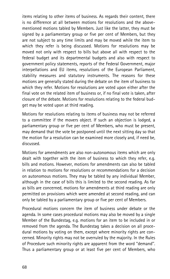items relating to other items of business. As regards their content, there is no difference at all between motions for resolutions and the abovementioned motions tabled by Members. Just like the latter, they must be signed by a parliamentary group or five per cent of Members, but they are not subject to any time limits and may be moved while the item to which they refer is being discussed. Motions for resolutions may be moved not only with respect to bills but above all with respect to the federal budget and its departmental budgets and also with respect to government policy statements, reports of the Federal Government, major interpellations and EU items, resolutions of the European Parliament, stability measures and statutory instruments. The reasons for these motions are generally stated during the debate on the item of business to which they refer. Motions for resolutions are voted upon either after the final vote on the related item of business or, if no final vote is taken, after closure of the debate. Motions for resolutions relating to the federal budget may be voted upon at third reading.

Motions for resolutions relating to items of business may not be referred to a committee if the movers object. If such an objection is lodged, a parliamentary group or five per cent of Members, who must be present, may demand that the vote be postponed until the next sitting day so that the motion for a resolution can be examined more closely and, if need be, discussed.

Motions for amendments are also non-autonomous items which are only dealt with together with the item of business to which they refer, e.g. bills and motions. However, motions for amendments can also be tabled in relation to motions for resolutions or recommendations for a decision on autonomous motions. They may be tabled by any individual Member, although in the case of bills this is limited to the second reading. As far as bills are concerned, motions for amendments at third reading are only permitted on provisions which were amended at second reading, and can only be tabled by a parliamentary group or five per cent of Members.

Procedural motions concern the item of business under debate or the agenda. In some cases procedural motions may also be moved by a single Member of the Bundestag, e.g. motions for an item to be included in or removed from the agenda. The Bundestag takes a decision on all procedural motions by voting on them, except where minority rights are concerned. Minority rights may not be overruled by the majority. In the Rules of Procedure such minority rights are apparent from the word ''demand''. Thus a parliamentary group or at least five per cent of Members, who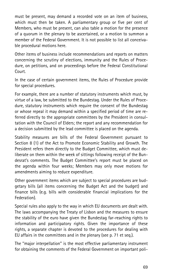must be present, may demand a recorded vote on an item of business, which must then be taken. A parliamentary group or five per cent of Members, who must be present, can also table a motion for the presence of a quorum in the plenary to be ascertained, or a motion to summon a member of the Federal Government. It is not possible to list all conceivable procedural motions here.

Other items of business include recommendations and reports on matters concerning the scrutiny of elections, immunity and the Rules of Procedure, on petitions, and on proceedings before the Federal Constitutional Court.

In the case of certain government items, the Rules of Procedure provide for special procedures.

For example, there are a number of statutory instruments which must, by virtue of a law, be submitted to the Bundestag. Under the Rules of Procedure, statutory instruments which require the consent of the Bundestag or whose repeal it may demand within a specified period of time are referred directly to the appropriate committees by the President in consultation with the Council of Elders; the report and any recommendation for a decision submitted by the lead committee is placed on the agenda.

Stability measures are bills of the Federal Government pursuant to Section 8 (1) of the Act to Promote Economic Stability and Growth. The President refers them directly to the Budget Committee, which must deliberate on them within the week of sittings following receipt of the Bundesrat's comments. The Budget Committee's report must be placed on the agenda within four weeks; Members may only move motions for amendments aiming to reduce expenditure.

Other government items which are subject to special procedures are budgetary bills (all items concerning the Budget Act and the budget) and finance bills (e.g. bills with considerable financial implications for the Federation).

Special rules also apply to the way in which EU documents are dealt with. The laws accompanying the Treaty of Lisbon and the measures to ensure the stability of the euro have given the Bundestag far-reaching rights to information and participatory rights. Given the importance of these rights, a separate chapter is devoted to the procedures for dealing with EU affairs in the committees and in the plenary (see p. 71 et seq.).

The ''major interpellation'' is the most effective parliamentary instrument for obtaining the comments of the Federal Government on important poli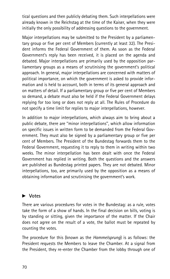tical questions and then publicly debating them. Such interpellations were already known in the Reichstag at the time of the Kaiser, when they were initially the only possibility of addressing questions to the government.

Major interpellations may be submitted to the President by a parliamentary group or five per cent of Members (currently at least 32). The President informs the Federal Government of them. As soon as the Federal Government's reply has been received, it is placed on the agenda and debated. Major interpellations are primarily used by the opposition parliamentary groups as a means of scrutinising the government's political approach. In general, major interpellations are concerned with matters of political importance, on which the government is asked to provide information and is held to account, both in terms of its general approach and on matters of detail. If a parliamentary group or five per cent of Members so demand, a debate must also be held if the Federal Government delays replying for too long or does not reply at all. The Rules of Procedure do not specify a time limit for replies to major interpellations, however.

In addition to major interpellations, which always aim to bring about a public debate, there are ''minor interpellations'', which allow information on specific issues in written form to be demanded from the Federal Government. They must also be signed by a parliamentary group or five per cent of Members. The President of the Bundestag forwards them to the Federal Government, requesting it to reply to them in writing within two weeks. The minor interpellation has been dealt with once the Federal Government has replied in writing. Both the questions and the answers are published as Bundestag printed papers. They are not debated. Minor interpellations, too, are primarily used by the opposition as a means of obtaining information and scrutinising the government's work.

## ▶ Votes

There are various procedures for votes in the Bundestag: as a rule, votes take the form of a show of hands. In the final decision on bills, voting is by standing or sitting, given the importance of the matter. If the Chair does not agree on the result of a vote, the ballot must be repeated by counting the votes.

The procedure for this (known as the Hammelsprung) is as follows: the President requests the Members to leave the Chamber. At a signal from the President, they re-enter the Chamber from the lobby through one of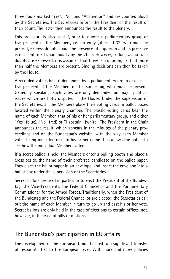three doors marked ''Yes'', ''No'' and ''Abstention'' and are counted aloud by the Secretaries. The Secretaries inform the President of the result of their count. The latter then announces the result to the plenary.

This procedure is also used if, prior to a vote, a parliamentary group or five per cent of the Members, i.e. currently (at least) 32, who must be present, express doubts about the presence of a quorum and its presence is not confirmed unanimously by the Chair. However, so long as no such doubts are expressed, it is assumed that there is a quorum, i.e. that more than half the Members are present. Binding decisions can then be taken by the House.

A recorded vote is held if demanded by a parliamentary group or at least five per cent of the Members of the Bundestag, who must be present. Generally speaking, such votes are only demanded on major political issues which are hotly disputed in the House. Under the supervision of the Secretaries, all the Members place their voting cards in ballot boxes located within the plenary chamber. The plastic voting cards bear the name of each Member, that of his or her parliamentary group, and either ''Yes'' (blue), ''No'' (red) or ''I abstain'' (white). The President in the Chair announces the result, which appears in the minutes of the plenary proceedings and on the Bundestag's website, with the way each Member voted being indicated next to his or her name. This allows the public to see how the individual Members voted.

If a secret ballot is held, the Members enter a polling booth and place a cross beside the name of their preferred candidate on the ballot paper. They place the ballot paper in an envelope, and insert the envelope into a ballot box under the supervision of the Secretaries.

Secret ballots are used in particular to elect the President of the Bundestag, the Vice-Presidents, the Federal Chancellor and the Parliamentary Commissioner for the Armed Forces. Traditionally, when the President of the Bundestag and the Federal Chancellor are elected, the Secretaries call out the name of each Member in turn to go up and cast his or her vote. Secret ballots are only held in the case of elections to certain offices, not, however, in the case of bills or motions.

# The Bundestag's participation in EU affairs

The development of the European Union has led to a significant transfer of responsibilities to the European level. With more and more policies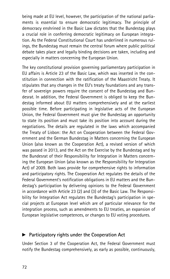being made at EU level, however, the participation of the national parliaments is essential to ensure democratic legitimacy. The principle of democracy enshrined in the Basic Law dictates that the Bundestag plays a crucial role in conferring democratic legitimacy on European integration. As the Federal Constitutional Court has underlined in numerous rulings, the Bundestag must remain the central forum where public political debate takes place and legally binding decisions are taken, including and especially in matters concerning the European Union.

The key constitutional provision governing parliamentary participation in EU affairs is Article 23 of the Basic Law, which was inserted in the constitution in connection with the ratification of the Maastricht Treaty. It stipulates that any changes in the EU's treaty foundations and any transfer of sovereign powers require the consent of the Bundestag and Bundesrat. In addition, the Federal Government is obliged to keep the Bundestag informed about EU matters comprehensively and at the earliest possible time. Before participating in legislative acts of the European Union, the Federal Government must give the Bundestag an opportunity to state its position and must take its position into account during the negotiations. The details are regulated in the laws which accompanied the Treaty of Lisbon: the Act on Cooperation between the Federal Government and the German Bundestag in Matters concerning the European Union (also known as the Cooperation Act), a revised version of which was passed in 2013, and the Act on the Exercise by the Bundestag and by the Bundesrat of their Responsibility for Integration in Matters concerning the European Union (also known as the Responsibility for Integration Act) of 2009. Both laws provide for comprehensive rights to information and participatory rights. The Cooperation Act regulates the details of the Federal Government's notification obligations in EU matters and the Bundestag's participation by delivering opinions to the Federal Government in accordance with Article 23 (2) and (3) of the Basic Law. The Responsibility for Integration Act regulates the Bundestag's participation in special projects at European level which are of particular relevance for the integration process, such as amendments to EU treaties, an expansion of European legislative competences, or changes to EU voting procedures.

#### $\blacktriangleright$  Participatory rights under the Cooperation Act

Under Section 3 of the Cooperation Act, the Federal Government must notify the Bundestag comprehensively, as early as possible, continuously,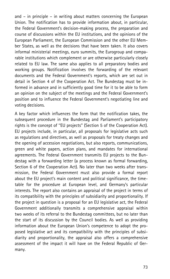and – in principle – in writing about matters concerning the European Union. The notification has to provide information about, in particular, the Federal Government's decision-making process, the preparation and course of discussions within the EU institutions, and the opinions of the European Parliament, the European Commission and the other EU Member States, as well as the decisions that have been taken. It also covers informal ministerial meetings, euro summits, the Eurogroup and comparable institutions which complement or are otherwise particularly closely related to EU law. The same also applies to all preparatory bodies and working groups. Notification involves the forwarding of the relevant documents and the Federal Government's reports, which are set out in detail in Section 4 of the Cooperation Act. The Bundestag must be informed in advance and in sufficiently good time for it to be able to form an opinion on the subject of the meetings and the Federal Government's position and to influence the Federal Government's negotiating line and voting decisions.

A key factor which influences the form that the notification takes, the subsequent procedure in the Bundestag and Parliament's participatory rights is the concept of ''EU projects'' (Section 5 of the Cooperation Act). EU projects include, in particular, all proposals for legislative acts such as regulations and directives, as well as proposals for treaty changes and the opening of accession negotiations, but also reports, communications, green and white papers, action plans, and mandates for international agreements. The Federal Government transmits EU projects to the Bundestag with a forwarding letter (a process known as formal forwarding, Section 6 of the Cooperation Act). No later than two weeks after transmission, the Federal Government must also provide a formal report about the EU project's main content and political significance, the timetable for the procedure at European level, and Germany's particular interests. The report also contains an appraisal of the project in terms of its compatibility with the principles of subsidiarity and proportionality. If the project in question is a proposal for an EU legislative act, the Federal Government additionally transmits a comprehensive appraisal within two weeks of its referral to the Bundestag committees, but no later than the start of its discussion by the Council bodies. As well as providing information about the European Union's competence to adopt the proposed legislative act and its compatibility with the principles of subsidiarity and proportionality, the appraisal also offers a comprehensive assessment of the impact it will have on the Federal Republic of Germany.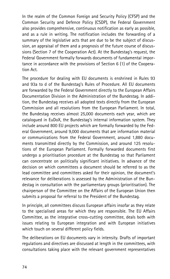In the realm of the Common Foreign and Security Policy (CFSP) and the Common Security and Defence Policy (CSDP), the Federal Government also provides comprehensive, continuous notification as early as possible, and as a rule in writing. The notification includes the forwarding of a summary of the legislative acts that are due to be the subject of discussion, an appraisal of them and a prognosis of the future course of discussions (Section 7 of the Cooperation Act). At the Bundestag's request, the Federal Government formally forwards documents of fundamental importance in accordance with the provisions of Section 6 (1) of the Cooperation Act.

The procedure for dealing with EU documents is enshrined in Rules 93 and 93a to d of the Bundestag's Rules of Procedure. All EU documents are forwarded by the Federal Government directly to the European Affairs Documentation Division in the Administration of the Bundestag. In addition, the Bundestag receives all adopted texts directly from the European Commission and all resolutions from the European Parliament. In total, the Bundestag receives almost 25,000 documents each year, which are catalogued in EuDoX, the Bundestag's internal information system. They include around 800 EU projects which are formally forwarded by the Federal Government, around 9,000 documents that are information material or communications from the Federal Government, around 1,880 documents transmitted directly by the Commission, and around 125 resolutions of the European Parliament. Formally forwarded documents first undergo a prioritisation procedure at the Bundestag so that Parliament can concentrate on politically significant initiatives. In advance of the decision on which committees a document should be referred to as the lead committee and committees asked for their opinion, the document's relevance for deliberations is assessed by the Administration of the Bundestag in consultation with the parliamentary groups (prioritisation). The chairperson of the Committee on the Affairs of the European Union then submits a proposal for referral to the President of the Bundestag.

In principle, all committees discuss European affairs insofar as they relate to the specialised areas for which they are responsible. The EU Affairs Committee, as the integrative cross-cutting committee, deals both with issues relating to European integration and with European initiatives which touch on several different policy fields.

The deliberations on EU documents vary in intensity. Drafts of important regulations and directives are discussed at length in the committees, with consultations taking place with the relevant government representatives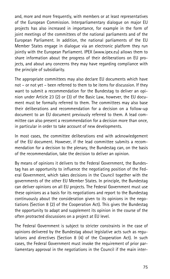and, more and more frequently, with members or at least representatives of the European Commission. Interparliamentary dialogue on major EU projects has also increased in importance, for example in the form of joint meetings of the committees of the national parliaments and of the European Parliament. In addition, the national parliaments of the EU Member States engage in dialogue via an electronic platform they run jointly with the European Parliament. IPEX (www.ipex.eu) allows them to share information about the progress of their deliberations on EU projects, and about any concerns they may have regarding compliance with the principle of subsidiarity.

The appropriate committees may also declare EU documents which have not – or not yet – been referred to them to be items for discussion. If they want to submit a recommendation for the Bundestag to deliver an opinion under Article 23 (2) or (3) of the Basic Law, however, the EU document must be formally referred to them. The committees may also base their deliberations and recommendation for a decision on a follow-up document to an EU document previously referred to them. A lead committee can also present a recommendation for a decision more than once, in particular in order to take account of new developments.

In most cases, the committee deliberations end with acknowledgement of the EU document. However, if the lead committee submits a recommendation for a decision to the plenary, the Bundestag can, on the basis of the recommendation, take the decision to deliver an opinion.

By means of opinions it delivers to the Federal Government, the Bundestag has an opportunity to influence the negotiating position of the Federal Government, which takes decisions in the Council together with the governments of the other EU Member States. In principle, the Bundestag can deliver opinions on all EU projects. The Federal Government must use these opinions as a basis for its negotiations and report to the Bundestag continuously about the consideration given to its opinions in the negotiations (Section 8 (2) of the Cooperation Act). This gives the Bundestag the opportunity to adapt and supplement its opinion in the course of the often protracted discussions on a project at EU level.

The Federal Government is subject to stricter constraints in the case of opinions delivered by the Bundestag about legislative acts such as regulations and directives (Section 8 (4) of the Cooperation Act). In such cases, the Federal Government must invoke the requirement of prior parliamentary approval in the negotiations in the Council if the main inter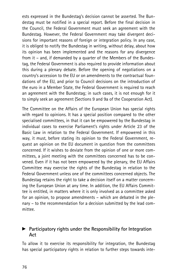ests expressed in the Bundestag's decision cannot be asserted. The Bundestag must be notified in a special report. Before the final decision in the Council, the Federal Government must seek an agreement with the Bundestag. However, the Federal Government may take divergent decisions for important reasons of foreign or integration policy. In any case, it is obliged to notify the Bundestag in writing, without delay, about how its opinion has been implemented and the reasons for any divergence from it – and, if demanded by a quarter of the Members of the Bundestag, the Federal Government is also required to provide information about this during a plenary debate. Before the opening of negotiations on a country's accession to the EU or on amendments to the contractual foundations of the EU, and prior to Council decisions on the introduction of the euro in a Member State, the Federal Government is required to reach an agreement with the Bundestag; in such cases, it is not enough for it to simply seek an agreement (Sections 9 and 9a of the Cooperation Act).

The Committee on the Affairs of the European Union has special rights with regard to opinions. It has a special position compared to the other specialised committees, in that it can be empowered by the Bundestag in individual cases to exercise Parliament's rights under Article 23 of the Basic Law in relation to the Federal Government. If empowered in this way, it must, before stating its opinion to the Federal Government, request an opinion on the EU document in question from the committees concerned. If it wishes to deviate from the opinion of one or more committees, a joint meeting with the committees concerned has to be convened. Even if it has not been empowered by the plenary, the EU Affairs Committee may exercise the rights of the Bundestag in relation to the Federal Government unless one of the committees concerned objects. The Bundestag retains the right to take a decision itself on a matter concerning the European Union at any time. In addition, the EU Affairs Committee is entitled, in matters where it is only involved as a committee asked for an opinion, to propose amendments – which are debated in the plenary – to the recommendation for a decision submitted by the lead committee.

#### $\blacktriangleright$  Participatory rights under the Responsibility for Integration Act

To allow it to exercise its responsibility for integration, the Bundestag has special participatory rights in relation to further steps towards inte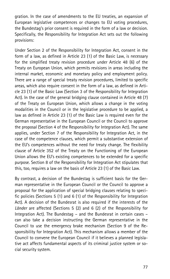gration. In the case of amendments to the EU treaties, an expansion of European legislative competences or changes to EU voting procedures, the Bundestag's prior consent is required in the form of a law or decision. Specifically, the Responsibility for Integration Act sets out the following provisions:

Under Section 2 of the Responsibility for Integration Act, consent in the form of a law, as defined in Article 23 (1) of the Basic Law, is necessary for the simplified treaty revision procedure under Article 48 (6) of the Treaty on European Union, which permits revisions in areas including the internal market, economic and monetary policy and employment policy. There are a range of special treaty revision procedures, limited to specific areas, which also require consent in the form of a law, as defined in Article 23 (1) of the Basic Law (Section 3 of the Responsibility for Integration Act). In the case of the general bridging clause contained in Article 48 (7) of the Treaty on European Union, which allows a change in the voting modalities in the Council or in the legislative procedure to be applied, a law as defined in Article 23 (1) of the Basic Law is required even for the German representative in the European Council or the Council to approve the proposal (Section 4 of the Responsibility for Integration Act). The same applies, under Section 7 of the Responsibility for Integration Act, in the case of the competence clauses, which permit a substantive extension of the EU's competences without the need for treaty change. The flexibility clause of Article 352 of the Treaty on the Functioning of the European Union allows the EU's existing competences to be extended for a specific purpose. Section 8 of the Responsibility for Integration Act stipulates that this, too, requires a law on the basis of Article 23 (1) of the Basic Law.

By contrast, a decision of the Bundestag is sufficient basis for the German representative in the European Council or the Council to approve a proposal for the application of special bridging clauses relating to specific policies (Sections 5 (1) and 6 (1) of the Responsibility for Integration Act). A decision of the Bundesrat is also required if the interests of the Länder are affected (Sections 5 (2) and 6 (2) of the Responsibility for Integration Act). The Bundestag – and the Bundesrat in certain cases – can also take a decision instructing the German representative in the Council to use the emergency brake mechanism (Section 9 of the Responsibility for Integration Act). This mechanism allows a member of the Council to convene the European Council if it believes a planned legislative act affects fundamental aspects of its criminal justice system or social security system.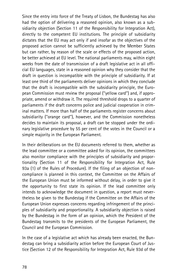Since the entry into force of the Treaty of Lisbon, the Bundestag has also had the option of delivering a reasoned opinion, also known as a subsidiarity objection (Section 11 of the Responsibility for Integration Act), directly to the competent EU institutions. The principle of subsidiarity dictates that the EU may act only if and insofar as the objectives of the proposed action cannot be sufficiently achieved by the Member States but can rather, by reason of the scale or effects of the proposed action, be better achieved at EU level. The national parliaments may, within eight weeks from the date of transmission of a draft legislative act in all official EU languages, state in a reasoned opinion why they consider that the draft in question is incompatible with the principle of subsidiarity. If at least one third of the parliaments deliver opinions in which they conclude that the draft is incompatible with the subsidiarity principle, the European Commission must review the proposal (''yellow card'') and, if appropriate, amend or withdraw it. The required threshold drops to a quarter of parliaments if the draft concerns police and judicial cooperation in criminal matters. If more than half of the parliaments register concerns about subsidiarity (''orange card''), however, and the Commission nonetheless decides to maintain its proposal, a draft can be stopped under the ordinary legislative procedure by 55 per cent of the votes in the Council or a simple majority in the European Parliament.

In their deliberations on the EU documents referred to them, whether as the lead committee or a committee asked for its opinion, the committees also monitor compliance with the principles of subsidiarity and proportionality (Section 11 of the Responsibility for Integration Act, Rule 93a (1) of the Rules of Procedure). If the filing of an objection of noncompliance is planned in this context, the Committee on the Affairs of the European Union must be informed without delay, in order to give it the opportunity to first state its opinion. If the lead committee only intends to acknowledge the document in question, a report must nevertheless be given to the Bundestag if the Committee on the Affairs of the European Union expresses concerns regarding infringement of the principles of subsidiarity and proportionality. A subsidiarity objection is raised by the Bundestag in the form of an opinion, which the President of the Bundestag transmits to the presidents of the European Parliament, the Council and the European Commission.

In the case of a legislative act which has already been enacted, the Bundestag can bring a subsidiarity action before the European Court of Justice (Section 12 of the Responsibility for Integration Act, Rule 93d of the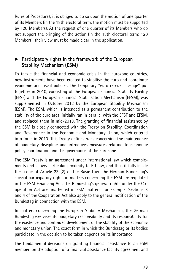Rules of Procedure); it is obliged to do so upon the motion of one quarter of its Members (in the 18th electoral term, the motion must be supported by 120 Members). At the request of one quarter of its Members who do not support the bringing of the action (in the 18th electoral term: 120 Members), their view must be made clear in the application.

# $\blacktriangleright$  Participatory rights in the framework of the European Stability Mechanism (ESM)

To tackle the financial and economic crisis in the eurozone countries, new instruments have been created to stabilise the euro and coordinate economic and fiscal policies. The temporary ''euro rescue package'' put together in 2010, consisting of the European Financial Stability Facility (EFSF) and the European Financial Stabilisation Mechanism (EFSM), was supplemented in October 2012 by the European Stability Mechanism (ESM). The ESM, which is intended as a permanent contribution to the stability of the euro area, initially ran in parallel with the EFSF and EFSM, and replaced them in mid-2013. The granting of financial assistance by the ESM is closely connected with the Treaty on Stability, Coordination and Governance in the Economic and Monetary Union, which entered into force in 2013. This Treaty defines rules concerning the maintenance of budgetary discipline and introduces measures relating to economic policy coordination and the governance of the eurozone.

The ESM Treaty is an agreement under international law which complements and shows particular proximity to EU law, and thus it falls inside the scope of Article 23 (2) of the Basic Law. The German Bundestag's special participatory rights in matters concerning the ESM are regulated in the ESM Financing Act. The Bundestag's general rights under the Cooperation Act are unaffected in ESM matters; for example, Sections 3 and 4 of the Cooperation Act also apply to the general notification of the Bundestag in connection with the ESM.

In matters concerning the European Stability Mechanism, the German Bundestag exercises its budgetary responsibility and its responsibility for the existence and continued development of the stability of the economic and monetary union. The exact form in which the Bundestag or its bodies participate in the decision to be taken depends on its importance:

The fundamental decisions on granting financial assistance to an ESM member, on the adoption of a financial assistance facility agreement and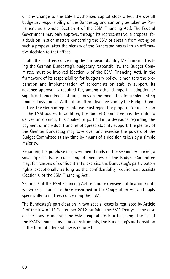on any change to the ESM's authorised capital stock affect the overall budgetary responsibility of the Bundestag and can only be taken by Parliament as a whole (Section 4 of the ESM Financing Act). The Federal Government may only approve, through its representative, a proposal for a decision in such matters concerning the ESM or abstain from voting on such a proposal after the plenary of the Bundestag has taken an affirmative decision to that effect.

In all other matters concerning the European Stability Mechanism affecting the German Bundestag's budgetary responsibility, the Budget Committee must be involved (Section 5 of the ESM Financing Act). In the framework of its responsibility for budgetary policy, it monitors the preparation and implementation of agreements on stability support. Its advance approval is required for, among other things, the adoption or significant amendment of guidelines on the modalities for implementing financial assistance. Without an affirmative decision by the Budget Committee, the German representative must reject the proposal for a decision in the ESM bodies. In addition, the Budget Committee has the right to deliver an opinion; this applies in particular to decisions regarding the payment of individual tranches of agreed stability support. The plenary of the German Bundestag may take over and exercise the powers of the Budget Committee at any time by means of a decision taken by a simple majority.

Regarding the purchase of government bonds on the secondary market, a small Special Panel consisting of members of the Budget Committee may, for reasons of confidentiality, exercise the Bundestag's participatory rights exceptionally as long as the confidentiality requirement persists (Section 6 of the ESM Financing Act).

Section 7 of the ESM Financing Act sets out extensive notification rights which exist alongside those enshrined in the Cooperation Act and apply specifically to matters concerning the ESM.

The Bundestag's participation in two special cases is regulated by Article 2 of the law of 13 September 2012 ratifying the ESM Treaty: in the case of decisions to increase the ESM's capital stock or to change the list of the ESM's financial assistance instruments, the Bundestag's authorisation in the form of a federal law is required.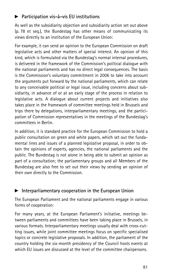# $\blacktriangleright$  Participation vis-à-vis EU institutions

As well as the subsidiarity objection and subsidiarity action set out above (p. 78 et seq.), the Bundestag has other means of communicating its views directly to an institution of the European Union:

For example, it can send an opinion to the European Commission on draft legislative acts and other matters of special interest. An opinion of this kind, which is formulated via the Bundestag's normal internal procedures, is delivered in the framework of the Commission's political dialogue with the national parliaments and has no direct legal consequences. The basis is the Commission's voluntary commitment in 2006 to take into account the arguments put forward by the national parliaments, which can relate to any conceivable political or legal issue, including concerns about subsidiarity, in advance of or at an early stage of the process in relation to legislative acts. A dialogue about current projects and initiatives also takes place in the framework of committee meetings held in Brussels and trips there by delegations, interparliamentary meetings, and the participation of Commission representatives in the meetings of the Bundestag's committees in Berlin.

In addition, it is standard practice for the European Commission to hold a public consultation on green and white papers, which set out the fundamental lines and issues of a planned legislative proposal, in order to obtain the opinions of experts, agencies, the national parliaments and the public. The Bundestag is not alone in being able to submit an opinion as part of a consultation; the parliamentary groups and all Members of the Bundestag are also free to set out their views by sending an opinion of their own directly to the Commission.

# $\blacktriangleright$  Interparliamentary cooperation in the European Union

The European Parliament and the national parliaments engage in various forms of cooperation:

For many years, at the European Parliament's initiative, meetings between parliaments and committees have been taking place in Brussels, in various formats. Interparliamentary meetings usually deal with cross-cutting issues, while joint committee meetings focus on specific specialised topics or concrete legislative proposals. In addition, the parliament of the country holding the six-month presidency of the Council hosts events at which EU issues are discussed at the level of the committee chairpersons.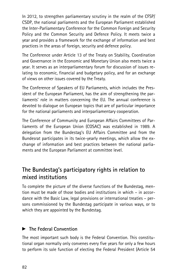In 2012, to strengthen parliamentary scrutiny in the realm of the CFSP/ CSDP, the national parliaments and the European Parliament established the Inter-Parliamentary Conference for the Common Foreign and Security Policy and the Common Security and Defence Policy. It meets twice a year and provides a framework for the exchange of information and best practices in the areas of foreign, security and defence policy.

The Conference under Article 13 of the Treaty on Stability, Coordination and Governance in the Economic and Monetary Union also meets twice a year. It serves as an interparliamentary forum for discussion of issues relating to economic, financial and budgetary policy, and for an exchange of views on other issues covered by the Treaty.

The Conference of Speakers of EU Parliaments, which includes the President of the European Parliament, has the aim of strengthening the parliaments' role in matters concerning the EU. The annual conference is devoted to dialogue on European topics that are of particular importance for the national parliaments and interparliamentary cooperation.

The Conference of Community and European Affairs Committees of Parliaments of the European Union (COSAC) was established in 1989. A delegation from the Bundestag's EU Affairs Committee and from the Bundesrat participates in its twice-yearly meetings, which allow the exchange of information and best practices between the national parliaments and the European Parliament at committee level.

# The Bundestag's participatory rights in relation to mixed institutions

To complete the picture of the diverse functions of the Bundestag, mention must be made of those bodies and institutions in which – in accordance with the Basic Law, legal provisions or international treaties – persons commissioned by the Bundestag participate in various ways, or to which they are appointed by the Bundestag.

# $\blacktriangleright$  The Federal Convention

The most important such body is the Federal Convention. This constitutional organ normally only convenes every five years for only a few hours to perform its sole function of electing the Federal President (Article 54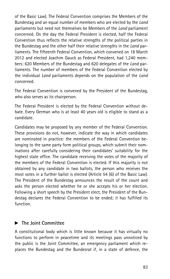of the Basic Law). The Federal Convention comprises the Members of the Bundestag and an equal number of members who are elected by the Land parliaments but need not themselves be Members of the *Land* parliament concerned. On the day the Federal President is elected, half the Federal Convention thus reflects the relative strengths of the political parties in the Bundestag and the other half their relative strengths in the Land parliaments. The fifteenth Federal Convention, which convened on 18 March 2012 and elected Joachim Gauck as Federal President, had 1,240 members: 620 Members of the Bundestag and 620 delegates of the Land parliaments. The number of members of the Federal Convention elected by the individual Land parliaments depends on the population of the Land concerned.

The Federal Convention is convened by the President of the Bundestag, who also serves as its chairperson.

The Federal President is elected by the Federal Convention without debate. Every German who is at least 40 years old is eligible to stand as a candidate.

Candidates may be proposed by any member of the Federal Convention. These provisions do not, however, indicate the way in which candidates are nominated in practice: the members of the Federal Convention belonging to the same party form political groups, which submit their nominations after carefully considering their candidates' suitability for the highest state office. The candidate receiving the votes of the majority of the members of the Federal Convention is elected. If this majority is not obtained by any candidate in two ballots, the person who receives the most votes in a further ballot is elected (Article 54 (6) of the Basic Law). The President of the Bundestag announces the result of the count and asks the person elected whether he or she accepts his or her election. Following a short speech by the President elect, the President of the Bundestag declares the Federal Convention to be ended; it has fulfilled its function.

#### $\blacktriangleright$  The Joint Committee

A constitutional body which is little known because it has virtually no functions to perform in peacetime and its meetings pass unnoticed by the public is the Joint Committee, an emergency parliament which replaces the Bundestag and the Bundesrat if, in a state of defence, the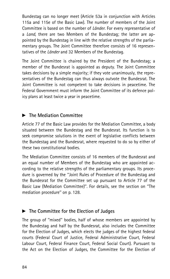Bundestag can no longer meet (Article 53a in conjunction with Articles 115a and 115e of the Basic Law). The number of members of the Joint Committee is based on the number of Länder. For every representative of a Land, there are two Members of the Bundestag; the latter are appointed by the Bundestag in line with the relative strengths of the parliamentary groups. The Joint Committee therefore consists of 16 representatives of the Länder and 32 Members of the Bundestag.

The Joint Committee is chaired by the President of the Bundestag; a member of the Bundesrat is appointed as deputy. The Joint Committee takes decisions by a simple majority; if they vote unanimously, the representatives of the Bundestag can thus always outvote the Bundesrat. The Joint Committee is not competent to take decisions in peacetime. The Federal Government must inform the Joint Committee of its defence policy plans at least twice a year in peacetime.

# $\blacktriangleright$  The Mediation Committee

Article 77 of the Basic Law provides for the Mediation Committee, a body situated between the Bundestag and the Bundesrat. Its function is to seek compromise solutions in the event of legislative conflicts between the Bundestag and the Bundesrat, where requested to do so by either of these two constitutional bodies.

The Mediation Committee consists of 16 members of the Bundesrat and an equal number of Members of the Bundestag who are appointed according to the relative strengths of the parliamentary groups. Its procedure is governed by the ''Joint Rules of Procedure of the Bundestag and the Bundesrat for the Committee set up pursuant to Article 77 of the Basic Law (Mediation Committee)''. For details, see the section on ''The mediation procedure'' on p. 128.

# $\blacktriangleright$  The Committee for the Election of Judges

The group of ''mixed'' bodies, half of whose members are appointed by the Bundestag and half by the Bundesrat, also includes the Committee for the Election of Judges, which elects the judges of the highest federal courts (Federal Court of Justice, Federal Administrative Court, Federal Labour Court, Federal Finance Court, Federal Social Court). Pursuant to the Act on the Election of Judges, the Committee for the Election of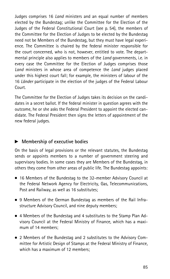Judges comprises 16 Land ministers and an equal number of members elected by the Bundestag; unlike the Committee for the Election of the Judges of the Federal Constitutional Court (see p. 54), the members of the Committee for the Election of Judges to be elected by the Bundestag need not be Members of the Bundestag, but they must have legal experience. The Committee is chaired by the federal minister responsible for the court concerned, who is not, however, entitled to vote. The departmental principle also applies to members of the *Land* governments, i.e. in every case the Committee for the Election of Judges comprises those Land ministers in whose area of competence the Land judges placed under this highest court fall; for example, the ministers of labour of the 16 Länder participate in the election of the judges of the Federal Labour Court.

The Committee for the Election of Judges takes its decision on the candidates in a secret ballot. If the federal minister in question agrees with the outcome, he or she asks the Federal President to appoint the elected candidate. The Federal President then signs the letters of appointment of the new federal judges.

# $\blacktriangleright$  Membership of executive bodies

On the basis of legal provisions or the relevant statutes, the Bundestag sends or appoints members to a number of government steering and supervisory bodies. In some cases they are Members of the Bundestag, in others they come from other areas of public life. The Bundestag appoints:

- . 16 Members of the Bundestag to the 32-member Advisory Council at the Federal Network Agency for Electricity, Gas, Telecommunications, Post and Railway, as well as 16 substitutes;
- . 9 Members of the German Bundestag as members of the Rail Infrastructure Advisory Council, and nine deputy members;
- . 4 Members of the Bundestag and 4 substitutes to the Stamp Plan Advisory Council at the Federal Ministry of Finance, which has a maximum of 14 members;
- . 2 Members of the Bundestag and 2 substitutes to the Advisory Committee for Artistic Design of Stamps at the Federal Ministry of Finance, which has a maximum of 12 members;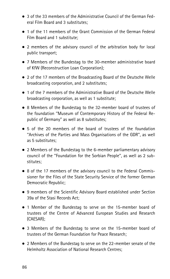- . 3 of the 33 members of the Administrative Council of the German Federal Film Board and 3 substitutes;
- . 1 of the 11 members of the Grant Commission of the German Federal Film Board and 1 substitute;
- . 2 members of the advisory council of the arbitration body for local public transport;
- . 7 Members of the Bundestag to the 30-member administrative board of KfW (Reconstruction Loan Corporation);
- . 2 of the 17 members of the Broadcasting Board of the Deutsche Welle broadcasting corporation, and 2 substitutes;
- . 1 of the 7 members of the Administrative Board of the Deutsche Welle broadcasting corporation, as well as 1 substitute;
- . 8 Members of the Bundestag to the 32-member board of trustees of the foundation ''Museum of Contemporary History of the Federal Republic of Germany'' as well as 8 substitutes;
- . 5 of the 20 members of the board of trustees of the foundation ''Archives of the Parties and Mass Organisations of the GDR'', as well as 5 substitutes;
- . 2 Members of the Bundestag to the 6-member parliamentary advisory council of the ''Foundation for the Sorbian People'', as well as 2 substitutes;
- . 8 of the 17 members of the advisory council to the Federal Commissioner for the Files of the State Security Service of the former German Democratic Republic;
- . 9 members of the Scientific Advisory Board established under Section 39a of the Stasi Records Act;
- . 1 Member of the Bundestag to serve on the 15-member board of trustees of the Centre of Advanced European Studies and Research (CAESAR);
- . 3 Members of the Bundestag to serve on the 15-member board of trustees of the German Foundation for Peace Research;
- . 2 Members of the Bundestag to serve on the 22-member senate of the Helmholtz Association of National Research Centres;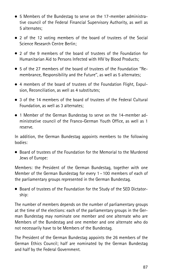- . 5 Members of the Bundestag to serve on the 17-member administrative council of the Federal Financial Supervisory Authority, as well as 5 alternates;
- . 2 of the 12 voting members of the board of trustees of the Social Science Research Centre Berlin;
- . 2 of the 9 members of the board of trustees of the Foundation for Humanitarian Aid to Persons Infected with HIV by Blood Products;
- . 5 of the 27 members of the board of trustees of the Foundation ''Remembrance, Responsibility and the Future'', as well as 5 alternates;
- . 4 members of the board of trustees of the Foundation Flight, Expulsion, Reconciliation, as well as 4 substitutes;
- . 3 of the 14 members of the board of trustees of the Federal Cultural Foundation, as well as 3 alternates;
- . 1 Member of the German Bundestag to serve on the 14-member administrative council of the Franco-German Youth Office, as well as 1 reserve.

In addition, the German Bundestag appoints members to the following bodies:

. Board of trustees of the Foundation for the Memorial to the Murdered Jews of Europe:

Members: the President of the German Bundestag, together with one Member of the German Bundestag for every 1 – 100 members of each of the parliamentary groups represented in the German Bundestag.

. Board of trustees of the Foundation for the Study of the SED Dictatorship:

The number of members depends on the number of parliamentary groups at the time of the elections: each of the parliamentary groups in the German Bundestag may nominate one member and one alternate who are Members of the Bundestag and one member and one alternate who do not necessarily have to be Members of the Bundestag.

The President of the German Bundestag appoints the 26 members of the German Ethics Council; half are nominated by the German Bundestag and half by the Federal Government.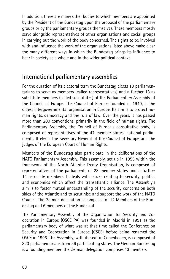In addition, there are many other bodies to which members are appointed by the President of the Bundestag upon the proposal of the parliamentary groups or by the parliamentary groups themselves. These members mostly serve alongside representatives of other organisations and social groups in carrying out the work of the body concerned. The rights to be involved with and influence the work of the organisations listed above make clear the many different ways in which the Bundestag brings its influence to bear in society as a whole and in the wider political context.

# International parliamentary assemblies

For the duration of its electoral term the Bundestag elects 18 parliamentarians to serve as members (called representatives) and a further 18 as substitute members (called substitutes) of the Parliamentary Assembly of the Council of Europe. The Council of Europe, founded in 1949, is the oldest intergovernmental organisation in Europe. Its aim is to protect human rights, democracy and the rule of law. Over the years, it has passed more than 200 conventions, primarily in the field of human rights. The Parliamentary Assembly, the Council of Europe's consultative body, is composed of representatives of the 47 member states' national parliaments. It elects the Secretary General of the Council of Europe and the judges of the European Court of Human Rights.

Members of the Bundestag also participate in the deliberations of the NATO Parliamentary Assembly. This assembly, set up in 1955 within the framework of the North Atlantic Treaty Organisation, is composed of representatives of the parliaments of 28 member states and a further 14 associate members. It deals with issues relating to security, politics and economics which affect the transatlantic alliance. The Assembly's aim is to foster mutual understanding of the security concerns on both sides of the Atlantic and to scrutinise and support the work of the NATO Council. The German delegation is composed of 12 Members of the Bundestag and 6 members of the Bundesrat.

The Parliamentary Assembly of the Organisation for Security and Cooperation in Europe (OSCE PA) was founded in Madrid in 1991 as the parliamentary body of what was at that time called the Conference on Security and Cooperation in Europe (CSCE) before being renamed the OSCE in 1995. The Assembly, with its seat in Copenhagen, is composed of 323 parliamentarians from 56 participating states. The German Bundestag is a founding member; the German delegation comprises 13 members.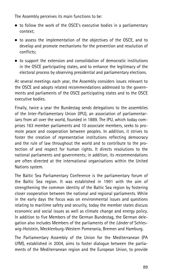The Assembly perceives its main functions to be:

- to follow the work of the OSCE's executive bodies in a parliamentary context;
- . to assess the implementation of the objectives of the OSCE, and to develop and promote mechanisms for the prevention and resolution of conflicts;
- . to support the extension and consolidation of democratic institutions in the OSCE participating states, and to enhance the legitimacy of the electoral process by observing presidential and parliamentary elections.

At several meetings each year, the Assembly considers issues relevant to the OSCE and adopts related recommendations addressed to the governments and parliaments of the OSCE participating states and to the OSCE executive bodies.

Finally, twice a year the Bundestag sends delegations to the assemblies of the Inter-Parliamentary Union (IPU), an association of parliamentarians from all over the world, founded in 1889. The IPU, which today comprises 163 member parliaments and 10 associate members, seeks to promote peace and cooperation between peoples. In addition, it strives to foster the creation of representative institutions reflecting democracy and the rule of law throughout the world and to contribute to the protection of and respect for human rights. It directs resolutions to the national parliaments and governments; in addition, its recommendations are often directed at the international organisations within the United Nations system.

The Baltic Sea Parliamentary Conference is the parliamentary forum of the Baltic Sea region. It was established in 1991 with the aim of strengthening the common identity of the Baltic Sea region by fostering closer cooperation between the national and regional parliaments. While in the early days the focus was on environmental issues and questions relating to maritime safety and security, today the member states discuss economic and social issues as well as climate change and energy policy. In addition to five Members of the German Bundestag, the German delegation also includes Members of the parliaments of the Länder of Schleswig-Holstein, Mecklenburg-Western Pomerania, Bremen and Hamburg.

The Parliamentary Assembly of the Union for the Mediterranean (PA UfM), established in 2004, aims to foster dialogue between the parliaments of the Mediterranean region and the European Union, to provide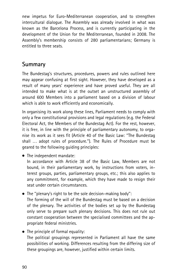new impetus for Euro-Mediterranean cooperation, and to strengthen intercultural dialogue. The Assembly was already involved in what was known as the Barcelona Process, and is currently participating in the development of the Union for the Mediterranean, founded in 2008. The Assembly's membership consists of 280 parliamentarians; Germany is entitled to three seats.

# Summary

The Bundestag's structures, procedures, powers and rules outlined here may appear confusing at first sight. However, they have developed as a result of many years' experience and have proved useful. They are all intended to make what is at the outset an unstructured assembly of around 600 Members into a parliament based on a division of labour which is able to work efficiently and economically.

In organising its work along these lines, Parliament needs to comply with only a few constitutional provisions and legal regulations (e.g. the Federal Electoral Act, the Members of the Bundestag Act). For the rest, however, it is free, in line with the principle of parliamentary autonomy, to organise its work as it sees fit (Article 40 of the Basic Law: ''The Bundestag shall ... adopt rules of procedure."). The Rules of Procedure must be geared to the following guiding principles:

. The independent mandate:

In accordance with Article 38 of the Basic Law, Members are not bound, in their parliamentary work, by instructions from voters, interest groups, parties, parliamentary groups, etc.; this also applies to any commitment, for example, which they have made to resign their seat under certain circumstances.

. The ''plenary's right to be the sole decision-making body'':

The forming of the will of the Bundestag must be based on a decision of the plenary. The activities of the bodies set up by the Bundestag only serve to prepare such plenary decisions. This does not rule out constant cooperation between the specialised committees and the appropriate federal ministries.

• The principle of formal equality: The political groupings represented in Parliament all have the same possibilities of working. Differences resulting from the differing size of these groupings are, however, justified within certain limits.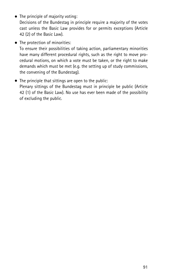- The principle of majority voting: Decisions of the Bundestag in principle require a majority of the votes cast unless the Basic Law provides for or permits exceptions (Article 42 (2) of the Basic Law).
- The protection of minorities: To ensure their possibilities of taking action, parliamentary minorities have many different procedural rights, such as the right to move procedural motions, on which a vote must be taken, or the right to make demands which must be met (e.g. the setting up of study commissions, the convening of the Bundestag).
- . The principle that sittings are open to the public: Plenary sittings of the Bundestag must in principle be public (Article 42 (1) of the Basic Law). No use has ever been made of the possibility of excluding the public.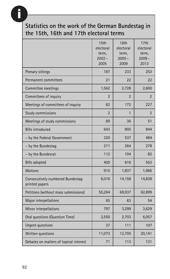# **i**

# Statistics on the work of the German Bundestag in the 15th, 16th and 17th electoral terms

|                                                    | 15th<br>electoral<br>term,<br>$2002 -$<br>2005 | 16th<br>electoral<br>term,<br>$2005 -$<br>2009 | 17th<br>electoral<br>term,<br>$2009 -$<br>2013 |
|----------------------------------------------------|------------------------------------------------|------------------------------------------------|------------------------------------------------|
| Plenary sittings                                   | 187                                            | 233                                            | 253                                            |
| Permanent committees                               | 21                                             | 22                                             | 22                                             |
| Committee meetings                                 | 1,562                                          | 2,728                                          | 2,600                                          |
| Committees of inquiry                              | $\overline{2}$                                 | $\overline{2}$                                 | $\overline{2}$                                 |
| Meetings of committees of inquiry                  | 62                                             | 172                                            | 227                                            |
| <b>Study commissions</b>                           | $\overline{2}$                                 | 1                                              | $\overline{2}$                                 |
| Meetings of study commissions                      | 89                                             | 36                                             | 51                                             |
| <b>Bills introduced</b>                            | 643                                            | 905                                            | 844                                            |
| - by the Federal Government                        | 320                                            | 537                                            | 484                                            |
| - by the Bundestag                                 | 211                                            | 264                                            | 278                                            |
| - by the Bundesrat                                 | 112                                            | 104                                            | 82                                             |
| <b>Bills adopted</b>                               | 400                                            | 616                                            | 553                                            |
| <b>Motions</b>                                     | 910                                            | 1,837                                          | 1,966                                          |
| Consecutively numbered Bundestag<br>printed papers | 6,016                                          | 14,158                                         | 14,838                                         |
| Petitions (without mass submissions)               | 55,264                                         | 69,937                                         | 62,899                                         |
| Major interpellations                              | 65                                             | 63                                             | 54                                             |
| Minor interpellations                              | 797                                            | 3,299                                          | 3,629                                          |
| Oral questions (Question Time)                     | 2,550                                          | 2,703                                          | 6,057                                          |
| Urgent questions                                   | 37                                             | 111                                            | 107                                            |
| Written questions                                  | 11,073                                         | 12,705                                         | 20,141                                         |
| Debates on matters of topical interest             | 71                                             | 113                                            | 131                                            |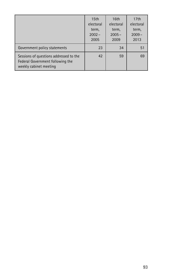|                                                                                                      | 15 <sub>th</sub><br>electoral<br>term,<br>$2002 -$<br>2005 | 16th<br>electoral<br>term,<br>$2005 -$<br>2009 | 17th<br>electoral<br>term,<br>$2009 -$<br>2013 |
|------------------------------------------------------------------------------------------------------|------------------------------------------------------------|------------------------------------------------|------------------------------------------------|
| Government policy statements                                                                         | 23                                                         | 34                                             | 51                                             |
| Sessions of questions addressed to the<br>Federal Government following the<br>weekly cabinet meeting | 42                                                         | 59                                             | 69                                             |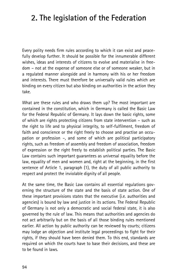# 2. The legislation of the Federation

Every polity needs firm rules according to which it can exist and peacefully develop further. It should be possible for the innumerable different wishes, ideas and interests of citizens to evolve and materialise in freedom – not at the expense of someone else or of someone weaker, but in a regulated manner alongside and in harmony with his or her freedom and interests. There must therefore be universally valid rules which are binding on every citizen but also binding on authorities in the action they take.

What are these rules and who draws them up? The most important are contained in the constitution, which in Germany is called the Basic Law for the Federal Republic of Germany. It lays down the basic rights, some of which are rights protecting citizens from state intervention – such as the right to life and to physical integrity, to self-fulfilment, freedom of faith and conscience or the right freely to choose and practise an occupation or profession –, and some of which are political participatory rights, such as freedom of assembly and freedom of association, freedom of expression or the right freely to establish political parties. The Basic Law contains such important guarantees as universal equality before the law, equality of men and women and, right at the beginning, in the first sentence of Article 1, paragraph (1), the duty of all public authority to respect and protect the inviolable dignity of all people.

At the same time, the Basic Law contains all essential regulations governing the structure of the state and the basis of state action. One of these important provisions states that the executive (i.e. authorities and agencies) is bound by law and justice in its actions. The Federal Republic of Germany is not only a democratic and social federal state, it is also governed by the rule of law. This means that authorities and agencies do not act arbitrarily but on the basis of all those binding rules mentioned earlier. All action by public authority can be reviewed by courts; citizens may lodge an objection and institute legal proceedings to fight for their rights, if they should have been denied them. To this end, standards are required on which the courts have to base their decisions, and these are to be found in laws.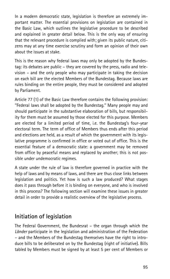In a modern democratic state, legislation is therefore an extremely important matter. The essential provisions on legislation are contained in the Basic Law, which outlines the legislative procedure to be described and explained in greater detail below. This is the only way of ensuring that the relevant procedure is complied with; given its public nature, citizens may at any time exercise scrutiny and form an opinion of their own about the issues at stake.

This is the reason why federal laws may only be adopted by the Bundestag: its debates are public – they are covered by the press, radio and television – and the only people who may participate in taking the decision on each bill are the elected Members of the Bundestag. Because laws are rules binding on the entire people, they must be considered and adopted by Parliament.

Article 77 (1) of the Basic Law therefore contains the following provision: ''Federal laws shall be adopted by the Bundestag.'' Many people may and should participate in the substantive elaboration of bills, but responsibility for them must be assumed by those elected for this purpose. Members are elected for a limited period of time, i.e. the Bundestag's four-year electoral term. The term of office of Members thus ends after this period and elections are held, as a result of which the government with its legislative programme is confirmed in office or voted out of office. This is the essential feature of a democratic state: a government may be removed from office by peaceful means and replaced by another; this is not possible under undemocratic regimes.

A state under the rule of law is therefore governed in practice with the help of laws and by means of laws, and there are thus close links between legislation and politics. Yet how is such a law produced? What stages does it pass through before it is binding on everyone, and who is involved in this process? The following section will examine these issues in greater detail in order to provide a realistic overview of the legislative process.

# Initiation of legislation

The Federal Government, the Bundesrat – the organ through which the Länder participate in the legislation and administration of the Federation – and the Members of the Bundestag themselves have the right to introduce bills to be deliberated on by the Bundestag (right of initiative). Bills tabled by Members must be signed by at least 5 per cent of Members or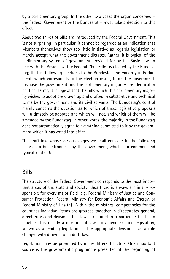by a parliamentary group. In the other two cases the organ concerned – the Federal Government or the Bundesrat – must take a decision to this effect.

About two thirds of bills are introduced by the Federal Government. This is not surprising; in particular, it cannot be regarded as an indication that Members themselves show too little initiative as regards legislation or merely accept what the government dictates. Rather, it is typical of the parliamentary system of government provided for by the Basic Law. In line with the Basic Law, the Federal Chancellor is elected by the Bundestag; that is, following elections to the Bundestag the majority in Parliament, which corresponds to the election result, forms the government. Because the government and the parliamentary majority are identical in political terms, it is logical that the bills which this parliamentary majority wishes to adopt are drawn up and drafted in substantive and technical terms by the government and its civil servants. The Bundestag's control mainly concerns the question as to which of these legislative proposals will ultimately be adopted and which will not, and which of them will be amended by the Bundestag. In other words, the majority in the Bundestag does not automatically agree to everything submitted to it by the government which it has voted into office.

The draft law whose various stages we shall consider in the following pages is a bill introduced by the government, which is a common and typical kind of bill.

# **Bills**

The structure of the Federal Government corresponds to the most important areas of the state and society; thus there is always a ministry responsible for every major field (e.g. Federal Ministry of Justice and Consumer Protection, Federal Ministry for Economic Affairs and Energy, or Federal Ministry of Health). Within the ministries, competencies for the countless individual items are grouped together in directorates-general, directorates and divisions. If a law is required in a particular field – in practice it is mostly a question of laws to amend existing legislation, known as amending legislation – the appropriate division is as a rule charged with drawing up a draft law.

Legislation may be prompted by many different factors. One important source is the government's programme presented at the beginning of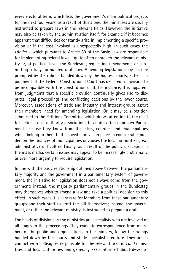every electoral term, which lists the government's main political projects for the next four years; as a result of this alone, the ministries are usually instructed to prepare laws in the relevant fields. However, the initiative may also be taken by the administration itself, for example if it becomes apparent that difficulties constantly arise in implementing a specific provision or if the cost involved is unexpectedly high. In such cases the Länder – which pursuant to Article 83 of the Basic Law are responsible for implementing federal laws – quite often approach the relevant ministry or, at political level, the Bundesrat, requesting amendments or submitting a fully formulated draft law. Amending legislation may also be prompted by the rulings handed down by the highest courts, either if a judgment of the Federal Constitutional Court has declared a provision to be incompatible with the constitution or if, for instance, it is apparent from judgments that a specific provision continually gives rise to disputes, legal proceedings and conflicting decisions by the lower courts. Moreover, associations of trade and industry and interest groups assert their members' need for amending legislation. Or it may be a petition submitted to the Petitions Committee which draws attention to the need for action. Local authority associations too quite often approach Parliament because they know from the cities, counties and municipalities which belong to them that a specific provision places a considerable burden on the finances of municipalities or causes the local authorities great administrative difficulties. Finally, as a result of the public discussion in the mass media, certain issues may appear to be increasingly problematic or ever more urgently to require legislation.

In line with the basic relationship outlined above between the parliamentary majority and the government in a parliamentary system of government, the initiative for legislation does not always come from the government; instead, the majority parliamentary groups in the Bundestag may themselves wish to amend a law and take a political decision to this effect. In such cases it is very rare for Members from these parliamentary groups and their staff to draft the bill themselves; instead, the government, or rather the relevant ministry, is instructed to prepare a draft.

The heads of divisions in the ministries are specialists who are involved at all stages in the proceedings. They evaluate correspondence from members of the public and organisations to the ministry, follow the rulings handed down by the courts and study specialist literature. They are in contact with colleagues responsible for the relevant area in Land ministries and local authorities and generally keep informed about develop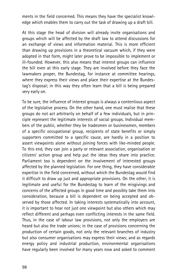ments in the field concerned. This means they have the specialist knowledge which enables them to carry out the task of drawing up a draft bill.

At this stage the head of division will already invite organisations and groups which will be affected by the draft law to attend discussions for an exchange of views and information material. This is more efficient than drawing up provisions in a theoretical vacuum which, if they were adopted in that form, might later prove to be impossible to implement or ill-founded. However, this also means that interest groups can influence the bill even at this early stage. They are involved before they face the lawmakers proper, the Bundestag, for instance at committee hearings, where they express their views and place their expertise at the Bundestag's disposal; in this way they often learn that a bill is being prepared very early on.

To be sure, the influence of interest groups is always a contentious aspect of the legislative process. On the other hand, one must realise that these groups do not act arbitrarily on behalf of a few individuals, but in principle represent the legitimate interests of social groups. Individual members of the public, whether they be tradesmen or businessmen, members of a specific occupational group, recipients of state benefits or simply supporters committed to a specific cause, are hardly in a position to assert viewpoints alone without joining forces with like-minded people. To this end, they can join a party or relevant association, organisation or citizens' action group and help put the ideas they share into practice. Parliament too is dependent on the involvement of interested groups affected by the planned legislation. For one thing, they have considerable expertise in the field concerned, without which the Bundestag would find it difficult to draw up just and appropriate provisions. On the other, it is legitimate and useful for the Bundestag to learn of the misgivings and concerns of the affected groups in good time and possibly take them into consideration, because a bill is dependent on being accepted and observed by those affected. In taking interests systematically into account, it is important to hear not just one viewpoint but also others which may reflect different and perhaps even conflicting interests in the same field. Thus, in the case of labour law provisions, not only the employers are heard but also the trade unions; in the case of provisions concerning the production of certain goods, not only the relevant branches of industry but also consumer organisations may express their views; and as regards energy policy and industrial production, environmental organisations have regularly been involved for many years now and asked to comment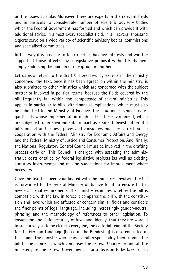on the issues at stake. Moreover, there are experts in the relevant fields and in particular a considerable number of scientific advisory bodies which the Federal Government has formed and which can provide it with additional advice in almost every specialist field. In all, several thousand experts serve on a wide variety of scientific advisory bodies, commissions and specialised committees.

In this way it is possible to tap expertise, balance interests and win the support of those affected by a legislative proposal without Parliament simply endorsing the opinion of one group or another.

Let us now return to the draft bill prepared by experts in the ministry concerned: the text, once it has been agreed on within the ministry, is also submitted to other ministries which are concerned with the subject matter or involved in political terms, because the fields covered by the bill frequently fall within the competence of several ministries. This applies in particular to bills with financial implications, which must also be submitted to the Ministry of Finance. The situation is similar as regards bills whose implementation might affect the environment, which are subjected to an environmental impact assessment. Investigation of a bill's impact on business, prices and consumers must be carried out, in cooperation with the Federal Ministry for Economic Affairs and Energy and the Federal Ministry of Justice and Consumer Protection. And, finally, the National Regulatory Control Council must be involved in the drafting process early on. This Council is charged with assessing the administrative costs entailed by federal legislative projects (as well as existing statutory instruments) and making suggestions for improvement where necessary.

Once the text has been coordinated with the ministries involved, the bill is forwarded to the Federal Ministry of Justice for it to ensure that it meets all legal requirements. The ministry examines whether the bill is compatible with the law in force; it compares the bill with the constitution and laws which are affected or concern similar fields and considers the finer points of legal language, including increasingly gender-neutral phrasing and the methodology of references to other legislation. To ensure the linguistic accuracy of laws and, ideally, that they are worded in such a way as to be clear to everyone, the editorial team of the Society for the German Language (based at the Bundestag) is also consulted at this stage. The minister who bears overall responsibility then submits the bill to the cabinet – which comprises the Federal Chancellor and all the ministers, i.e. the Federal Government – for a decision to be taken on it.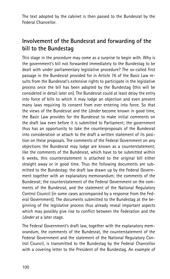The text adopted by the cabinet is then passed to the Bundesrat by the Federal Chancellor.

# Involvement of the Bundesrat and forwarding of the bill to the Bundestag

This stage in the procedure may come as a surprise to begin with. Why is the government's bill not forwarded immediately to the Bundestag to be dealt with under parliamentary legislative procedure? The so-called first passage in the Bundesrat provided for in Article 76 of the Basic Law results from the Bundesrat's extensive rights to participate in the legislative process once the bill has been adopted by the Bundestag (this will be considered in detail later on). The Bundesrat could at least delay the entry into force of bills to which it may lodge an objection and even prevent many laws requiring its consent from ever entering into force. So that the views of the Bundesrat and the *Länder* become known in good time, the Basic Law provides for the Bundesrat to make initial comments on the draft law even before it is submitted to Parliament; the government thus has an opportunity to take the counterproposals of the Bundesrat into consideration or attach to the draft a written statement of its position on these proposals. The comments of the Federal Government on any objections the Bundesrat may lodge are known as a counterstatement; like the comments of the Bundesrat, which have to be submitted within 6 weeks, this counterstatement is attached to the original bill either straight away or in good time. Thus the following documents are submitted to the Bundestag: the draft law drawn up by the Federal Government together with an explanatory memorandum; the comments of the Bundesrat; the counterstatement of the Federal Government on the comments of the Bundesrat, and the statement of the National Regulatory Control Council (in some cases accompanied by a response from the Federal Government). The documents submitted to the Bundestag at the beginning of the legislative process thus already reveal important aspects which may possibly give rise to conflict between the Federation and the Länder at a later stage.

The Federal Government's draft law, together with the explanatory memorandum, the comments of the Bundesrat, the counterstatement of the Federal Government and the statement of the National Regulatory Control Council, is transmitted to the Bundestag by the Federal Chancellor with a covering letter to the President of the Bundestag. An example of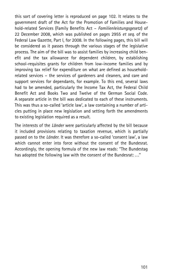this sort of covering letter is reproduced on page 102. It relates to the government draft of the Act for the Promotion of Families and Household-related Services (Family Benefits Act - Familienleistungsgesetz) of 22 December 2008, which was published on pages 2955 et seq. of the Federal Law Gazette, Part I, for 2008. In the following pages, this bill will be considered as it passes through the various stages of the legislative process. The aim of the bill was to assist families by increasing child benefit and the tax allowance for dependent children, by establishing school-requisites grants for children from low-income families and by improving tax relief for expenditure on what are defined as householdrelated services – the services of gardeners and cleaners, and care and support services for dependants, for example. To this end, several laws had to be amended, particularly the Income Tax Act, the Federal Child Benefit Act and Books Two and Twelve of the German Social Code. A separate article in the bill was dedicated to each of these instruments. This was thus a so-called 'article law', a law containing a number of articles putting in place new legislation and setting forth the amendments to existing legislation required as a result.

The interests of the *Länder* were particularly affected by the bill because it included provisions relating to taxation revenue, which is partially passed on to the *Länder*. It was therefore a so-called 'consent law', a law which cannot enter into force without the consent of the Bundesrat. Accordingly, the opening formula of the new law reads: ''The Bundestag has adopted the following law with the consent of the Bundesrat: . . .''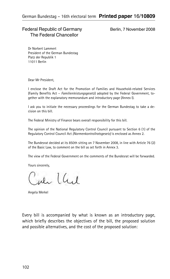#### Federal Republic of Germany Berlin, 7 November 2008 The Federal Chancellor

Dr Norbert Lammert President of the German Bundestag Platz der Republik 1 11011 Berlin

Dear Mr President,

I enclose the Draft Act for the Promotion of Families and Household-related Services (Family Benefits Act – Familienleistungsgesetz) adopted by the Federal Government, together with the explanatory memorandum and introductory page (Annex I).

I ask you to initiate the necessary proceedings for the German Bundestag to take a decision on this bill.

The Federal Ministry of Finance bears overall responsibility for this bill.

The opinion of the National Regulatory Control Council pursuant to Section 6 (1) of the Regulatory Control Council Act (Normenkontrollratsgesetz) is enclosed as Annex 2.

The Bundesrat decided at its 850th sitting on 7 November 2008, in line with Article 76 (2) of the Basic Law, to comment on the bill as set forth in Annex 3.

The view of the Federal Government on the comments of the Bundesrat will be forwarded.

Yours sincerely,

ale LCul

Angela Merkel

Every bill is accompanied by what is known as an introductory page, which briefly describes the objectives of the bill, the proposed solution and possible alternatives, and the cost of the proposed solution: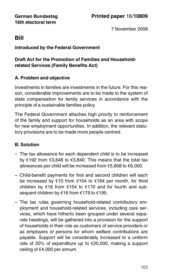7 November 2008

# Bill

#### introduced by the Federal Government

# Draft Act for the Promotion of Families and Householdrelated Services (Family Benefits Act)

# A. Problem and objective

Investments in families are investments in the future. For this reason, considerable improvements are to be made to the system of state compensation for family services in accordance with the principle of a sustainable families policy.

The Federal Government attaches high priority to reinforcement of the family and support for households as an area with scope for new employment opportunities. In addition, the relevant statutory provisions are to be made more people-centred.

# B. Solution

- The tax allowance for each dependent child is to be increased by  $\epsilon$ 192 from  $\epsilon$ 3,648 to  $\epsilon$ 3,840. This means that the total tax allowances per child will be increased from  $\epsilon$ 5,808 to  $\epsilon$ 6,000.
- Child-benefit payments for first and second children will each be increased by  $\epsilon$ 10 from  $\epsilon$ 154 to  $\epsilon$ 164 per month, for third children by  $\epsilon$ 16 from  $\epsilon$ 154 to  $\epsilon$ 170 and for fourth and subsequent children by  $\epsilon$ 16 from  $\epsilon$ 179 to  $\epsilon$ 195.
- The tax rules governing household-related contributory employment and household-related services, including care services, which have hitherto been grouped under several separate headings, will be gathered into a provision for the support of households in their role as customers of service providers or as employers of persons for whom welfare contributions are payable. Support will be considerably increased to a uniform rate of 20% of expenditure up to  $E$ 20,000, making a support ceiling of  $€4,000$  per annum.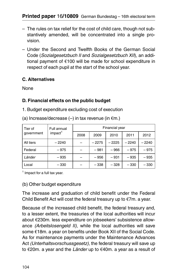- The rules on tax relief for the cost of child care, though not substantively amended, will be concentrated into a single provision.
- Under the Second and Twelfth Books of the German Social Code (Sozialgesetzbuch II and Sozialgesetzbuch XII), an additional payment of  $E100$  will be made for school expenditure in respect of each pupil at the start of the school year.

#### C. Alternatives

None

# D. Financial effects on the public budget

1. Budget expenditure excluding cost of execution

| Tier of<br>government | Full annual<br>impact <sup>1</sup> | Financial year |         |         |         |         |
|-----------------------|------------------------------------|----------------|---------|---------|---------|---------|
|                       |                                    | 2008           | 2009    | 2010    | 2011    | 2012    |
| All tiers             | - 2240                             |                | $-2275$ | $-2225$ | $-2240$ | $-2240$ |
| Federal               | $-975$                             |                | $-981$  | $-966$  | $-975$  | $-975$  |
| Länder                | - 935                              |                | $-956$  | $-931$  | $-935$  | - 935   |
| Local                 | - 330                              |                | $-338$  | $-328$  | $-330$  | $-330$  |

(a) Increase/decrease  $(-)$  in tax revenue (in  $\epsilon$ m.)

<sup>1</sup> Impact for a full tax year.

#### (b) Other budget expenditure

The increase and graduation of child benefit under the Federal Child Benefit Act will cost the federal treasury up to  $\epsilon$ 7m. a year.

Because of the increased child benefit, the federal treasury and, to a lesser extent, the treasuries of the local authorities will incur about €230m. less expenditure on jobseekers' subsistence allowance (Arbeitslosengeld II), while the local authorities will save some €18m. a year on benefits under Book XII of the Social Code. As for maintenance payments under the Maintenance Advances Act (Unterhaltsvorschussgesetz), the federal treasury will save up to  $E$ 20m. a year and the Länder up to  $E$ 40m. a year as a result of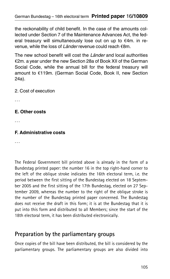the reckonability of child benefit. In the case of the amounts collected under Section 7 of the Maintenance Advances Act, the federal treasury will simultaneously lose out on up to  $\epsilon$ 4m. in revenue, while the loss of Lander revenue could reach  $\epsilon$ 8m.

The new school benefit will cost the Länder and local authorities  $E$ 2m. a year under the new Section 28a of Book XII of the German Social Code, while the annual bill for the federal treasury will amount to €119m. (German Social Code, Book II, new Section 24a).

2. Cost of execution

#### E. Other costs

...

#### F. Administrative costs

...

The Federal Government bill printed above is already in the form of a Bundestag printed paper: the number 16 in the top right-hand corner to the left of the oblique stroke indicates the 16th electoral term, i.e. the period between the first sitting of the Bundestag elected on 18 September 2005 and the first sitting of the 17th Bundestag, elected on 27 September 2009, whereas the number to the right of the oblique stroke is the number of the Bundestag printed paper concerned. The Bundestag does not receive the draft in this form; it is at the Bundestag that it is put into this form and distributed to all Members; since the start of the 18th electoral term, it has been distributed electronically.

# Preparation by the parliamentary groups

Once copies of the bill have been distributed, the bill is considered by the parliamentary groups. The parliamentary groups are also divided into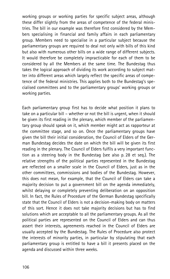working groups or working parties for specific subject areas, although these differ slightly from the areas of competence of the federal ministries. The bill in our example was therefore first considered by the Members specialising in financial and family affairs in each parliamentary group. Members need to specialise in a particular subject because the parliamentary groups are required to deal not only with bills of this kind but also with numerous other bills on a wide range of different subjects. It would therefore be completely impracticable for each of them to be considered by all the Members at the same time. The Bundestag thus takes the logical approach of dividing its work according to subject matter into different areas which largely reflect the specific areas of competence of the federal ministries. This applies both to the Bundestag's specialised committees and to the parliamentary groups' working groups or working parties.

Each parliamentary group first has to decide what position it plans to take on a particular bill – whether or not the bill is urgent, when it should be given its first reading in the plenary, which member of the parliamentary group should speak on it, which member might act as rapporteur at the committee stage, and so on. Once the parliamentary groups have given the bill their initial consideration, the Council of Elders of the German Bundestag decides the date on which the bill will be given its first reading in the plenary. The Council of Elders fulfils a very important function as a steering body in the Bundestag (see also p. 28 et seq.). The relative strengths of the political parties represented in the Bundestag are reflected on a smaller scale in the Council of Elders, just as in the other committees, commissions and bodies of the Bundestag. However, this does not mean, for example, that the Council of Elders can take a majority decision to put a government bill on the agenda immediately, whilst delaying or completely preventing deliberation on an opposition bill. In fact, the Rules of Procedure of the German Bundestag specifically state that the Council of Elders is not a decision-making body on matters of this sort. Hence it does not take majority decisions but has to find solutions which are acceptable to all the parliamentary groups. As all the political parties are represented on the Council of Elders and can thus assert their interests, agreements reached in the Council of Elders are usually accepted by the Bundestag. The Rules of Procedure also protect the interests of minority parties, in particular by stipulating that each parliamentary group is entitled to have a bill it presents placed on the agenda and discussed within three weeks.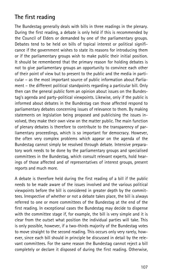# The first reading

The Bundestag generally deals with bills in three readings in the plenary. During the first reading, a debate is only held if this is recommended by the Council of Elders or demanded by one of the parliamentary groups. Debates tend to be held on bills of topical interest or political significance if the government wishes to state its reasons for introducing them or if the parliamentary groups wish to make public their initial position. It should be remembered that the primary reason for holding debates is not to give parliamentary groups an opportunity to convince each other of their point of view but to present to the public and the media in particular – as the most important source of public information about Parliament – the different political standpoints regarding a particular bill. Only then can the general public form an opinion about issues on the Bundestag's agenda and party-political viewpoints. Likewise, only if the public is informed about debates in the Bundestag can those affected respond to parliamentary debates concerning issues of relevance to them. By making statements on legislation being proposed and publicising the issues involved, they make their own view on the matter public. The main function of plenary debates is therefore to contribute to the transparency of parliamentary proceedings, which is so important for democracy. However, the often very complex problems which appear on the agenda of the Bundestag cannot simply be resolved through debate. Intensive preparatory work needs to be done by the parliamentary groups and specialised committees in the Bundestag, which consult relevant experts, hold hearings of those affected and of representatives of interest groups, present reports and much more.

A debate is therefore held during the first reading of a bill if the public needs to be made aware of the issues involved and the various political viewpoints before the bill is considered in greater depth by the committees. Irrespective of whether or not a debate takes place, the bill is always referred to one or more committees of the Bundestag at the end of the first reading. In exceptional cases the Bundestag may decide to dispense with the committee stage if, for example, the bill is very simple and it is clear from the outset what position the individual parties will take. This is only possible, however, if a two-thirds majority of the Bundestag votes to move straight to the second reading. This occurs only very rarely, however, since each bill should in principle be discussed in detail by the relevant committees. For the same reason the Bundestag cannot reject a bill completely or declare it disposed of during the first reading. Otherwise,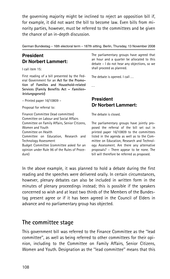the governing majority might be inclined to reject an opposition bill if, for example, it did not want the bill to become law. Even bills from minority parties, however, must be referred to the committees and be given the chance of an in-depth discussion.

German Bundestag – 16th electoral term – 187th sitting. Berlin, Thursday, 13 November 2008

## President Dr Norbert Lammert:

I call item 15:

First reading of a bill presented by the Federal Government for an Act for the Promotion of Families and Household-related Services (Family Benefits Act - Familienleistungsgesetz)

– Printed paper 16/10809 –

Proposal for referral to:

Finance Committee (lead committee) Committee on Labour and Social Affairs Committee on Family Affairs, Senior Citizens, Women and Youth Committee on Health Committee on Education, Research and Technology Assessment Budget Committee (committee asked for an opinion under Rule 96 of the Rules of Procedure)

The parliamentary groups have agreed that an hour and a quarter be allocated to this debate – I do not hear any objections, so we shall proceed as planned.

The debate is opened. I call ...

...

## President Dr Norbert Lammert:

The debate is closed.

The parliamentary groups have jointly proposed the referral of the bill set out in printed paper 16/10809 to the committees listed in the agenda as well as to the Committee on Education, Research and Technology Assessment. Are there any alternative proposals? – There appear to be none. The bill will therefore be referred as proposed.

In the above example, it was planned to hold a debate during the first reading and the speeches were delivered orally. In certain circumstances, however, plenary debates can also be included in written form in the minutes of plenary proceedings instead; this is possible if the speakers concerned so wish and at least two thirds of the Members of the Bundestag present agree or if it has been agreed in the Council of Elders in advance and no parliamentary group has objected.

## The committee stage

This government bill was referred to the Finance Committee as the ''lead committee'', as well as being referred to other committees for their opinion, including to the Committee on Family Affairs, Senior Citizens, Women and Youth. Designation as the ''lead committee'' means that this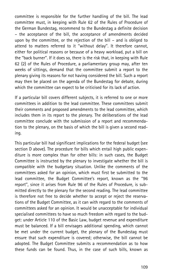committee is responsible for the further handling of the bill. The lead committee must, in keeping with Rule 62 of the Rules of Procedure of the German Bundestag, recommend to the Bundestag a definite decision – the acceptance of the bill, the acceptance of amendments decided upon by the committee, or the rejection of the bill – and is obliged to attend to matters referred to it ''without delay''. It therefore cannot, either for political reasons or because of a heavy workload, put a bill on the ''back burner''. If it does so, there is the risk that, in keeping with Rule 62 (2) of the Rules of Procedure, a parliamentary group may, after ten weeks of sittings, demand that the committee submit a report to the plenary giving its reasons for not having considered the bill. Such a report may then be placed on the agenda of the Bundestag for debate, during which the committee can expect to be criticised for its lack of action.

If a particular bill covers different subjects, it is referred to one or more committees in addition to the lead committee. These committees submit their comments and proposed amendments to the lead committee, which includes them in its report to the plenary. The deliberations of the lead committee conclude with the submission of a report and recommendation to the plenary, on the basis of which the bill is given a second reading.

This particular bill had significant implications for the federal budget (see section D above). The procedure for bills which entail high public expenditure is more complex than for other bills: in such cases, the Budget Committee is instructed by the plenary to investigate whether the bill is compatible with the budgetary situation. Unlike the comments of the committees asked for an opinion, which must first be submitted to the lead committee, the Budget Committee's report, known as the ''96 report'', since it arises from Rule 96 of the Rules of Procedure, is submitted directly to the plenary for the second reading. The lead committee is therefore not free to decide whether to accept or reject the reservations of the Budget Committee, as it can with regard to the comments of committees asked for an opinion. It would be unacceptable for individual specialised committees to have so much freedom with regard to the budget: under Article 110 of the Basic Law, budget revenue and expenditure must be balanced. If a bill envisages additional spending, which cannot be met under the current budget, the plenary of the Bundestag must ensure that such expenditure is covered; otherwise, the bill cannot be adopted. The Budget Committee submits a recommendation as to how these funds can be found. Thus, in the case of such bills, known as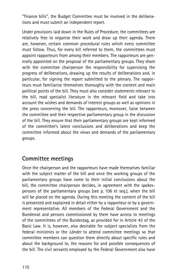''finance bills'', the Budget Committee must be involved in the deliberations and must submit an independent report.

Under provisions laid down in the Rules of Procedure, the committees are relatively free to organise their work and draw up their agenda. There are, however, certain common procedural rules which every committee must follow. Thus, for every bill referred to them, the committees must appoint rapporteurs from among their members. The rapporteurs are generally appointed on the proposal of the parliamentary groups. They share with the committee chairperson the responsibility for supervising the progress of deliberations, drawing up the results of deliberations and, in particular, for signing the report submitted to the plenary. The rapporteurs must familiarise themselves thoroughly with the content and main political points of the bill. They must also consider statements relevant to the bill, read specialist literature in the relevant field and take into account the wishes and demands of interest groups as well as opinions in the press concerning the bill. The rapporteurs, moreover, liaise between the committee and their respective parliamentary group in the discussion of the bill. They ensure that their parliamentary groups are kept informed of the committee's latest conclusions and deliberations and keep the committee informed about the views and demands of the parliamentary groups.

# Committee meetings

Once the chairperson and the rapporteurs have made themselves familiar with the subject matter of the bill and once the working groups of the parliamentary groups have come to their initial conclusions about the bill, the committee chairperson decides, in agreement with the spokespersons of the parliamentary groups (see p. 106 et seq.), when the bill will be placed on the agenda. During this meeting the content of the bill is presented and explained in detail either by a rapporteur or by a government representative. All members of the Federal Government and the Bundesrat and persons commissioned by them have access to meetings of the committees of the Bundestag, as provided for in Article 43 of the Basic Law. It is, however, also desirable for subject specialists from the federal ministries or the Länder to attend committee meetings so that committee members can question them directly about specific rules and about the background to, the reasons for and possible consequences of the bill. The civil servants employed by the Federal Government also have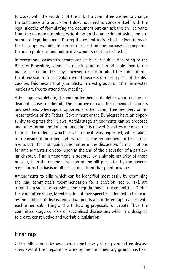to assist with the wording of the bill. If a committee wishes to change the substance of a provision it does not need to concern itself with the legal niceties of formulating the document but can ask the civil servants from the appropriate ministry to draw up the amendment using the appropriate legal language. During the committee's initial deliberations on the bill a general debate can also be held for the purpose of comparing the main problems and political viewpoints relating to the bill.

In exceptional cases this debate can be held in public. According to the Rules of Procedure, committee meetings are not in principle open to the public. The committee may, however, decide to admit the public during the discussion of a particular item of business or during parts of the discussion. This means that journalists, interest groups or other interested parties are free to attend the meeting.

After a general debate, the committee begins its deliberation on the individual clauses of the bill. The chairperson calls the individual chapters and sections, whereupon rapporteurs, other committee members or representatives of the Federal Government or the Bundesrat have an opportunity to express their views. At this stage amendments can be proposed and other formal motions for amendments moved. Speakers are given the floor in the order in which leave to speak was requested, while taking into consideration other factors such as the requirement to hear arguments both for and against the matter under discussion. Formal motions for amendments are voted upon at the end of the discussion of a particular chapter. If an amendment is adopted by a simple majority of those present, then the amended version of the bill presented by the government forms the basis of all discussions from that point onwards.

Amendments to bills, which can be identified most easily by examining the lead committee's recommendation for a decision (see p. 117), are often the result of discussions and negotiations in the committee. During the committee stage, Members do not give speeches intended to be heard by the public, but discuss individual points and different approaches with each other, submitting and withdrawing proposals for debate. Thus, the committee stage consists of specialised discussions which are designed to create constructive and workable legislation.

# **Hearings**

Often bills cannot be dealt with conclusively during committee discussions even if the preparatory work by the parliamentary groups has been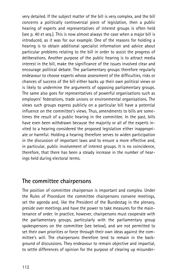very detailed. If the subject matter of the bill is very complex, and the bill concerns a politically controversial piece of legislation, then a public hearing of experts and representatives of interest groups is often held (see p. 40 et seq.). This is now almost always the case when a major bill is introduced, as it was for our example. One of the reasons for holding a hearing is to obtain additional specialist information and advice about particular problems relating to the bill in order to assist the progress of deliberations. Another purpose of the public hearing is to attract media interest in the bill, make the significance of the issues involved clear and encourage political debate. The parliamentary groups therefore regularly endeavour to choose experts whose assessment of the difficulties, risks or chances of success of the bill either backs up their own political views or is likely to undermine the arguments of opposing parliamentary groups. The same also goes for representatives of powerful organisations such as employers' federations, trade unions or environmental organisations. The views such groups express publicly on a particular bill have a potential influence on the committee's views. Thus, amendments to bills are sometimes the result of a public hearing in the committee. In the past, bills have even been withdrawn because the majority or all of the experts invited to a hearing considered the proposed legislation either inappropriate or harmful. Holding a hearing therefore serves to widen participation in the discussion of important laws and to ensure a more effective and, in particular, public involvement of interest groups. It is no coincidence, therefore, that there has been a steady increase in the number of hearings held during electoral terms.

# The committee chairpersons

The position of committee chairperson is important and complex. Under the Rules of Procedure the committee chairpersons convene meetings, set the agenda and, like the President of the Bundestag in the plenary, preside over meetings and have the power to take measures for the maintenance of order. In practice, however, chairpersons must cooperate with the parliamentary groups, particularly with the parliamentary group spokespersons on the committee (see below), and are not permitted to set their own priorities or force through their own ideas against the committee's will. The chairpersons therefore tend to remain in the background of discussions. They endeavour to remain objective and impartial, to settle differences of opinion for the purpose of clearing up misunder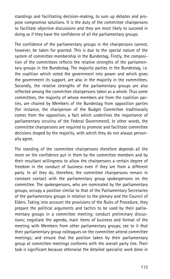standings and facilitating decision-making, to sum up debates and propose compromise solutions. It is the duty of the committee chairpersons to facilitate objective discussions and they are most likely to succeed in doing so if they have the confidence of all the parliamentary groups.

The confidence of the parliamentary groups in the chairpersons cannot, however, be taken for granted. This is due to the special nature of the system of committee membership in the Bundestag. Firstly, the composition of the committees reflects the relative strengths of the parliamentary groups in the Bundestag. The majority parties in the Bundestag, i.e. the coalition which voted the government into power and which gives the government its support, are also in the majority in the committees. Secondly, the relative strengths of the parliamentary groups are also reflected among the committee chairpersons taken as a whole. Thus some committees, the majority of whose members are from the coalition parties, are chaired by Members of the Bundestag from opposition parties (for instance, the chairperson of the Budget Committee traditionally comes from the opposition, a fact which underlines the importance of parliamentary scrutiny of the Federal Government). In other words, the committee chairpersons are required to promote and facilitate committee decisions shaped by the majority, with which they do not always personally agree.

The standing of the committee chairpersons therefore depends all the more on the confidence put in them by the committee members and by their resultant willingness to allow the chairpersons a certain degree of freedom in the conduct of business even if they are from a different party. In all they do, therefore, the committee chairpersons remain in constant contact with the parliamentary group spokespersons on the committee. The spokespersons, who are nominated by the parliamentary groups, occupy a position similar to that of the Parliamentary Secretaries of the parliamentary groups in relation to the plenary and the Council of Elders. Taking into account the provisions of the Rules of Procedure, they prepare the political arguments and tactics to be used by their parliamentary groups in a committee meeting; conduct preliminary discussions; negotiate the agenda, main items of business and format of the meeting with Members from other parliamentary groups; see to it that their parliamentary group colleagues on the committee attend committee meetings; and ensure that the position taken by their parliamentary group at committee meetings conforms with the overall party line. Their task is significant because otherwise the detailed specialist work done in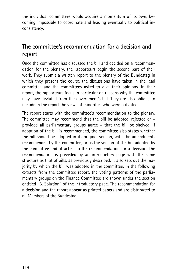the individual committees would acquire a momentum of its own, becoming impossible to coordinate and leading eventually to political inconsistency.

# The committee's recommendation for a decision and report

Once the committee has discussed the bill and decided on a recommendation for the plenary, the rapporteurs begin the second part of their work. They submit a written report to the plenary of the Bundestag in which they present the course the discussions have taken in the lead committee and the committees asked to give their opinions. In their report, the rapporteurs focus in particular on reasons why the committee may have deviated from the government's bill. They are also obliged to include in the report the views of minorities who were outvoted.

The report starts with the committee's recommendation to the plenary. The committee may recommend that the bill be adopted, rejected or – provided all parliamentary groups agree – that the bill be shelved. If adoption of the bill is recommended, the committee also states whether the bill should be adopted in its original version, with the amendments recommended by the committee, or as the version of the bill adopted by the committee and attached to the recommendation for a decision. The recommendation is preceded by an introductory page with the same structure as that of bills, as previously described. It also sets out the majority by which the bill was adopted in the committee. In the following extracts from the committee report, the voting patterns of the parliamentary groups on the Finance Committee are shown under the section entitled ''B. Solution'' of the introductory page. The recommendation for a decision and the report appear as printed papers and are distributed to all Members of the Bundestag.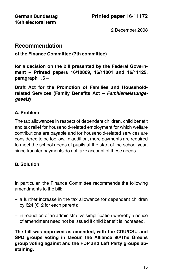2 December 2008

## Recommendation

## of the Finance Committee (7th committee)

for a decision on the bill presented by the Federal Government – Printed papers 16/10809, 16/11001 and 16/11125, paragraph 1.6 –

Draft Act for the Promotion of Families and Householdrelated Services (Family Benefits Act - Familienleistungsgesetz)

## A. Problem

The tax allowances in respect of dependent children, child benefit and tax relief for household-related employment for which welfare contributions are payable and for household-related services are considered to be too low. In addition, more payments are required to meet the school needs of pupils at the start of the school year, since transfer payments do not take account of these needs.

## B. Solution

...

In particular, the Finance Committee recommends the following amendments to the bill:

- a further increase in the tax allowance for dependent children by  $\epsilon$ 24 ( $\epsilon$ 12 for each parent):
- introduction of an administrative simplification whereby a notice of amendment need not be issued if child benefit is increased.

The bill was approved as amended, with the CDU/CSU and SPD groups voting in favour, the Alliance 90/The Greens group voting against and the FDP and Left Party groups abstaining.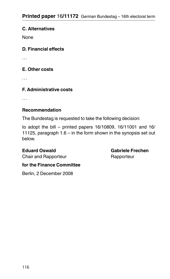## C. Alternatives

None

## D. Financial effects

...

## E. Other costs

...

## F. Administrative costs

...

## Recommendation

The Bundestag is requested to take the following decision:

to adopt the bill – printed papers 16/10809, 16/11001 and 16/ 11125, paragraph 1.6 – in the form shown in the synopsis set out below.

Eduard Oswald Gabriele Frechen

Chair and Rapporteur **Rapporteur** Rapporteur

## for the Finance Committee

Berlin, 2 December 2008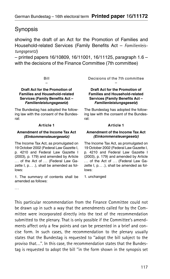# Synopsis

showing the draft of an Act for the Promotion of Families and Household-related Services (Family Benefits Act – Familienleistungsgesetz)

– printed papers 16/10809, 16/11001, 16/11125, paragraph 1.6 – with the decisions of the Finance Committee (7th committee)

#### Bill –

#### Draft Act for the Promotion of Families and Household-related Services (Family Benefits Act – Familienleistungsgesetz)

The Bundestag has adopted the following law with the consent of the Bundesrat:

#### Article 1

#### Amendment of the Income Tax Act (Einkommensteuergesetz)

The Income Tax Act, as promulgated on 19 October 2002 (Federal Law Gazette I, p. 4210 and Federal Law Gazette I (2003), p. 179) and amended by Article ... of the Act of ... (Federal Law Gazette I, p... .), shall be amended as follows:

1. The summary of contents shall be amended as follows:

Decisions of the 7th committee –

#### Draft Act for the Promotion of Families and Household-related Services (Family Benefits Act – Familienleistungsgesetz)

The Bundestag has adopted the following law with the consent of the Bundesrat:

#### Article 1

#### Amendment of the Income Tax Act (Einkommensteuergesetz)

The Income Tax Act, as promulgated on 19 October 2002 (Federal Law Gazette I, p. 4210 and Federal Law Gazette I (2003), p. 179) and amended by Article ... of the Act of ... (Federal Law Gazette I, p... .), shall be amended as follows:

1. unchanged

...

This particular recommendation from the Finance Committee could not be drawn up in such a way that the amendments called for by the Committee were incorporated directly into the text of the recommendation submitted to the plenary. That is only possible if the Committee's amendments affect only a few points and can be presented in a brief and concise form. In such cases, the recommendation to the plenary usually states that the Bundestag is requested to ''adopt the bill subject to the proviso that...". In this case, the recommendation states that the Bundestag is requested to adopt the bill ''in the form shown in the synopsis set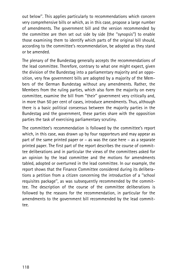out below''. This applies particularly to recommendations which concern very comprehensive bills or which, as in this case, propose a large number of amendments. The government bill and the version recommended by the committee are then set out side by side (the ''synopsis'') to enable those examining them to identify which parts of the original bill should, according to the committee's recommendation, be adopted as they stand or be amended.

The plenary of the Bundestag generally accepts the recommendations of the lead committee. Therefore, contrary to what one might expect, given the division of the Bundestag into a parliamentary majority and an opposition, very few government bills are adopted by a majority of the Members of the German Bundestag without any amendments. Rather, the Members from the ruling parties, which also form the majority on every committee, examine the bill from ''their'' government very critically and, in more than 50 per cent of cases, introduce amendments. Thus, although there is a basic political consensus between the majority parties in the Bundestag and the government, these parties share with the opposition parties the task of exercising parliamentary scrutiny.

The committee's recommendation is followed by the committee's report which, in this case, was drawn up by four rapporteurs and may appear as part of the same printed paper or – as was the case here – as a separate printed paper. The first part of the report describes the course of committee deliberations and in particular the views of the committees asked for an opinion by the lead committee and the motions for amendments tabled, adopted or overturned in the lead committee. In our example, the report shows that the Finance Committee considered during its deliberations a petition from a citizen concerning the introduction of a ''school requisites package'', as was subsequently recommended by the committee. The description of the course of the committee deliberations is followed by the reasons for the recommendation, in particular for the amendments to the government bill recommended by the lead committee.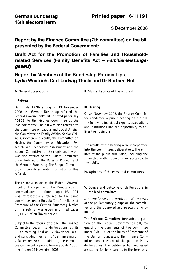3 December 2008

Report by the Finance Committee (7th committee) on the bill presented by the Federal Government:

## Draft Act for the Promotion of Families and Householdrelated Services (Family Benefits Act - Familienleistungsgesetz)

## Report by Members of the Bundestag Patricia Lips, Lydia Westrich, Carl-Ludwig Thiele and Dr Barbara Höll

#### A. General observations

#### I. Referral

During its 187th sitting on 13 November 2008, the German Bundestag referred the Federal Government's bill, printed paper 16/ 10809, to the Finance Committee as the lead committee. The bill was also referred to the Committee on Labour and Social Affairs the Committee on Family Affairs, Senior Citizens, Women and Youth, the Committee on Health, the Committee on Education, Research and Technology Assessment and the Budget Committee for their opinion. The bill was also referred to the Budget Committee under Rule 96 of the Rules of Procedure of the German Bundestag. The Budget Committee will provide separate information on this referral.

The response made by the Federal Government to the opinion of the Bundesrat and communicated in printed paper 16/11001 was retrospectively referred to the same committees under Rule 80 (3) of the Rules of Procedure of the German Bundestag. Notice of this referral was given in printed paper 16/11125 of 28 November 2008.

Subject to the referral of the bill, the Finance Committee began its deliberations at its 105th meeting, held on 12 November 2008, and concluded them at its 109th meeting on 2 December 2008. In addition, the committee conducted a public hearing at its 106th meeting on 24 November 2008.

II. Main substance of the proposal

#### III. Hearing

...

On 24 November 2008, the Finance Committee conducted a public hearing on the bill. The following individual experts, associations and institutions had the opportunity to deliver their opinions:

...

The results of the hearing were incorporated into the committee's deliberations. The minutes of the public discussion, including the submitted written opinions, are accessible to the public.

#### IV. Opinions of the consulted committees

...

#### V. Course and outcome of deliberations in the lead committee

... (there follows a presentation of the views of the parliamentary groups on the committee and the approved and rejected amendments)

The Petitions Committee forwarded a petition on the Federal Government's bill, requesting the comments of the committee under Rule 109 of the Rules of Procedure of the German Bundestag. The Finance Committee took account of the petition in its deliberations. The petitioner had requested assistance for lone parents in the form of a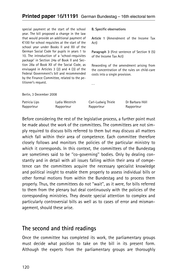special payment at the start of the school year. The bill proposed a change in the law that would provide an additional payment of  $£100$  for school requisites at the start of the school year under Books II and XII of the German Social Code for pupils in years 1 to 10. The introduction of a 'school-requisites package' in Section 24a of Book II and Section 28a of Book XII of the Social Code, as envisaged in Articles 3 (2) and 4 (3) of the Federal Government's bill and recommended by the Finance Committee, related to the petitioner's request.

B. Specific observations

Article 1 (Amendment of the Income Tax Act)

Paragraph 3 (first sentence of Section 9 (5) of the Income Tax Act)

Rewording of the amendment arising from the concentration of the rules on child-care costs into a single provision.

Berlin, 3 December 2008

| Patricia Lips | Lydia Westrich | Carl-Ludwig Thiele | Dr Barbara Höll |
|---------------|----------------|--------------------|-----------------|
| Rapporteur    | Rapporteur     | Rapporteur         | Rapporteur      |

...

Before considering the rest of the legislative process, a further point must be made about the work of the committees. The committees are not simply required to discuss bills referred to them but may discuss all matters which fall within their area of competence. Each committee therefore closely follows and monitors the policies of the particular ministry to which it corresponds. In this context, the committees of the Bundestag are sometimes said to be ''co-governing'' bodies. Only by dealing constantly and in detail with all issues falling within their area of competence can the committees acquire the necessary specialist knowledge and political insight to enable them properly to assess individual bills or other formal motions from within the Bundestag and to process them properly. Thus, the committees do not ''wait'', as it were, for bills referred to them from the plenary but deal continuously with the policies of the corresponding ministries. They devote special attention to complex and particularly controversial bills as well as to cases of error and mismanagement, should these arise.

## The second and third readings

Once the committee has completed its work, the parliamentary groups must decide what position to take on the bill in its present form. Although the experts from the parliamentary groups are thoroughly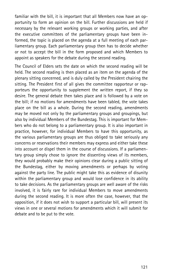familiar with the bill, it is important that all Members now have an opportunity to form an opinion on the bill. Further discussions are held if necessary by the relevant working groups or working parties, and after the executive committees of the parliamentary groups have been informed, the topic is placed on the agenda at a full meeting of each parliamentary group. Each parliamentary group then has to decide whether or not to accept the bill in the form proposed and which Members to appoint as speakers for the debate during the second reading.

The Council of Elders sets the date on which the second reading will be held. The second reading is then placed as an item on the agenda of the plenary sitting concerned, and is duly called by the President chairing the sitting. The President first of all gives the committee rapporteur or rapporteurs the opportunity to supplement the written report, if they so desire. The general debate then takes place and is followed by a vote on the bill; if no motions for amendments have been tabled, the vote takes place on the bill as a whole. During the second reading, amendments may be moved not only by the parliamentary groups and groupings, but also by individual Members of the Bundestag. This is important for Members who do not belong to a parliamentary group. It is also important in practice, however, for individual Members to have this opportunity, as the various parliamentary groups are thus obliged to take seriously any concerns or reservations their members may express and either take these into account or dispel them in the course of discussions. If a parliamentary group simply chose to ignore the dissenting views of its members, they would probably make their opinions clear during a public sitting of the Bundestag, either by moving amendments or perhaps by voting against the party line. The public might take this as evidence of disunity within the parliamentary group and would lose confidence in its ability to take decisions. As the parliamentary groups are well aware of the risks involved, it is fairly rare for individual Members to move amendments during the second reading. It is more often the case, however, that the opposition, if it does not wish to support a particular bill, will present its views in one or several motions for amendments which it will submit for debate and to be put to the vote.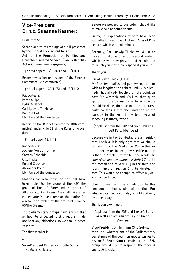## Vice-President Dr h.c. Susanne Kastner:

I call item 5:

Second and third readings of a bill presented by the Federal Government for an

Act for the Promotion of Families and Household-related Services (Family Benefits Act – Familienleistungsgesetz)

– printed papers 16/10809 and 16/11001 –

Recommendation and report of the Finance Committee (7th committee)

– printed papers 16/11172 and 16/11191 –

Rapporteurs: Patricia Lips, Lydia Westrich, Carl-Ludwig Thiele, and Barbara Höll, Members of the Bundestag

Report of the Budget Committee (8th committee) under Rule 96 of the Rules of Procedure

– Printed paper 16/11184 –

Rapporteurs: Jochen-Konrad Fromme, Carsten Schneider, Otto Fricke, Roland Claus, and Alexander Bonde, Members of the Bundestag

Motions for resolutions on this bill have been tabled by the group of the FDP, the group of The Left Party and the group of Alliance 90/The Greens. We shall take a recorded vote in due course on the motion for a resolution tabled by the group of Alliance 90/The Greens.

The parliamentary groups have agreed that an hour be allocated to this debate – I do not hear any objections, so we shall proceed as planned.

The first speaker is ...

Vice-President Dr Hermann Otto Solms: The debate is closed.

Before we proceed to the vote, I should like to make two announcements.

Firstly, 52 explanations of vote have been submitted under Rule 31 of our Rules of Procedure, which we shall minute.

Secondly, Carl-Ludwig Thiele would like to move an oral amendment on second reading, which he will now present and explain and to which you may then respond if you wish.

Thank you.

#### Carl-Ludwig Thiele (FDP):

Mr President, ladies and gentlemen, I do not wish to lengthen the debate unduly. Mr Lehrieder has already touched on the point, as have Ms Westrich and Ms Lips, that, quite apart from the discussion as to what more should be done, there seems to be a crossparty consensus that the limitation of the package to the end of the tenth year of schooling is utterly wrong.

(Applause from the FDP and from SPD and Left Party Members.)

Because we in the Bundestag are all legislators, I believe it is only right that we should not wait for the Mediation Committee or until next year. Instead, my specific motion is that, in Article 3 of the bill, the words 'bis zum Abschluss der Jahrgangsstufe 10' ('until the completion of year 10') in the third and fourth lines of Section 24a be deleted in toto. This would be enough to effect my desired amendment.

Should there be more in addition to this amendment, that would suit us fine. But what we can achieve today should certainly be done today.

Thank you very much.

(Applause from the FDP and The Left Party as well as from Alliance 90/The Greens Members)

#### Vice-President Dr Hermann Otto Solms:

May I ask whether one of the Parliamentary Secretaries of the coalition groups wishes to respond? Peter Struck, chair of the SPD group, would like to respond. The floor is yours, Dr Struck.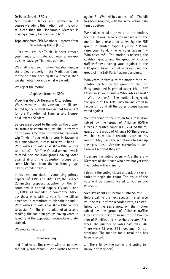#### Dr Peter Struck (SPD):

Mr President, ladies and gentlemen, of course we admit this motion, but it is crystal-clear that the Honourable Member is playing a purely tactical game here.

(Applause from SPD Members – protest from Carl-Ludwig Thiele [FDP])

– Yes, you are, Mr Thiele. It never crossed your minds to initiate your own school-requisites package. That was our idea.

We shall reject your motion. We shall discuss the project properly in the Mediation Committee or in the next legislative process. Then we shall obtain exactly what we want.

We reject the motion.

(Applause from the SPD)

#### Vice-President Dr Hermann Otto Solms:

We now come to the vote on the bill presented by the Federal Government for an Act for the Promotion of Families and Household-related Services.

Before we proceed to the vote on the proposal from the committee, we shall now vote on the oral amendment moved by Carl-Ludwig Thiele. If you wish to vote in favour of this amendment, please raise your hand. – Who wishes to vote against? – Who wishes to abstain? – Mr Thiele's oral amendment is rejected, the coalition groups having voted against it and the opposition groups and some Members from the coalition groups having voted in favour.

In its recommendation, comprising printed papers 16/11191 and 16/11172, the Finance Committee proposes adoption of the bill contained in printed papers 16/10809 and 16/11001 as amended in committee. May I ask those who wish to vote for the bill as amended in committee to raise their hand. – Who wishes to vote against? – Who wishes to abstain? – The bill is adopted at second reading, the coalition groups having voted in favour and the opposition groups having abstained.

We now come to the

#### third reading

and final vote. Those who wish to approve the bill, please stand. – Who wishes to vote

against? – Who wishes to abstain? – The bill has been adopted, with the same voting pattern as before.

We shall now take the vote on the motions for resolutions. Who votes in favour of the motion for a resolution tabled by the FDP group in printed paper 16/11225? Please raise your hand. – Who votes against? – Who abstains? – The motion is rejected, the coalition groups and the group of Alliance 90/The Greens having voted against it, the FDP group having voted in favour and the group of The Left Party having abstained.

Who votes in favour of the motion for a resolution tabled by the group of The Left Party contained in printed paper 16/11188? Please raise your hand. – Who votes against? – Who abstains? – The motion is rejected, the group of The Left Party having voted in favour of it and all the other groups having voted against.

We now come to the motion for a resolution tabled by the group of Alliance 90/The Greens in printed paper 16/11224. At the request of the group of Alliance 90/The Greens, we shall now take a recorded vote on this motion. May I ask the secretaries to take up their positions. – Are the secretaries in position? – I see that they are.

I declare the voting open. – Are there any Members of the House who have not yet cast their vote? – There are not.

I declare the voting closed and ask the secretaries to begin the count. The result of the vote will be communicated to you in due course. . . .

#### Vice-President Dr Hermann Otto Solms:

Before calling the next speaker, I shall give you the result of the recorded vote, as established by the secretaries, on the motion tabled by the group of Alliance 90/The Greens on the draft of an Act for the Promotion of Families and Household-related Services. The number of votes cast was 546. There were 48 ayes, 394 noes and 104 abstentions. The motion for a resolution has been rejected.

... (There follow the names and voting behaviour of Members)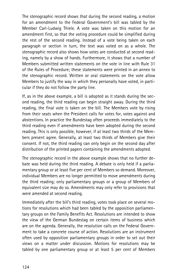The stenographic record shows that during the second reading, a motion for an amendment to the Federal Government's bill was tabled by the Member Carl-Ludwig Thiele. A vote was taken on this motion for an amendment first, so that the voting procedure could be simplified during the rest of the second reading. Instead of a vote being taken on each paragraph or section in turn, the text was voted on as a whole. The stenographic record also shows how votes are conducted at second reading, namely by a show of hands. Furthermore, it shows that a number of Members submitted written statements on the vote in line with Rule 31 of the Rules of Procedure; these statements were printed in an annex to the stenographic record. Written or oral statements on the vote allow Members to justify the way in which they personally have voted, in particular if they do not follow the party line.

If, as in the above example, a bill is adopted as it stands during the second reading, the third reading can begin straight away. During the third reading, the final vote is taken on the bill. The Members vote by rising from their seats when the President calls for votes for, votes against and abstentions. In practice the Bundestag often proceeds immediately to the third reading even if amendments have been adopted during the second reading. This is only possible, however, if at least two thirds of the Members present agree. Generally, at least two thirds of Members give their consent. If not, the third reading can only begin on the second day after distribution of the printed papers containing the amendments adopted.

The stenographic record in the above example shows that no further debate was held during the third reading. A debate is only held if a parliamentary group or at least five per cent of Members so demand. Moreover, individual Members are no longer permitted to move amendments during the third reading; only parliamentary groups or a group of Members of equivalent size may do so. Amendments may only refer to provisions that were amended at second reading.

Immediately after the bill's third reading, votes took place on several motions for resolutions which had been tabled by the opposition parliamentary groups on the Family Benefits Act. Resolutions are intended to show the view of the German Bundestag on certain items of business which are on the agenda. Generally, the resolution calls on the Federal Government to take a concrete course of action. Resolutions are an instrument often used by opposition parliamentary groups in order to set out their views on a matter under discussion. Motions for resolutions may be tabled by one parliamentary group or at least 5 per cent of Members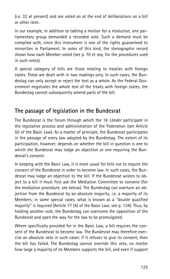(i.e. 32 at present) and are voted on at the end of deliberations on a bill or other item.

In our example, in addition to tabling a motion for a resolution, one parliamentary group demanded a recorded vote. Such a demand must be complied with, since this instrument is one of the rights guaranteed to minorities in Parliament. In votes of this kind, the stenographic record shows how each Member voted (see p. 70 et seq. for the procedures used in such votes).

A special category of bills are those relating to treaties with foreign states. These are dealt with in two readings only. In such cases, the Bundestag can only accept or reject the text as a whole. As the Federal Government negotiates the whole text of the treaty with foreign states, the Bundestag cannot subsequently amend parts of the bill.

# The passage of legislation in the Bundesrat

The Bundesrat is the forum through which the 16 Länder participate in the legislative process and administration of the Federation (see Article 50 of the Basic Law). As a matter of principle, the Bundesrat participates in the passage of every law adopted by the Bundestag. The extent of its participation, however, depends on whether the bill in question is one to which the Bundesrat may lodge an objection or one requiring the Bundesrat's consent.

In keeping with the Basic Law, it is more usual for bills not to require the consent of the Bundesrat in order to become law. In such cases, the Bundesrat may lodge an objection to the bill. If the Bundesrat wishes to object to a bill it must first ask the Mediation Committee to convene (for the mediation procedure, see below). The Bundestag can overturn an objection from the Bundesrat by an absolute majority, i.e. a majority of its Members; in some special cases, what is known as a ''double qualified majority'' is required (Article 77 (4) of the Basic Law; see p. 134). Thus, by holding another vote, the Bundestag can overcome the opposition of the Bundesrat and open the way for the law to be promulgated.

Where specifically provided for in the Basic Law, a bill requires the consent of the Bundesrat to become law. The Bundesrat may therefore exercise an absolute veto in such cases: if it refuses to give its consent, then the bill has failed. The Bundestag cannot override this veto, no matter how large a majority of its Members supports the bill, and even if support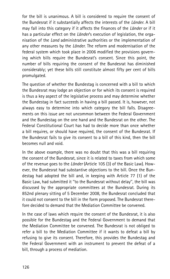for the bill is unanimous. A bill is considered to require the consent of the Bundesrat if it substantially affects the interests of the *Länder*. A bill may fall into this category if it affects the finances of the Länder or if it has a particular effect on the *Länder'*s execution of legislation, the organisation of the Land administrative authorities or the implementation of any other measures by the *Länder*. The reform and modernisation of the federal system which took place in 2006 modified the provisions governing which bills require the Bundesrat's consent. Since this point, the number of bills requiring the consent of the Bundesrat has diminished considerably; yet these bills still constitute almost fifty per cent of bills promulgated.

The question of whether the Bundestag is concerned with a bill to which the Bundesrat may lodge an objection or for which its consent is required is thus a key aspect of the legislative process and may determine whether the Bundestag in fact succeeds in having a bill passed. It is, however, not always easy to determine into which category the bill falls. Disagreements on this issue are not uncommon between the Federal Government and the Bundestag on the one hand and the Bundesrat on the other. The Federal Constitutional Court has had to decide more than once whether a bill requires, or should have required, the consent of the Bundesrat. If the Bundesrat fails to give its consent to a bill of this kind, then the bill becomes null and void.

In the above example, there was no doubt that this was a bill requiring the consent of the Bundesrat, since it is related to taxes from which some of the revenue goes to the Länder (Article 105 (3) of the Basic Law). However, the Bundesrat had substantive objections to the bill. Once the Bundestag had adopted the bill and, in keeping with Article 77 (1) of the Basic Law, had submitted it ''to the Bundesrat without delay'', the bill was discussed by the appropriate committees at the Bundesrat. During its 852nd plenary sitting of 5 December 2008, the Bundesrat concluded that it could not consent to the bill in the form proposed. The Bundesrat therefore decided to demand that the Mediation Committee be convened.

In the case of laws which require the consent of the Bundesrat, it is also possible for the Bundestag and the Federal Government to demand that the Mediation Committee be convened. The Bundesrat is not obliged to refer a bill to the Mediation Committee if it wants to defeat a bill by refusing to give its consent. Therefore, this provides the Bundestag and the Federal Government with an instrument to prevent the defeat of a bill, through a process of mediation.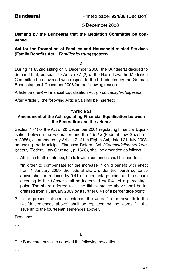5 December 2008

## Demand by the Bundesrat that the Mediation Committee be convened

## Act for the Promotion of Families and Household-related Services (Family Benefits Act – Familienleistungsgesetz)

A

During its 852nd sitting on 5 December 2008, the Bundesrat decided to demand that, pursuant to Article 77 (2) of the Basic Law, the Mediation Committee be convened with respect to the bill adopted by the German Bundestag on 4 December 2008 for the following reason:

Article 5a (new) – Financial Equalisation Act (Finanzausgleichsgesetz)

After Article 5, the following Article 5a shall be inserted:

### ''Article 5a Amendment of the Act regulating Financial Equalisation between the Federation and the Länder

Section 1 (1) of the Act of 20 December 2001 regulating Financial Equalisation between the Federation and the Länder (Federal Law Gazette I, p. 3956), as amended by Article 2 of the Eighth Act, dated 31 July 2008, amending the Municipal Finances Reform Act (Gemeindefinanzreformgesetz) (Federal Law Gazette I, p. 1626), shall be amended as follows:

1. After the tenth sentence, the following sentences shall be inserted:

''In order to compensate for the increase in child benefit with effect from 1 January 2009, the federal share under the fourth sentence above shall be reduced by 0.41 of a percentage point, and the share accruing to the *Länder* shall be increased by 0.41 of a percentage point. The share referred to in the fifth sentence above shall be increased from 1 January 2009 by a further 0.41 of a percentage point."

2. In the present thirteenth sentence, the words ''in the seventh to the twelfth sentences above" shall be replaced by the words ''in the seventh to the fourteenth sentences above".

Reasons:

...

The Bundesrat has also adopted the following resolution:

...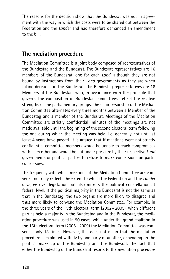The reasons for the decision show that the Bundesrat was not in agreement with the way in which the costs were to be shared out between the Federation and the *Länder* and had therefore demanded an amendment to the bill.

# The mediation procedure

The Mediation Committee is a joint body composed of representatives of the Bundestag and the Bundesrat. The Bundesrat representatives are 16 members of the Bundesrat, one for each Land, although they are not bound by instructions from their Land governments as they are when taking decisions in the Bundesrat. The Bundestag representatives are 16 Members of the Bundestag, who, in accordance with the principle that governs the composition of Bundestag committees, reflect the relative strengths of the parliamentary groups. The chairpersonship of the Mediation Committee alternates every three months between a Member of the Bundestag and a member of the Bundesrat. Meetings of the Mediation Committee are strictly confidential; minutes of the meetings are not made available until the beginning of the second electoral term following the one during which the meeting was held, i.e. generally not until at least 4 years have passed. It is argued that if meetings were not strictly confidential committee members would be unable to reach compromises with each other and would be put under pressure by their respective Land governments or political parties to refuse to make concessions on particular issues.

The frequency with which meetings of the Mediation Committee are convened not only reflects the extent to which the Federation and the *Länder* disagree over legislation but also mirrors the political constellation at federal level. If the political majority in the Bundesrat is not the same as that in the Bundestag, the two organs are more likely to disagree and thus more likely to convene the Mediation Committee. For example, in the three years of the 15th electoral term (2002 – 2005), when different parties held a majority in the Bundestag and in the Bundesrat, the mediation procedure was used in 90 cases, while under the grand coalition in the 16th electoral term (2005 – 2009) the Mediation Committee was convened only 18 times. However, this does not mean that the mediation procedure is exploited wilfully by one party or another, depending on the political make-up of the Bundestag and the Bundesrat. The fact that either the Bundestag or the Bundesrat resorts to the mediation procedure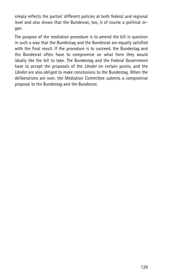simply reflects the parties' different policies at both federal and regional level and also shows that the Bundesrat, too, is of course a political organ.

The purpose of the mediation procedure is to amend the bill in question in such a way that the Bundestag and the Bundesrat are equally satisfied with the final result. If the procedure is to succeed, the Bundestag and the Bundesrat often have to compromise on what form they would ideally like the bill to take. The Bundestag and the Federal Government have to accept the proposals of the *Länder* on certain points, and the Länder are also obliged to make concessions to the Bundestag. When the deliberations are over, the Mediation Committee submits a compromise proposal to the Bundestag and the Bundesrat.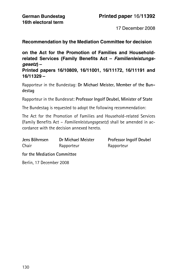17 December 2008

Recommendation by the Mediation Committee for decision

on the Act for the Promotion of Families and Householdrelated Services (Family Benefits Act – Familienleistungsgesetz) –

Printed papers 16/10809, 16/11001, 16/11172, 16/11191 and 16/11329 –

Rapporteur in the Bundestag: Dr Michael Meister, Member of the Bundestag

Rapporteur in the Bundesrat: Professor Ingolf Deubel, Minister of State

The Bundestag is requested to adopt the following recommendation:

The Act for the Promotion of Families and Household-related Services (Family Benefits Act – Familienleistungsgesetz) shall be amended in accordance with the decision annexed hereto.

| Jens Böhrnsen | Dr Michael Meister | <b>Professor Ingolf Deubel</b> |
|---------------|--------------------|--------------------------------|
| Chair         | Rapporteur         | Rapporteur                     |

for the Mediation Committee

Berlin, 17 December 2008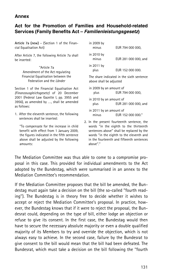## Annex

## Act for the Promotion of Families and Household-related Services (Family Benefits Act – Familienleistungsgesetz)

Article 7a (new) – (Section 1 of the Financial Equalisation Act)

After Article 7, the following Article 7a shall be inserted:

> ''Article 7a Amendment of the Act regulating Financial Equalisation between the Federation and the Länder

Section 1 of the Financial Equalisation Act (Finanzausgleichsgesetz) of 20 December 2001 (Federal Law Gazette I, pp. 3955 and 3956), as amended by ..., shall be amended as follows:

1. After the eleventh sentence, the following sentences shall be inserted:

''To compensate for the increase in child benefit with effect from 1 January 2009, the figures indicated in the fifth sentence above shall be adjusted by the following amounts:

in 2009 by EUR 794 000 000. in 2010 by minus EUR 281 000 000, and in 2011 by plus EUR 152 000 000.

The share indicated in the sixth sentence above shall be adjusted

- in 2009 by an amount of plus EUR 794 000 000,
- in 2010 by an amount of
- plus EUR 281 000 000, and in 2011 by an amount of
- minus **EUR** 152 000 000."
- 2. In the present fourteenth sentence, the words ''in the eighth to the thirteenth sentences above'' shall be replaced by the words ''in the eighth to the eleventh and in the fourteenth and fifteenth sentences above''.''

The Mediation Committee was thus able to come to a compromise proposal in this case. This provided for individual amendments to the Act adopted by the Bundestag, which were summarised in an annex to the Mediation Committee's recommendation.

If the Mediation Committee proposes that the bill be amended, the Bundestag must again take a decision on the bill (the so-called ''fourth reading''). The Bundestag is in theory free to decide whether it wishes to accept or reject the Mediation Committee's proposal. In practice, however, the Bundestag knows that if it were to reject the proposal, the Bundesrat could, depending on the type of bill, either lodge an objection or refuse to give its consent. In the first case, the Bundestag would then have to secure the necessary absolute majority or even a double qualified majority of its Members to try and override the objection, which is not always easy to achieve. In the second case, failure by the Bundesrat to give consent to the bill would mean that the bill had been defeated. The Bundesrat, which must take a decision on the bill following the ''fourth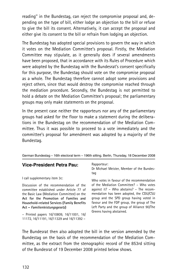reading'' in the Bundestag, can reject the compromise proposal and, depending on the type of bill, either lodge an objection to the bill or refuse to give the bill its consent. Alternatively, it can accept the proposal and either give its consent to the bill or refrain from lodging an objection.

The Bundestag has adopted special provisions to govern the way in which it votes on the Mediation Committee's proposal. Firstly, the Mediation Committee may stipulate, as it generally does if several amendments have been proposed, that in accordance with its Rules of Procedure which were adopted by the Bundestag with the Bundesrat's consent specifically for this purpose, the Bundestag should vote on the compromise proposal as a whole. The Bundestag therefore cannot adopt some provisions and reject others, since that would destroy the compromise reached through the mediation procedure. Secondly, the Bundestag is not permitted to hold a debate on the Mediation Committee's proposal; the parliamentary groups may only make statements on the proposal.

In the present case neither the rapporteurs nor any of the parliamentary groups had asked for the floor to make a statement during the deliberations in the Bundestag on the recommendation of the Mediation Committee. Thus it was possible to proceed to a vote immediately and the committee's proposal for amendment was adopted by a majority of the Bundestag.

German Bundestag – 16th electoral term – 196th sitting. Berlin, Thursday, 18 December 2008

## Vice-President Petra Pau:

I call supplementary item 3c:

Discussion of the recommendation of the committee established under Article 77 of the Basic Law (Mediation Committee) on the Act for the Promotion of Families and Household-related Services (Family Benefits Act – Familienleistungsgesetz)

– Printed papers 16/10809, 16/11001, 16/ 11172, 16/11191, 16/11329 and 16/11392 –

Rapporteur:

Dr Michael Meister, Member of the Bundestag

Who votes in favour of the recommendation of the Mediation Committee? – Who votes against it? – Who abstains? – The recommendation has been adopted, the CDU/CSU group and the SPD group having voted in favour and the FDP group, the group of The Left Party and the group of Alliance 90/The Greens having abstained.

The Bundesrat then also adopted the bill in the version amended by the Bundestag on the basis of the recommendation of the Mediation Committee, as the extract from the stenographic record of the 853rd sitting of the Bundesrat of 19 December 2008 printed below shows.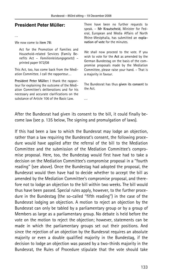## President Peter Müller:

...

We now come to item 78:

Act for the Promotion of Families and Household-related Services (Family Benefits Act - Familienleistungsgesetz) printed paper 972/08

This Act, too, has come back from the Mediation Committee. I call the rapporteur...

President Peter Müller: I thank the rapporteur for explaining the outcome of the Mediation Committee's deliberations and for his necessary and accurate clarifications on the substance of Article 106 of the Basic Law.

There have been no further requests to speak. – Mr Krautscheid, Minister for Federal, European and Media Affairs of North Rhine-Westphalia, has submitted an explanation of vote for the minutes.

We shall now proceed to the vote. If you wish to vote for the Act as amended by the German Bundestag on the basis of the compromise proposals made by the Mediation Committee, please raise your hand. – That is a majority in favour.

The Bundesrat has thus given its consent to the Act.

After the Bundesrat had given its consent to the bill, it could finally become law (see p. 135 below, The signing and promulgation of laws).

...

If this had been a law to which the Bundesrat may lodge an objection, rather than a law requiring the Bundesrat's consent, the following procedure would have applied after the referral of the bill to the Mediation Committee and the submission of the Mediation Committee's compromise proposal. Here, too, the Bundestag would first have had to take a decision on the Mediation Committee's compromise proposal in a ''fourth reading'' (see above). Once the Bundestag had adopted the proposal, the Bundesrat would then have had to decide whether to accept the bill as amended by the Mediation Committee's compromise proposal, and therefore not to lodge an objection to the bill within two weeks. The bill would thus have been passed. Special rules apply, however, to the further procedure in the Bundestag (the so-called ''fifth reading'') in the case of the Bundesrat lodging an objection. A motion to reject an objection by the Bundesrat can only be tabled by a parliamentary group or by a group of Members as large as a parliamentary group. No debate is held before the vote on the motion to reject the objection; however, statements can be made in which the parliamentary groups set out their positions. And since the rejection of an objection by the Bundesrat requires an absolute majority or even a double qualified majority in the Bundestag, if the decision to lodge an objection was passed by a two-thirds majority in the Bundesrat, the Rules of Procedure stipulate that the vote should take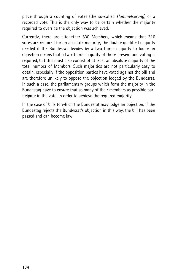place through a counting of votes (the so-called Hammelsprung) or a recorded vote. This is the only way to be certain whether the majority required to override the objection was achieved.

Currently, there are altogether 630 Members, which means that 316 votes are required for an absolute majority; the double qualified majority needed if the Bundesrat decides by a two-thirds majority to lodge an objection means that a two-thirds majority of those present and voting is required, but this must also consist of at least an absolute majority of the total number of Members. Such majorities are not particularly easy to obtain, especially if the opposition parties have voted against the bill and are therefore unlikely to oppose the objection lodged by the Bundesrat. In such a case, the parliamentary groups which form the majority in the Bundestag have to ensure that as many of their members as possible participate in the vote, in order to achieve the required majority.

In the case of bills to which the Bundesrat may lodge an objection, if the Bundestag rejects the Bundesrat's objection in this way, the bill has been passed and can become law.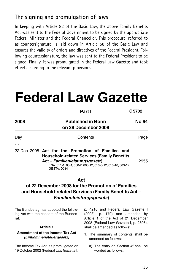# The signing and promulgation of laws

In keeping with Article 82 of the Basic Law, the above Family Benefits Act was sent to the Federal Government to be signed by the appropriate Federal Minister and the Federal Chancellor. This procedure, referred to as countersignature, is laid down in Article 58 of the Basic Law and ensures the validity of orders and directives of the Federal President. Following countersignature, the law was sent to the Federal President to be signed. Finally, it was promulgated in the Federal Law Gazette and took effect according to the relevant provisions.

# Federal Law Gazette

|                                                                                                                                                           | Part I                                                    | G5702                                                                                                                                                   |
|-----------------------------------------------------------------------------------------------------------------------------------------------------------|-----------------------------------------------------------|---------------------------------------------------------------------------------------------------------------------------------------------------------|
| 2008                                                                                                                                                      | <b>Published in Bonn</b><br>on 29 December 2008           | No 64                                                                                                                                                   |
| Day<br>.                                                                                                                                                  | Contents                                                  | Page                                                                                                                                                    |
| 22 Dec. 2008 Act for the Promotion of Families and<br><b>Household-related Services (Family Benefits</b><br>Act – Familienleistungsgesetz)<br>GESTA: D084 | FNA: 611-1, 85-4, 860-2, 860-12, 610-6-12, 610-10, 603-12 | 2955                                                                                                                                                    |
| of 22 December 2008 for the Promotion of Families<br>and Household-related Services (Family Benefits Act -                                                | Act<br>Familienleistungsgesetz)                           |                                                                                                                                                         |
| The Bundestag has adopted the follow-<br>ing Act with the consent of the Bundes-<br>rat:<br><b>Article 1</b>                                              | shall be amended as follows:                              | p. 4210 and Federal Law Gazette I<br>$(2003)$ , p. 179) and amended by<br>Article 1 of the Act of 21 December<br>2008 (Federal Law Gazette I, p. 2896), |
| Amendment of the Income Tax Act<br>(Einkommensteuergesetz)                                                                                                | amended as follows:                                       | 1. The summary of contents shall be                                                                                                                     |
| The Income Tax Act, as promulgated on                                                                                                                     |                                                           | a) The entry on Section 4f shall be                                                                                                                     |

19 October 2002 (Federal Law Gazette I,

a) The entry on Section 4f shall be worded as follows: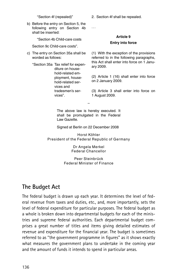''Section 4f (repealed)"

b) Before the entry on Section 5, the following entry on Section 4b shall be inserted:

''Section 4b Child-care costs

Section 9c Child-care costs".

c) The entry on Section 35a shall be worded as follows:

''Section 35a Tax relief for expenditure on household-related employment, household-related services and tradesmen's services".

2. Section 4f shall be repealed.

Article 9 Entry into force

(1) With the exception of the provisions referred to in the following paragraphs, this Act shall enter into force on 1 January 2009.

(2) Article 1 (16) shall enter into force on 2 January 2009.

(3) Article 3 shall enter into force on 1 August 2009.

The above law is hereby executed. It shall be promulgated in the Federal Law Gazette.

–

...

Signed at Berlin on 22 December 2008

Horst Köhler President of the Federal Republic of Germany

> Dr Angela Merkel Federal Chancellor

Peer Steinbrück Federal Minister of Finance

# The Budget Act

The federal budget is drawn up each year. It determines the level of federal revenue from taxes and duties, etc., and, more importantly, sets the level of federal expenditure for particular purposes. The federal budget as a whole is broken down into departmental budgets for each of the ministries and supreme federal authorities. Each departmental budget comprises a great number of titles and items giving detailed estimates of revenue and expenditure for the financial year. The budget is sometimes referred to as ''the government programme in figures'' as it shows exactly what measures the government plans to undertake in the coming year and the amount of funds it intends to spend in particular areas.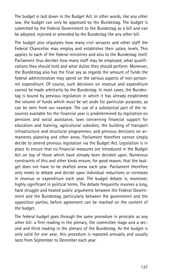The budget is laid down in the Budget Act. In other words, like any other law, the budget can only be approved by the Bundestag. The budget is submitted by the Federal Government to the Bundestag as a bill and can be adopted, rejected or amended by the Bundestag like any other bill.

The budget also stipulates how many civil servants and other staff the Federal Chancellor may employ and establishes their salary levels. This applies to each of the federal ministries and also to the Bundestag itself. Parliament thus decides how many staff may be employed, what qualifications they should hold and what duties they should perform. Moreover, the Bundestag also has the final say as regards the amount of funds the federal administration may spend on the various aspects of non-personnel expenditure. Of course, such decisions on revenue and expenditure cannot be made arbitrarily by the Bundestag. In most cases, the Bundestag is bound by previous legislation in which it has already established the volume of funds which must be set aside for particular purposes, as can be seen from our example. The use of a substantial part of the resources available for the financial year is predetermined by legislation on pensions and social assistance, laws concerning financial support for education and training, agricultural subsidies, the building of transport infrastructure and structural programmes, and previous decisions on armaments planning and other areas. Parliament therefore cannot simply decide to amend previous legislation via the Budget Act. Legislation is in place to ensure that no financial measures are introduced in the Budget Act on top of those which have already been decided upon. Numerous constraints of this and other kinds ensure, for good reason, that the budget does not have to be drafted anew each year. Parliament therefore only needs to debate and decide upon individual reductions or increases in revenue or expenditure each year. The budget debate is, moreover, highly significant in political terms. The debate frequently involves a long, hard struggle and heated public arguments between the Federal Government and the Bundestag, particularly between the government and the opposition parties, before agreement can be reached on the content of the budget.

The federal budget goes through the same procedure in principle as any other bill: a first reading in the plenary, the committee stage and a second and third reading in the plenary of the Bundestag. As the budget is only valid for one year, this procedure is repeated annually and usually lasts from September to December each year.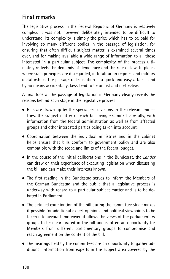# Final remarks

The legislative process in the Federal Republic of Germany is relatively complex. It was not, however, deliberately intended to be difficult to understand. Its complexity is simply the price which has to be paid for involving so many different bodies in the passage of legislation, for ensuring that often difficult subject matter is examined several times over, and for making available a wide range of information to all those interested in a particular subject. The complexity of the process ultimately reflects the demands of democracy and the rule of law. In places where such principles are disregarded, in totalitarian regimes and military dictatorships, the passage of legislation is a quick and easy affair – and by no means accidentally, laws tend to be unjust and ineffective.

A final look at the passage of legislation in Germany clearly reveals the reasons behind each stage in the legislative process:

- . Bills are drawn up by the specialised divisions in the relevant ministries, the subject matter of each bill being examined carefully, with information from the federal administration as well as from affected groups and other interested parties being taken into account.
- . Coordination between the individual ministries and in the cabinet helps ensure that bills conform to government policy and are also compatible with the scope and limits of the federal budget.
- $\bullet$  In the course of the initial deliberations in the Bundesrat, the Länder can draw on their experience of executing legislation when discussing the bill and can make their interests known.
- . The first reading in the Bundestag serves to inform the Members of the German Bundestag and the public that a legislative process is underway with regard to a particular subject matter and is to be debated in Parliament.
- . The detailed examination of the bill during the committee stage makes it possible for additional expert opinions and political viewpoints to be taken into account; moreover, it allows the views of the parliamentary groups to be incorporated in the bill and is often an opportunity for Members from different parliamentary groups to compromise and reach agreement on the content of the bill.
- . The hearings held by the committees are an opportunity to gather additional information from experts in the subject area covered by the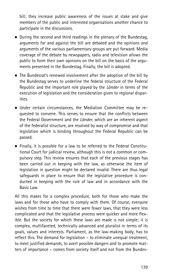bill; they increase public awareness of the issues at stake and give members of the public and interested organisations another chance to participate in the discussions.

- . During the second and third readings in the plenary of the Bundestag, arguments for and against the bill are debated and the opinions and arguments of the various parliamentary groups are put forward. Media coverage of the debate by newspapers, radio and television allows the public to form their own opinions on the bill on the basis of the arguments presented in the Bundestag. Finally, the bill is adopted.
- . The Bundesrat's renewed involvement after the adoption of the bill by the Bundestag serves to underline the federal structure of the Federal Republic and the important role played by the Länder in terms of the execution of legislation and the consideration given to regional disparities.
- . Under certain circumstances, the Mediation Committee may be requested to convene. This serves to ensure that the conflicts between the Federal Government and the Länder, which are an inherent aspect of the federalist structure, are resolved by way of compromise and that legislation which is binding throughout the Federal Republic can be passed.
- . Finally, it is possible for a law to be referred to the Federal Constitutional Court for judicial review, although this is not a common or compulsory step. This review ensures that each of the previous stages has been carried out in keeping with the law, as otherwise the item of legislation in question might be declared invalid. There are thus legal safeguards in place to ensure that the legislative procedure is conducted in keeping with the rule of law and in accordance with the Basic Law.

All this makes for a complex procedure, both for those who make the laws and for those who have to comply with them. Of course, everyone wishes from time to time that there were fewer laws, that they were less complicated and that the legislative process were quicker and more flexible. But the society for which these laws are made is not simple; it is complex, multifaceted, technically advanced and pluralist in terms of its goals, values and interests. Parliament, as the law-making body, has to reflect this. The demand for legislation – to eliminate unequal treatment, to meet justified demands, to avert possible dangers and to promote matters of importance – comes from society itself and not from the Bundes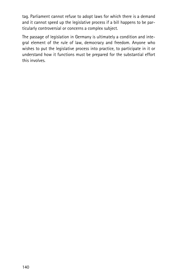tag. Parliament cannot refuse to adopt laws for which there is a demand and it cannot speed up the legislative process if a bill happens to be particularly controversial or concerns a complex subject.

The passage of legislation in Germany is ultimately a condition and integral element of the rule of law, democracy and freedom. Anyone who wishes to put the legislative process into practice, to participate in it or understand how it functions must be prepared for the substantial effort this involves.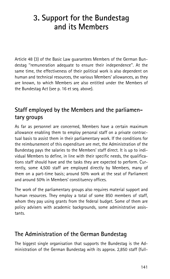# 3. Support for the Bundestag and its Members

Article 48 (3) of the Basic Law guarantees Members of the German Bundestag ''remuneration adequate to ensure their independence''. At the same time, the effectiveness of their political work is also dependent on human and technical resources, the various Members' allowances, as they are known, to which Members are also entitled under the Members of the Bundestag Act (see p. 16 et seq. above).

# Staff employed by the Members and the parliamentary groups

As far as personnel are concerned, Members have a certain maximum allowance enabling them to employ personal staff on a private contractual basis to assist them in their parliamentary work. If the conditions for the reimbursement of this expenditure are met, the Administration of the Bundestag pays the salaries to the Members' staff direct. It is up to individual Members to define, in line with their specific needs, the qualifications staff should have and the tasks they are expected to perform. Currently, some 4,500 staff are employed directly by Members, many of them on a part-time basis; around 50% work at the seat of Parliament and around 50% in Members' constituency offices.

The work of the parliamentary groups also requires material support and human resources. They employ a total of some 850 members of staff, whom they pay using grants from the federal budget. Some of them are policy advisers with academic backgrounds, some administrative assistants.

# The Administration of the German Bundestag

The biggest single organisation that supports the Bundestag is the Administration of the German Bundestag with its approx. 2,850 staff (full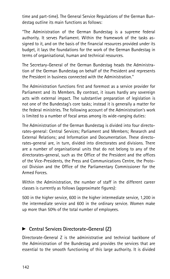time and part-time). The General Service Regulations of the German Bundestag outline its main functions as follows:

''The Administration of the German Bundestag is a supreme federal authority. It serves Parliament. Within the framework of the tasks assigned to it, and on the basis of the financial resources provided under its budget, it lays the foundations for the work of the German Bundestag in terms of organisational, human and technical resources.

The Secretary-General of the German Bundestag heads the Administration of the German Bundestag on behalf of the President and represents the President in business connected with the Administration.''

The Administration functions first and foremost as a service provider for Parliament and its Members. By contrast, it issues hardly any sovereign acts with external impact. The substantive preparation of legislation is not one of the Bundestag's core tasks; instead it is generally a matter for the federal ministries. The following account of the Administration's work is limited to a number of focal areas among its wide-ranging duties:

The Administration of the German Bundestag is divided into four directorates-general: Central Services; Parliament and Members; Research and External Relations; and Information and Documentation. These directorates-general are, in turn, divided into directorates and divisions. There are a number of organisational units that do not belong to any of the directorates-general, such as the Office of the President and the offices of the Vice-Presidents, the Press and Communications Centre, the Protocol Division and the Office of the Parliamentary Commissioner for the Armed Forces.

Within the Administration, the number of staff in the different career classes is currently as follows (approximate figures):

500 in the higher service, 600 in the higher intermediate service, 1,200 in the intermediate service and 600 in the ordinary service. Women make up more than 50% of the total number of employees.

## ▶ Central Services Directorate-General (Z)

Directorate-General Z is the administrative and technical backbone of the Administration of the Bundestag and provides the services that are essential to the smooth functioning of this large authority. It is divided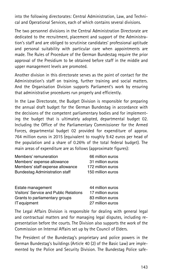into the following directorates: Central Administration, Law, and Technical and Operational Services, each of which contains several divisions.

The two personnel divisions in the Central Administration Directorate are dedicated to the recruitment, placement and support of the Administration's staff and are obliged to scrutinise candidates' professional aptitude and personal suitability with particular care when appointments are made. The Rules of Procedure of the German Bundestag require the prior approval of the Presidium to be obtained before staff in the middle and upper management levels are promoted.

Another division in this directorate serves as the point of contact for the Administration's staff on training, further training and social matters. And the Organisation Division supports Parliament's work by ensuring that administrative procedures run properly and efficiently.

In the Law Directorate, the Budget Division is responsible for preparing the annual draft budget for the German Bundestag in accordance with the decisions of the competent parliamentary bodies and for implementing the budget that is ultimately adopted, departmental budget 02. Including the Office of the Parliamentary Commissioner for the Armed Forces, departmental budget 02 provided for expenditure of approx. 764 million euros in 2015 (equivalent to roughly 9.42 euros per head of the population and a share of 0.26% of the total federal budget). The main areas of expenditure are as follows (approximate figures):

| Members' remuneration                  | 66 million euros  |
|----------------------------------------|-------------------|
| Members' expense allowance             | 31 million euros  |
| Members' staff expense allowance       | 172 million euros |
| <b>Bundestag Administration staff</b>  | 150 million euros |
|                                        |                   |
| Estate management                      | 44 million euros  |
| Visitors' Service and Public Relations | 17 million euros  |
| Grants to parliamentary groups         | 83 million euros  |
| IT equipment                           | 27 million euros  |

The Legal Affairs Division is responsible for dealing with general legal and contractual matters and for managing legal disputes, including representation before the courts. The Division also supports the work of the Commission on Internal Affairs set up by the Council of Elders.

The President of the Bundestag's proprietary and police powers in the German Bundestag's buildings (Article 40 (2) of the Basic Law) are implemented by the Police and Security Division. The Bundestag Police safe-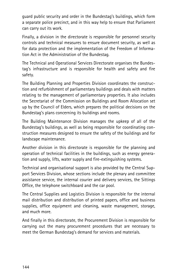guard public security and order in the Bundestag's buildings, which form a separate police precinct, and in this way help to ensure that Parliament can carry out its work.

Finally, a division in the directorate is responsible for personnel security controls and technical measures to ensure document security, as well as for data protection and the implementation of the Freedom of Information Act in the Administration of the Bundestag.

The Technical and Operational Services Directorate organises the Bundestag's infrastructure and is responsible for health and safety and fire safety.

The Building Planning and Properties Division coordinates the construction and refurbishment of parliamentary buildings and deals with matters relating to the management of parliamentary properties. It also includes the Secretariat of the Commission on Buildings and Room Allocation set up by the Council of Elders, which prepares the political decisions on the Bundestag's plans concerning its buildings and rooms.

The Building Maintenance Division manages the upkeep of all of the Bundestag's buildings, as well as being responsible for coordinating construction measures designed to ensure the safety of the buildings and for landscape maintenance.

Another division in this directorate is responsible for the planning and operation of technical facilities in the buildings, such as energy generation and supply, lifts, water supply and fire-extinguishing systems.

Technical and organisational support is also provided by the Central Support Services Division, whose sections include the plenary and committee assistance service, the internal courier and delivery services, the Sittings Office, the telephone switchboard and the car pool.

The Central Supplies and Logistics Division is responsible for the internal mail distribution and distribution of printed papers, office and business supplies, office equipment and cleaning, waste management, storage, and much more.

And finally in this directorate, the Procurement Division is responsible for carrying out the many procurement procedures that are necessary to meet the German Bundestag's demand for services and materials.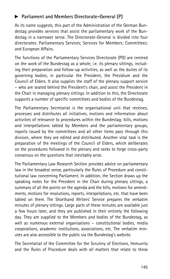## **>** Parliament and Members Directorate-General (P)

As its name suggests, this part of the Administration of the German Bundestag provides services that assist the parliamentary work of the Bundestag in a narrower sense. The Directorate-General is divided into four directorates: Parliamentary Services; Services for Members; Committees; and European Affairs.

The functions of the Parliamentary Services Directorate (PD) are centred on the work of the Bundestag as a whole, i.e. its plenary sittings, including their preparation and follow-up activities, as well as the duties of its governing bodies, in particular the President, the Presidium and the Council of Elders. It also supplies the staff of the plenary support service – who are seated behind the President's chair, and assist the President in the Chair in managing plenary sittings. In addition to this, the Directorate supports a number of specific committees and bodies of the Bundestag.

The Parliamentary Secretariat is the organisational unit that receives, processes and distributes all initiatives, motions and information about activities of relevance to procedures within the Bundestag: bills, motions and interpellations tabled by Members and the parliamentary groups, reports issued by the committees and all other items pass through this division, where they are edited and distributed. Another vital task is the preparation of the meetings of the Council of Elders, which deliberates on the procedures followed in the plenary and seeks to forge cross-party consensus on the questions that inevitably arise.

The Parliamentary Law Research Section provides advice on parliamentary law in the broadest sense, particularly the Rules of Procedure and constitutional law concerning Parliament. In addition, the Section draws up the speaking notes for the President in the Chair during plenary sittings, a summary of all the points on the agenda and the bills, motions for amendments, motions for resolutions, reports, interpellations, etc. that have been tabled on them. The Shorthand Writers' Service prepares the verbatim minutes of plenary sittings. Large parts of these minutes are available just a few hours later, and they are published in their entirety the following day. They are supplied to the Members and bodies of the Bundestag, as well as numerous external organisations – constitutional bodies, media corporations, academic institutions, associations, etc. The verbatim minutes are also accessible to the public via the Bundestag's website.

The Secretariat of the Committee for the Scrutiny of Elections, Immunity and the Rules of Procedure deals with all matters that relate to these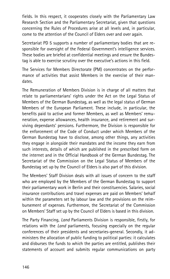fields. In this respect, it cooperates closely with the Parliamentary Law Research Section and the Parliamentary Secretariat, given that questions concerning the Rules of Procedures arise at all levels and, in particular, come to the attention of the Council of Elders over and over again.

Secretariat PD 5 supports a number of parliamentary bodies that are responsible for oversight of the Federal Government's intelligence services. These bodies are briefed at confidential meetings and ensure the Bundestag is able to exercise scrutiny over the executive's actions in this field.

The Services for Members Directorate (PM) concentrates on the performance of activities that assist Members in the exercise of their mandates.

The Remuneration of Members Division is in charge of all matters that relate to parliamentarians' rights under the Act on the Legal Status of Members of the German Bundestag, as well as the legal status of German Members of the European Parliament. These include, in particular, the benefits paid to active and former Members, as well as Members' remuneration, expense allowances, health insurance, and retirement and surviving dependants' pensions. Furthermore, the Division is responsible for the enforcement of the Code of Conduct under which Members of the German Bundestag have to disclose, among other things, any activities they engage in alongside their mandates and the income they earn from such interests, details of which are published in the prescribed form on the internet and in the Official Handbook of the German Bundestag. The Secretariat of the Commission on the Legal Status of Members of the Bundestag set up by the Council of Elders is also part of this division.

The Members' Staff Division deals with all issues of concern to the staff who are employed by the Members of the German Bundestag to support their parliamentary work in Berlin and their constituencies. Salaries, social insurance contributions and travel expenses are paid on Members' behalf within the parameters set by labour law and the provisions on the reimbursement of expenses. Furthermore, the Secretariat of the Commission on Members' Staff set up by the Council of Elders is based in this division.

The Party Financing, Land Parliaments Division is responsible, firstly, for relations with the Land parliaments, focusing especially on the regular conferences of their presidents and secretaries-general. Secondly, it administers the allocation of public funding to political parties: it calculates and disburses the funds to which the parties are entitled, publishes their statements of account and submits regular communications on party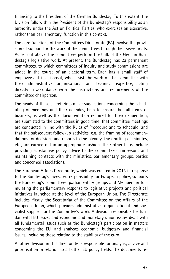financing to the President of the German Bundestag. To this extent, the Division falls within the President of the Bundestag's responsibility as an authority under the Act on Political Parties, who exercises an executive, rather than parliamentary, function in this context.

The core functions of the Committees Directorate (PA) involve the provision of support for the work of the committees through their secretariats. As set out above, the committees perform the bulk of the German Bundestag's legislative work. At present, the Bundestag has 23 permanent committees, to which committees of inquiry and study commissions are added in the course of an electoral term. Each has a small staff of employees at its disposal, who assist the work of the committee with their administrative, organisational and technical expertise, acting directly in accordance with the instructions and requirements of the committee chairperson.

The heads of these secretariats make suggestions concerning the scheduling of meetings and their agendas, help to ensure that all items of business, as well as the documentation required for their deliberation, are submitted to the committees in good time; that committee meetings are conducted in line with the Rules of Procedure and to schedule; and that the subsequent follow-up activities, e.g. the framing of recommendations for decisions and reports to the plenary, the drafting of minutes, etc., are carried out in an appropriate fashion. Their other tasks include providing substantive policy advice to the committee chairpersons and maintaining contacts with the ministries, parliamentary groups, parties and concerned associations.

The European Affairs Directorate, which was created in 2013 in response to the Bundestag's increased responsibility for European policy, supports the Bundestag's committees, parliamentary groups and Members in formulating the parliamentary response to legislative projects and political initiatives launched at the level of the European Union. The Directorate includes, firstly, the Secretariat of the Committee on the Affairs of the European Union, which provides administrative, organisational and specialist support for the Committee's work. A division responsible for fundamental EU issues and economic and monetary union issues deals with all fundamental issues such as the Bundestag's participation in matters concerning the EU, and analyses economic, budgetary and financial issues, including those relating to the stability of the euro.

Another division in this directorate is responsible for analysis, advice and prioritisation in relation to all other EU policy fields. The documents re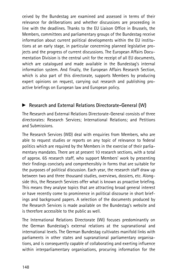ceived by the Bundestag are examined and assessed in terms of their relevance for deliberations and whether discussions are proceeding in line with the deadlines. Thanks to the EU Liaison Office in Brussels, the Members, committees and parliamentary groups of the Bundestag receive information about current political developments within the EU institutions at an early stage, in particular concerning planned legislative projects and the progress of current discussions. The European Affairs Documentation Division is the central unit for the receipt of all EU documents, which are catalogued and made available in the Bundestag's internal information system. And finally, the European Affairs Research Section, which is also part of this directorate, supports Members by producing expert opinions on request, carrying out research and publishing proactive briefings on European law and European policy.

## Research and External Relations Directorate-General (W)

The Research and External Relations Directorate-General consists of three directorates: Research Services; International Relations; and Petitions and Submissions.

The Research Services (WD) deal with enquiries from Members, who are able to request studies or reports on any topic of relevance to federal politics which are required by the Members in the exercise of their parliamentary mandates. There are at present 10 research sections, with a total of approx. 65 research staff, who support Members' work by presenting their findings concisely and comprehensibly in forms that are suitable for the purposes of political discussion. Each year, the research staff draw up between two and three thousand studies, overviews, dossiers, etc. Alongside this, the Research Services offer what is known as proactive briefing. This means they analyse topics that are attracting broad general interest or have recently come to prominence in political discourse in short briefings and background papers. A selection of the documents produced by the Research Services is made available on the Bundestag's website and is therefore accessible to the public as well.

The International Relations Directorate (WI) focuses predominantly on the German Bundestag's external relations at the supranational and international levels. The German Bundestag cultivates manifold links with parliaments in other states and supranational parliamentary organisations, and is consequently capable of collaborating and exerting influence within interparliamentary organisations, procuring information for the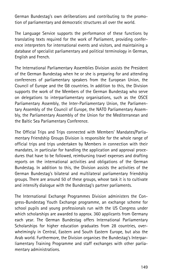German Bundestag's own deliberations and contributing to the promotion of parliamentary and democratic structures all over the world.

The Language Service supports the performance of these functions by translating texts required for the work of Parliament, providing conference interpreters for international events and visitors, and maintaining a database of specialist parliamentary and political terminology in German, English and French.

The International Parliamentary Assemblies Division assists the President of the German Bundestag when he or she is preparing for and attending conferences of parliamentary speakers from the European Union, the Council of Europe and the G8 countries. In addition to this, the Division supports the work of the Members of the German Bundestag who serve on delegations to interparliamentary organisations, such as the OSCE Parliamentary Assembly, the Inter-Parliamentary Union, the Parliamentary Assembly of the Council of Europe, the NATO Parliamentary Assembly, the Parliamentary Assembly of the Union for the Mediterranean and the Baltic Sea Parliamentary Conference.

The Official Trips and Trips connected with Members' Mandates/Parliamentary Friendship Groups Division is responsible for the whole range of official trips and trips undertaken by Members in connection with their mandates, in particular for handling the application and approval procedures that have to be followed, reimbursing travel expenses and drafting reports on the international activities and obligations of the German Bundestag. In addition to this, the Division assists the activities of the German Bundestag's bilateral and multilateral parliamentary friendship groups. There are around 50 of these groups, whose task it is to cultivate and intensify dialogue with the Bundestag's partner parliaments.

The International Exchange Programmes Division administers the Congress-Bundestag Youth Exchange programme, an exchange scheme for school pupils and young professionals run with the US Congress under which scholarships are awarded to approx. 360 applicants from Germany each year. The German Bundestag offers International Parliamentary Scholarships for higher education graduates from 28 countries, overwhelmingly in Central, Eastern and South Eastern Europe, but also the Arab world. Furthermore, the Division organises the Bundestag's Interparliamentary Training Programme and staff exchanges with other parliamentary administrations.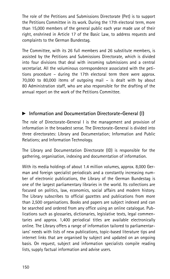The role of the Petitions and Submissions Directorate (Pet) is to support the Petitions Committee in its work. During the 17th electoral term, more than 15,000 members of the general public each year made use of their right, enshrined in Article 17 of the Basic Law, to address requests and complaints to the German Bundestag.

The Committee, with its 26 full members and 26 substitute members, is assisted by the Petitions and Submissions Directorate, which is divided into four divisions that deal with incoming submissions and a central secretariat. All the voluminous correspondence associated with the petitions procedure – during the 17th electoral term there were approx. 70,000 to 80,000 items of outgoing mail – is dealt with by about 80 Administration staff, who are also responsible for the drafting of the annual report on the work of the Petitions Committee.

## **EXECUTE:** Information and Documentation Directorate-General (I)

The role of Directorate-General I is the management and provision of information in the broadest sense. The Directorate-General is divided into three directorates: Library and Documentation; Information and Public Relations; and Information Technology.

The Library and Documentation Directorate (ID) is responsible for the gathering, organisation, indexing and documentation of information.

With its media holdings of about 1.4 million volumes, approx. 8,000 German and foreign specialist periodicals and a constantly increasing number of electronic publications, the Library of the German Bundestag is one of the largest parliamentary libraries in the world. Its collections are focused on politics, law, economics, social affairs and modern history. The Library subscribes to official gazettes and publications from more than 2,500 organisations. Books and papers are subject indexed and can be searched and ordered from any office using an online catalogue. Publications such as glossaries, dictionaries, legislative texts, legal commentaries and approx. 1,400 periodical titles are available electronically online. The Library offers a range of information tailored to parliamentarians' needs with lists of new publications, topic-based literature tips and internet links that are organised by subject and updated on an ongoing basis. On request, subject and information specialists compile reading lists, supply factual information and advise users.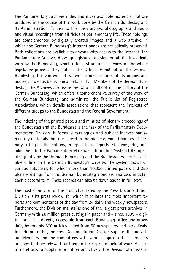The Parliamentary Archives index and make available materials that are produced in the course of the work done by the German Bundestag and its Administration. Further to this, they archive photographs and audio and visual recordings from all fields of parliamentary life. These holdings are complemented by digitally created images and a web archive, in which the German Bundestag's internet pages are periodically preserved. Both collections are available to anyone with access to the internet. The Parliamentary Archives draw up legislative dossiers on all the laws dealt with by the Bundestag, which offer a structured overview of the whole legislative process. They publish the Official Handbook of the German Bundestag, the contents of which include accounts of its organs and bodies, as well as biographical details of all Members of the German Bundestag. The Archives also issue the Data Handbook on the History of the German Bundestag, which offers a comprehensive survey of the work of the German Bundestag, and administer the Public List of Registered Associations, which details associations that represent the interests of different groups to the Bundestag and the Federal Government.

The indexing of the printed papers and minutes of plenary proceedings of the Bundestag and the Bundesrat is the task of the Parliamentary Documentation Division. It formally catalogues and subject indexes parliamentary materials that are placed in the public domain (minutes of plenary sittings, bills, motions, interpellations, reports, EU items, etc.), and adds them to the Parliamentary Materials Information System (DIP) operated jointly by the German Bundestag and the Bundesrat, which is available online on the German Bundestag's website. The system draws on various databases, for which more than 10,000 printed papers and 250 plenary sittings from the German Bundestag alone are analysed in detail each electoral term. These records can also be downloaded in full text.

The most significant of the products offered by the Press Documentation Division is its press review, for which it collates the most important reports and commentaries of the day from 24 daily and weekly newspapers. Furthermore, the Division maintains one of the largest press archives in Germany with 26 million press cuttings in paper and – since 1999 – digital form. It is directly accessible from each Bundestag office and grows daily by roughly 600 articles culled from 50 newspapers and periodicals. In addition to this, the Press Documentation Division supplies the individual Members and the committees with various topical articles from its archives that are relevant for them or their specific field of work. As part of its efforts to supply information proactively, the Division also assem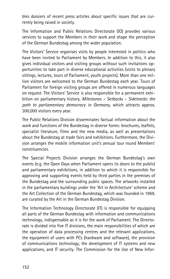bles dossiers of recent press articles about specific issues that are currently being raised in society.

The Information and Public Relations Directorate (IO) provides various services to support the Members in their work and shape the perception of the German Bundestag among the wider population.

The Visitors' Service organises visits by people interested in politics who have been invited to Parliament by Members. In addition to this, it also gives individual visitors and visiting groups without such invitations opportunities to take part in diverse educational activities (visits to plenary sittings, lectures, tours of Parliament, youth projects). More than one million visitors are welcomed to the German Bundestag each year. Tours of Parliament for foreign visiting groups are offered in numerous languages on request. The Visitors' Service is also responsible for a permanent exhibition on parliamentary history, Milestones – Setbacks – Sidetracks: the path to parliamentary democracy in Germany, which attracts approx. 300,000 visitors every year.

The Public Relations Division disseminates factual information about the work and functions of the Bundestag in diverse forms: brochures, leaflets, specialist literature, films and the new media, as well as presentations about the Bundestag at trade fairs and exhibitions. Furthermore, the Division arranges the mobile information unit's annual tour round Members' constituencies.

The Special Projects Division arranges the German Bundestag's own events (e.g. the Open Days when Parliament opens its doors to the public) and parliamentary exhibitions, in addition to which it is responsible for approving and supporting events held by third parties in the premises of the Bundestag and the surrounding public spaces. The artworks installed in the parliamentary buildings under the 'Art in Architecture' scheme and the Art Collection of the German Bundestag, which was founded in 1969, are curated by the Art in the German Bundestag Division.

The Information Technology Directorate (IT) is responsible for equipping all parts of the German Bundestag with information and communications technology, indispensable as it is for the work of Parliament. The Directorate is divided into five IT divisions, the main responsibilities of which are the operation of data processing centres and the relevant applications, the equipment of users with PCs (hardware and software), the provision of communications technology, the development of IT systems and new applications, and IT security. The Commission for the Use of New Infor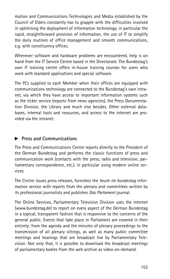mation and Communications Technologies and Media established by the Council of Elders constantly has to grapple with the difficulties involved in optimising the deployment of information technology, in particular the rapid, straightforward provision of information, the use of IT to simplify the daily routines of office management and smooth communications, e.g. with constituency offices.

Whenever software and hardware problems are encountered, help is on hand from the IT Service Centre based in the Directorate. The Bundestag's own IT training centre offers in-house training courses for users who work with standard applications and special software.

The PCs supplied to each Member when their offices are equipped with communications technology are connected to the Bundestag's own intranet, via which they have access to important information systems such as the ticker service (reports from news agencies), the Press Documentation Division, the Library and much else besides. Other external databases, internal tools and resources, and access to the internet are provided via the intranet.

#### $\blacktriangleright$  Press and Communications

The Press and Communications Centre reports directly to the President of the German Bundestag and performs the classic functions of press and communication work (contacts with the press, radio and television, parliamentary correspondence, etc.), in particular using modern online services.

The Centre issues press releases, furnishes the heute im bundestag information service with reports from the plenary and committees written by its professional journalists and publishes Das Parlament journal.

The Online Services, Parliamentary Television Division uses the internet (www.bundestag.de) to report on every aspect of the German Bundestag in a topical, transparent fashion that is responsive to the concerns of the general public. Events that take place in Parliament are covered in their entirety: from the agenda and the minutes of plenary proceedings to the transmission of all plenary sittings, as well as many public committee meetings and hearings that are broadcast live by Parliamentary Television. Not only that, it is possible to download the broadcast meetings of parliamentary bodies from the web archive as video-on-demand.